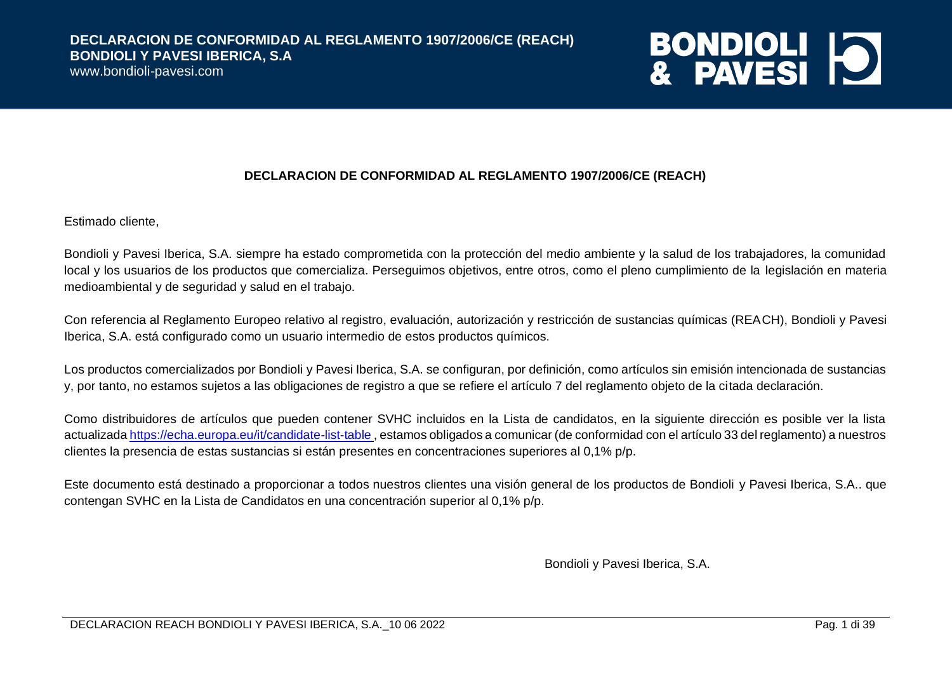www.bondioli-pavesi.com

# **BONDIOLI 10**

#### **DECLARACION DE CONFORMIDAD AL REGLAMENTO 1907/2006/CE (REACH)**

Estimado cliente,

Bondioli y Pavesi Iberica, S.A. siempre ha estado comprometida con la protección del medio ambiente y la salud de los trabajadores, la comunidad local y los usuarios de los productos que comercializa. Perseguimos objetivos, entre otros, como el pleno cumplimiento de la legislación en materia medioambiental y de seguridad y salud en el trabajo.

Con referencia al Reglamento Europeo relativo al registro, evaluación, autorización y restricción de sustancias químicas (REACH), Bondioli y Pavesi Iberica, S.A. está configurado como un usuario intermedio de estos productos químicos.

Los productos comercializados por Bondioli y Pavesi Iberica, S.A. se configuran, por definición, como artículos sin emisión intencionada de sustancias y, por tanto, no estamos sujetos a las obligaciones de registro a que se refiere el artículo 7 del reglamento objeto de la citada declaración.

Como distribuidores de artículos que pueden contener SVHC incluidos en la Lista de candidatos, en la siguiente dirección es posible ver la lista actualizad[a https://echa.europa.eu/it/candidate-list-table](https://echa.europa.eu/it/candidate-list-table) , estamos obligados a comunicar (de conformidad con el artículo 33 del reglamento) a nuestros clientes la presencia de estas sustancias si están presentes en concentraciones superiores al 0,1% p/p.

Este documento está destinado a proporcionar a todos nuestros clientes una visión general de los productos de Bondioli y Pavesi Iberica, S.A.. que contengan SVHC en la Lista de Candidatos en una concentración superior al 0,1% p/p.

Bondioli y Pavesi Iberica, S.A.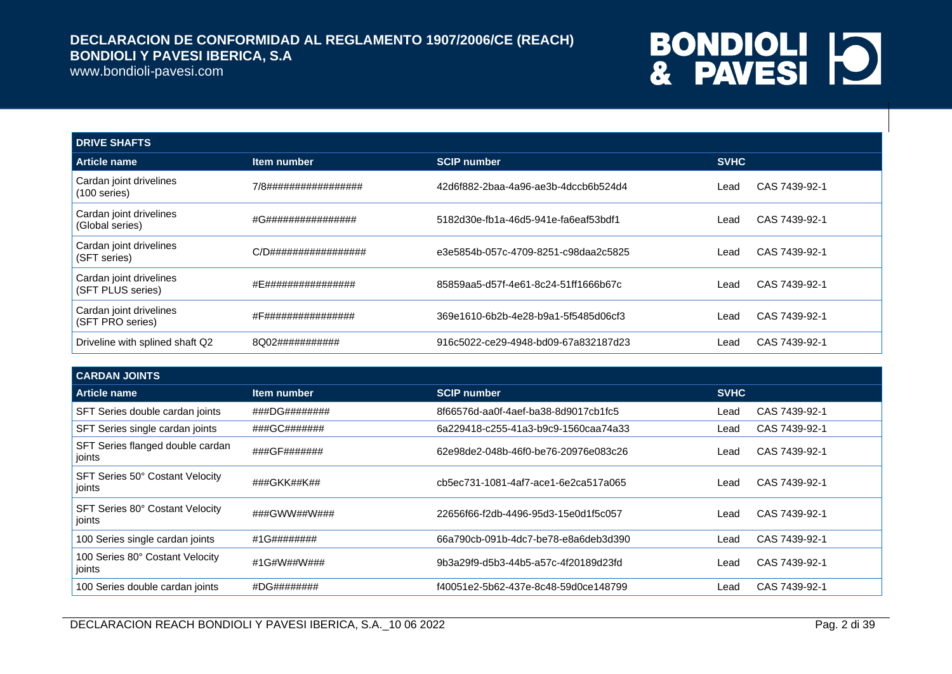www.bondioli-pavesi.com

| <b>DRIVE SHAFTS</b>                          |                      |                                      |             |               |
|----------------------------------------------|----------------------|--------------------------------------|-------------|---------------|
| <b>Article name</b>                          | Item number          | <b>SCIP number</b>                   | <b>SVHC</b> |               |
| Cardan joint drivelines<br>$(100$ series)    | 7/8################# | 42d6f882-2baa-4a96-ae3b-4dccb6b524d4 | _ead        | CAS 7439-92-1 |
| Cardan joint drivelines<br>(Global series)   | #G################   | 5182d30e-fb1a-46d5-941e-fa6eaf53bdf1 | _ead        | CAS 7439-92-1 |
| Cardan joint drivelines<br>(SFT series)      | C/D################# | e3e5854b-057c-4709-8251-c98daa2c5825 | ∟ead        | CAS 7439-92-1 |
| Cardan joint drivelines<br>(SFT PLUS series) | #E################   | 85859aa5-d57f-4e61-8c24-51ff1666b67c | ∟ead        | CAS 7439-92-1 |
| Cardan joint drivelines<br>(SFT PRO series)  | #F################   | 369e1610-6b2b-4e28-b9a1-5f5485d06cf3 | Lead        | CAS 7439-92-1 |
| Driveline with splined shaft Q2              | 8Q02###########      | 916c5022-ce29-4948-bd09-67a832187d23 | Lead        | CAS 7439-92-1 |

| <b>CARDAN JOINTS</b>                         |               |                                      |             |               |
|----------------------------------------------|---------------|--------------------------------------|-------------|---------------|
| <b>Article name</b>                          | Item number   | <b>SCIP number</b>                   | <b>SVHC</b> |               |
| SFT Series double cardan joints              | ###DG######## | 8f66576d-aa0f-4aef-ba38-8d9017cb1fc5 | Lead        | CAS 7439-92-1 |
| SFT Series single cardan joints              | ###GC#######  | 6a229418-c255-41a3-b9c9-1560caa74a33 | Lead        | CAS 7439-92-1 |
| SFT Series flanged double cardan<br>∣ joints | ###GF#######  | 62e98de2-048b-46f0-be76-20976e083c26 | Lead        | CAS 7439-92-1 |
| SFT Series 50° Costant Velocity<br>joints    | ###GKK##K##   | cb5ec731-1081-4af7-ace1-6e2ca517a065 | Lead        | CAS 7439-92-1 |
| SFT Series 80° Costant Velocity<br>joints    | ###GWW##W###  | 22656f66-f2db-4496-95d3-15e0d1f5c057 | Lead        | CAS 7439-92-1 |
| 100 Series single cardan joints              | #1G########   | 66a790cb-091b-4dc7-be78-e8a6deb3d390 | Lead        | CAS 7439-92-1 |
| 100 Series 80° Costant Velocity<br>joints    | #1G#W##W###   | 9b3a29f9-d5b3-44b5-a57c-4f20189d23fd | Lead        | CAS 7439-92-1 |
| 100 Series double cardan joints              | #DG########   | f40051e2-5b62-437e-8c48-59d0ce148799 | Lead        | CAS 7439-92-1 |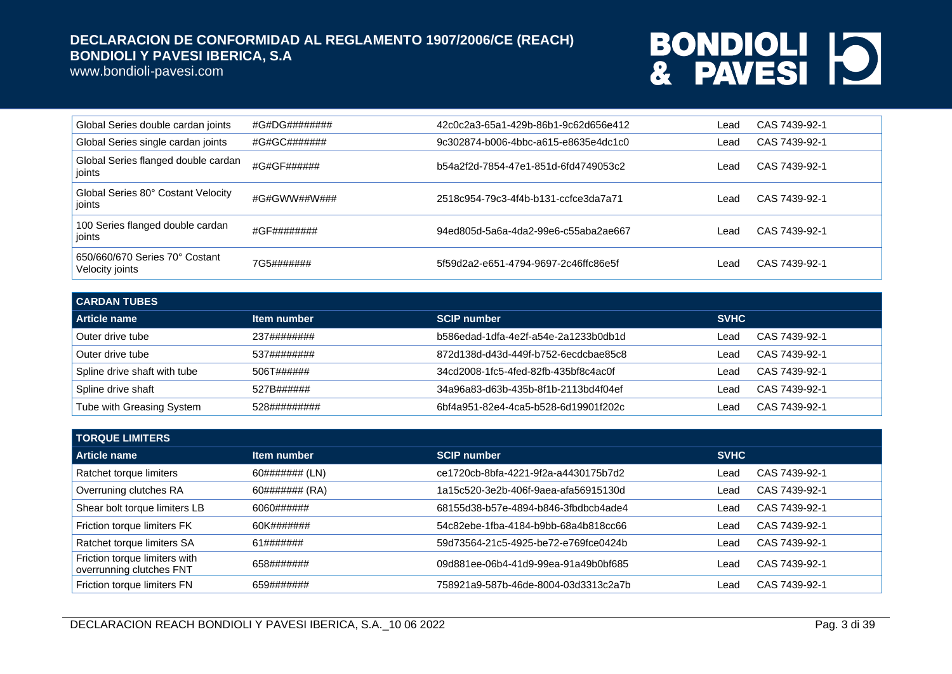www.bondioli-pavesi.com

| Global Series double cardan joints                | #G#DG######## | 42c0c2a3-65a1-429b-86b1-9c62d656e412 | Lead  | CAS 7439-92-1 |
|---------------------------------------------------|---------------|--------------------------------------|-------|---------------|
| Global Series single cardan joints                | #G#GC#######  | 9c302874-b006-4bbc-a615-e8635e4dc1c0 | Lead  | CAS 7439-92-1 |
| Global Series flanged double cardan<br>joints     | #G#GF######   | b54a2f2d-7854-47e1-851d-6fd4749053c2 | Lead. | CAS 7439-92-1 |
| Global Series 80° Costant Velocity<br>ioints      | #G#GWW##W###  | 2518c954-79c3-4f4b-b131-ccfce3da7a71 | _ead  | CAS 7439-92-1 |
| 100 Series flanged double cardan<br>joints        | #GF########   | 94ed805d-5a6a-4da2-99e6-c55aba2ae667 | Lead. | CAS 7439-92-1 |
| 650/660/670 Series 70° Costant<br>Velocity joints | 7G5#######    | 5f59d2a2-e651-4794-9697-2c46ffc86e5f | _ead  | CAS 7439-92-1 |

| <b>CARDAN TUBES</b>          |              |                                      |             |               |  |
|------------------------------|--------------|--------------------------------------|-------------|---------------|--|
| Article name                 | Item number  | <b>SCIP number</b>                   | <b>SVHC</b> |               |  |
| Outer drive tube             | 237########  | b586edad-1dfa-4e2f-a54e-2a1233b0db1d | _ead        | CAS 7439-92-1 |  |
| Outer drive tube             | 537########  | 872d138d-d43d-449f-b752-6ecdcbae85c8 | Lead.       | CAS 7439-92-1 |  |
| Spline drive shaft with tube | 506T######   | 34cd2008-1fc5-4fed-82fb-435bf8c4ac0f | _ead        | CAS 7439-92-1 |  |
| Spline drive shaft           | 527B######   | 34a96a83-d63b-435b-8f1b-2113bd4f04ef | _ead        | CAS 7439-92-1 |  |
| Tube with Greasing System    | 528######### | 6bf4a951-82e4-4ca5-b528-6d19901f202c | Lead.       | CAS 7439-92-1 |  |

| <b>TORQUE LIMITERS</b>                                    |                |                                      |             |               |  |
|-----------------------------------------------------------|----------------|--------------------------------------|-------------|---------------|--|
| Article name                                              | Item number    | <b>SCIP number</b>                   | <b>SVHC</b> |               |  |
| Ratchet torque limiters                                   | 60####### (LN) | ce1720cb-8bfa-4221-9f2a-a4430175b7d2 | Lead        | CAS 7439-92-1 |  |
| Overruning clutches RA                                    | 60####### (RA) | 1a15c520-3e2b-406f-9aea-afa56915130d | Lead        | CAS 7439-92-1 |  |
| Shear bolt torque limiters LB                             | 6060######     | 68155d38-b57e-4894-b846-3fbdbcb4ade4 | Lead        | CAS 7439-92-1 |  |
| Friction torque limiters FK                               | 60K#######     | 54c82ebe-1fba-4184-b9bb-68a4b818cc66 | Lead        | CAS 7439-92-1 |  |
| Ratchet torque limiters SA                                | 61#######      | 59d73564-21c5-4925-be72-e769fce0424b | Lead        | CAS 7439-92-1 |  |
| Friction torque limiters with<br>overrunning clutches FNT | 658#######     | 09d881ee-06b4-41d9-99ea-91a49b0bf685 | Lead        | CAS 7439-92-1 |  |
| Friction torque limiters FN                               | 659#######     | 758921a9-587b-46de-8004-03d3313c2a7b | ∟ead        | CAS 7439-92-1 |  |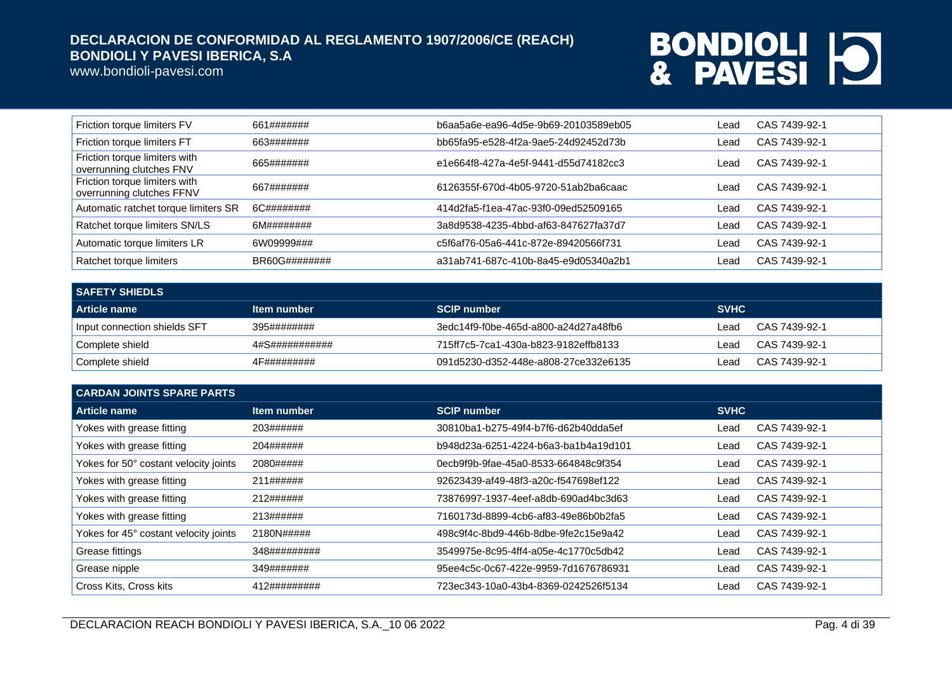www.bondioli-pavesi.com

| Friction torque limiters FV                                | 661#######    | b6aa5a6e-ea96-4d5e-9b69-20103589eb05 | Lead | CAS 7439-92-1 |
|------------------------------------------------------------|---------------|--------------------------------------|------|---------------|
| Friction torque limiters FT                                | 663#######    | bb65fa95-e528-4f2a-9ae5-24d92452d73b | Lead | CAS 7439-92-1 |
| Friction torque limiters with<br>overrunning clutches FNV  | 665#######    | e1e664f8-427a-4e5f-9441-d55d74182cc3 | Lead | CAS 7439-92-1 |
| Friction torque limiters with<br>overrunning clutches FFNV | 667#######    | 6126355f-670d-4b05-9720-51ab2ba6caac | Lead | CAS 7439-92-1 |
| Automatic ratchet torque limiters SR                       | 6C########    | 414d2fa5-f1ea-47ac-93f0-09ed52509165 | Lead | CAS 7439-92-1 |
| Ratchet torque limiters SN/LS                              | 6M########    | 3a8d9538-4235-4bbd-af63-847627fa37d7 | Lead | CAS 7439-92-1 |
| Automatic torque limiters LR                               | 6W09999###    | c5f6af76-05a6-441c-872e-89420566f731 | Lead | CAS 7439-92-1 |
| Ratchet torque limiters                                    | BR60G######## | a31ab741-687c-410b-8a45-e9d05340a2b1 | Lead | CAS 7439-92-1 |

| <b>SAFETY SHIEDLS</b>        |                |                                      |             |               |  |
|------------------------------|----------------|--------------------------------------|-------------|---------------|--|
| Article name                 | Item number    | <b>SCIP number</b>                   | <b>SVHC</b> |               |  |
| Input connection shields SFT | 395########    | 3edc14f9-f0be-465d-a800-a24d27a48fb6 | _ead        | CAS 7439-92-1 |  |
| Complete shield              | 4#S########### | 715ff7c5-7ca1-430a-b823-9182effb8133 | _ead        | CAS 7439-92-1 |  |
| Complete shield              | 4F#########    | 091d5230-d352-448e-a808-27ce332e6135 | _ead        | CAS 7439-92-1 |  |

| <b>CARDAN JOINTS SPARE PARTS</b>      |              |                                      |             |               |  |
|---------------------------------------|--------------|--------------------------------------|-------------|---------------|--|
| <b>Article name</b>                   | Item number  | <b>SCIP number</b>                   | <b>SVHC</b> |               |  |
| Yokes with grease fitting             | 203######    | 30810ba1-b275-49f4-b7f6-d62b40dda5ef | Lead        | CAS 7439-92-1 |  |
| Yokes with grease fitting             | 204######    | b948d23a-6251-4224-b6a3-ba1b4a19d101 | Lead        | CAS 7439-92-1 |  |
| Yokes for 50° costant velocity joints | 2080#####    | 0ecb9f9b-9fae-45a0-8533-664848c9f354 | Lead        | CAS 7439-92-1 |  |
| Yokes with grease fitting             | 211######    | 92623439-af49-48f3-a20c-f547698ef122 | Lead        | CAS 7439-92-1 |  |
| Yokes with grease fitting             | 212######    | 73876997-1937-4eef-a8db-690ad4bc3d63 | Lead        | CAS 7439-92-1 |  |
| Yokes with grease fitting             | 213######    | 7160173d-8899-4cb6-af83-49e86b0b2fa5 | Lead        | CAS 7439-92-1 |  |
| Yokes for 45° costant velocity joints | 2180N#####   | 498c9f4c-8bd9-446b-8dbe-9fe2c15e9a42 | Lead        | CAS 7439-92-1 |  |
| Grease fittings                       | 348######### | 3549975e-8c95-4ff4-a05e-4c1770c5db42 | Lead        | CAS 7439-92-1 |  |
| Grease nipple                         | 349#######   | 95ee4c5c-0c67-422e-9959-7d1676786931 | Lead        | CAS 7439-92-1 |  |
| Cross Kits, Cross kits                | 412######### | 723ec343-10a0-43b4-8369-0242526f5134 | Lead        | CAS 7439-92-1 |  |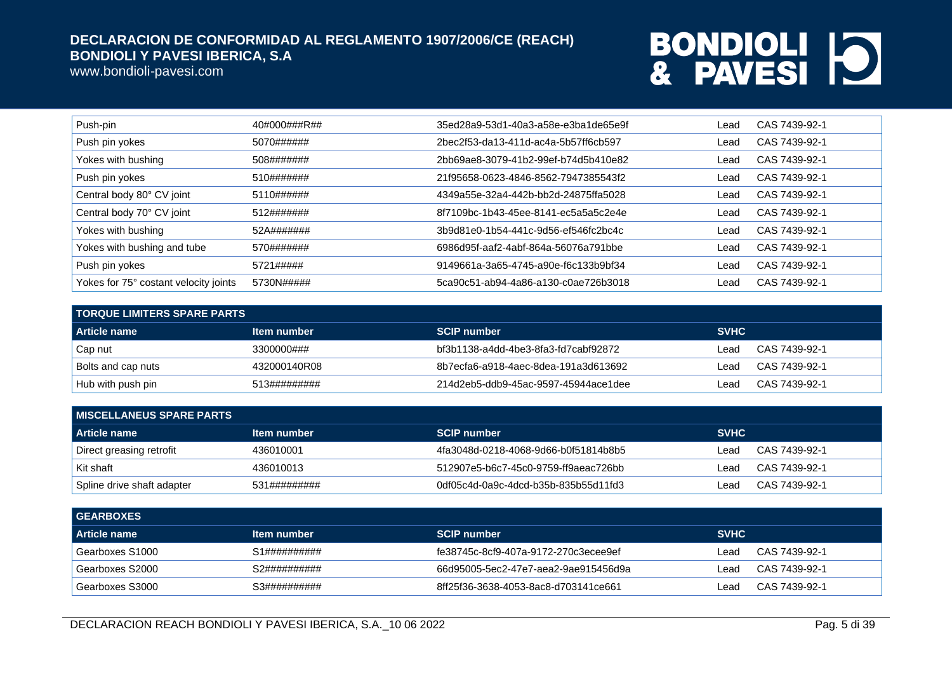www.bondioli-pavesi.com

| Push-pin                              | 40#000###R## | 35ed28a9-53d1-40a3-a58e-e3ba1de65e9f | Lead | CAS 7439-92-1 |
|---------------------------------------|--------------|--------------------------------------|------|---------------|
| Push pin yokes                        | 5070######   | 2bec2f53-da13-411d-ac4a-5b57ff6cb597 | Lead | CAS 7439-92-1 |
| Yokes with bushing                    | 508#######   | 2bb69ae8-3079-41b2-99ef-b74d5b410e82 | Lead | CAS 7439-92-1 |
| Push pin yokes                        | 510#######   | 21f95658-0623-4846-8562-7947385543f2 | Lead | CAS 7439-92-1 |
| Central body 80° CV joint             | 5110######   | 4349a55e-32a4-442b-bb2d-24875ffa5028 | Lead | CAS 7439-92-1 |
| Central body 70° CV joint             | 512#######   | 8f7109bc-1b43-45ee-8141-ec5a5a5c2e4e | Lead | CAS 7439-92-1 |
| Yokes with bushing                    | 52A#######   | 3b9d81e0-1b54-441c-9d56-ef546fc2bc4c | Lead | CAS 7439-92-1 |
| Yokes with bushing and tube           | 570#######   | 6986d95f-aaf2-4abf-864a-56076a791bbe | Lead | CAS 7439-92-1 |
| Push pin yokes                        | 5721#####    | 9149661a-3a65-4745-a90e-f6c133b9bf34 | Lead | CAS 7439-92-1 |
| Yokes for 75° costant velocity joints | 5730N#####   | 5ca90c51-ab94-4a86-a130-c0ae726b3018 | Lead | CAS 7439-92-1 |

| I TORQUE LIMITERS SPARE PARTS . |                    |                                      |             |               |  |
|---------------------------------|--------------------|--------------------------------------|-------------|---------------|--|
| Article name                    | <b>Item number</b> | <b>SCIP number</b>                   | <b>SVHC</b> |               |  |
| Cap nut                         | 3300000###         | bf3b1138-a4dd-4be3-8fa3-fd7cabf92872 | ∟ead        | CAS 7439-92-1 |  |
| <b>Bolts and cap nuts</b>       | 432000140R08       | 8b7ecfa6-a918-4aec-8dea-191a3d613692 | _ead        | CAS 7439-92-1 |  |
| Hub with push pin               | 513#########       | 214d2eb5-ddb9-45ac-9597-45944ace1dee | ∟ead        | CAS 7439-92-1 |  |

| <b>I MISCELLANEUS SPARE PARTS</b> |              |                                      |                       |  |  |
|-----------------------------------|--------------|--------------------------------------|-----------------------|--|--|
| <b>Article name</b>               | Item number  | <b>SCIP number</b>                   | <b>SVHC</b>           |  |  |
| Direct greasing retrofit          | 436010001    | 4fa3048d-0218-4068-9d66-b0f51814b8b5 | CAS 7439-92-1<br>Lead |  |  |
| ∣Kit shaft                        | 436010013    | 512907e5-b6c7-45c0-9759-ff9aeac726bb | CAS 7439-92-1<br>Lead |  |  |
| Spline drive shaft adapter        | 531######### | 0df05c4d-0a9c-4dcd-b35b-835b55d11fd3 | CAS 7439-92-1<br>Lead |  |  |

| <b>GEARBOXES</b> |              |                                      |             |               |
|------------------|--------------|--------------------------------------|-------------|---------------|
| Article name     | Item number  | <b>SCIP number</b>                   | <b>SVHC</b> |               |
| Gearboxes S1000  | S1########## | fe38745c-8cf9-407a-9172-270c3ecee9ef | ∟ead        | CAS 7439-92-1 |
| Gearboxes S2000  | S2########## | 66d95005-5ec2-47e7-aea2-9ae915456d9a | ∟ead        | CAS 7439-92-1 |
| Gearboxes S3000  | S3########## | 8ff25f36-3638-4053-8ac8-d703141ce661 | _ead        | CAS 7439-92-1 |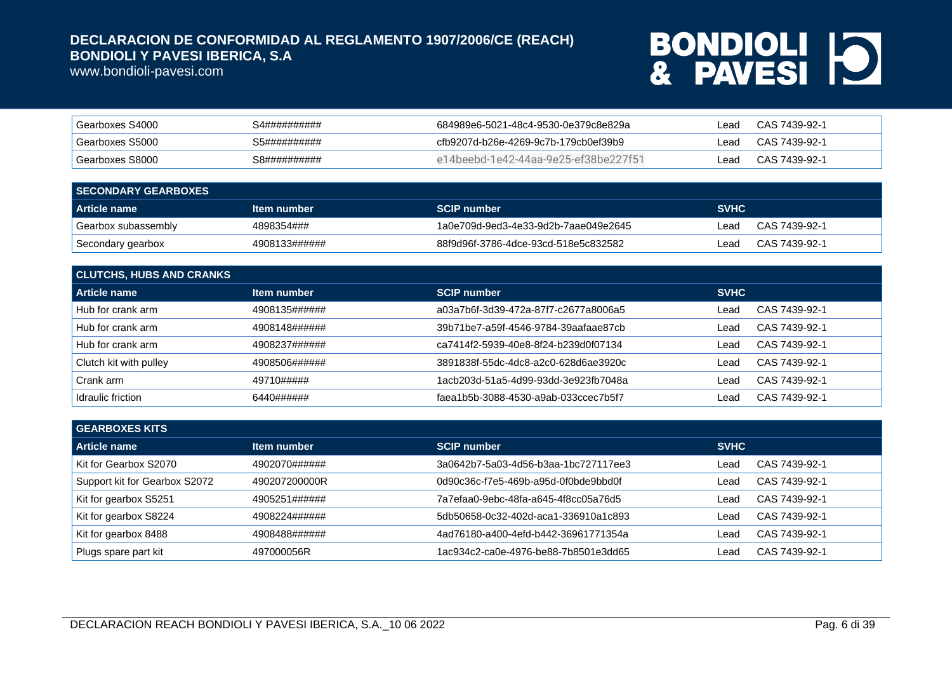www.bondioli-pavesi.com

| Gearboxes S4000 | S4########## | 684989e6-5021-48c4-9530-0e379c8e829a | _ead | CAS 7439-92-1 |
|-----------------|--------------|--------------------------------------|------|---------------|
| Gearboxes S5000 | S5########## | cfb9207d-b26e-4269-9c7b-179cb0ef39b9 | _ead | CAS 7439-92-1 |
| Gearboxes S8000 | S8########## | e14beebd-1e42-44aa-9e25-ef38be227f51 | _ead | CAS 7439-92-1 |

| <b>SECONDARY GEARBOXES</b> |               |                                      |             |               |
|----------------------------|---------------|--------------------------------------|-------------|---------------|
| Article name               | Item number   | <b>SCIP number</b>                   | <b>SVHC</b> |               |
| Gearbox subassembly        | 4898354###    | 1a0e709d-9ed3-4e33-9d2b-7aae049e2645 | ∟ead        | CAS 7439-92-1 |
| Secondary gearbox          | 4908133###### | 88f9d96f-3786-4dce-93cd-518e5c832582 | ∟ead        | CAS 7439-92-1 |

| <b>CLUTCHS, HUBS AND CRANKS</b> |               |                                      |             |               |
|---------------------------------|---------------|--------------------------------------|-------------|---------------|
| Article name                    | Item number   | <b>SCIP number</b>                   | <b>SVHC</b> |               |
| Hub for crank arm               | 4908135###### | a03a7b6f-3d39-472a-87f7-c2677a8006a5 | ∟ead        | CAS 7439-92-1 |
| Hub for crank arm               | 4908148###### | 39b71be7-a59f-4546-9784-39aafaae87cb | ∟ead        | CAS 7439-92-1 |
| Hub for crank arm               | 4908237###### | ca7414f2-5939-40e8-8f24-b239d0f07134 | ∟ead        | CAS 7439-92-1 |
| Clutch kit with pulley          | 4908506###### | 3891838f-55dc-4dc8-a2c0-628d6ae3920c | Lead        | CAS 7439-92-1 |
| Crank arm                       | 49710#####    | 1acb203d-51a5-4d99-93dd-3e923fb7048a | ∟ead        | CAS 7439-92-1 |
| Idraulic friction               | 6440######    | faea1b5b-3088-4530-a9ab-033ccec7b5f7 | _ead        | CAS 7439-92-1 |

| <b>GEARBOXES KITS</b>         |               |                                      |             |               |
|-------------------------------|---------------|--------------------------------------|-------------|---------------|
| Article name                  | Item number   | <b>SCIP number</b>                   | <b>SVHC</b> |               |
| Kit for Gearbox S2070         | 4902070###### | 3a0642b7-5a03-4d56-b3aa-1bc727117ee3 | ∟ead        | CAS 7439-92-1 |
| Support kit for Gearbox S2072 | 490207200000R | 0d90c36c-f7e5-469b-a95d-0f0bde9bbd0f | ∟ead        | CAS 7439-92-1 |
| Kit for gearbox S5251         | 4905251###### | 7a7efaa0-9ebc-48fa-a645-4f8cc05a76d5 | ∟ead        | CAS 7439-92-1 |
| Kit for gearbox S8224         | 4908224###### | 5db50658-0c32-402d-aca1-336910a1c893 | ∟ead        | CAS 7439-92-1 |
| Kit for gearbox 8488          | 4908488###### | 4ad76180-a400-4efd-b442-36961771354a | ∟ead        | CAS 7439-92-1 |
| Plugs spare part kit          | 497000056R    | 1ac934c2-ca0e-4976-be88-7b8501e3dd65 | ∟ead        | CAS 7439-92-1 |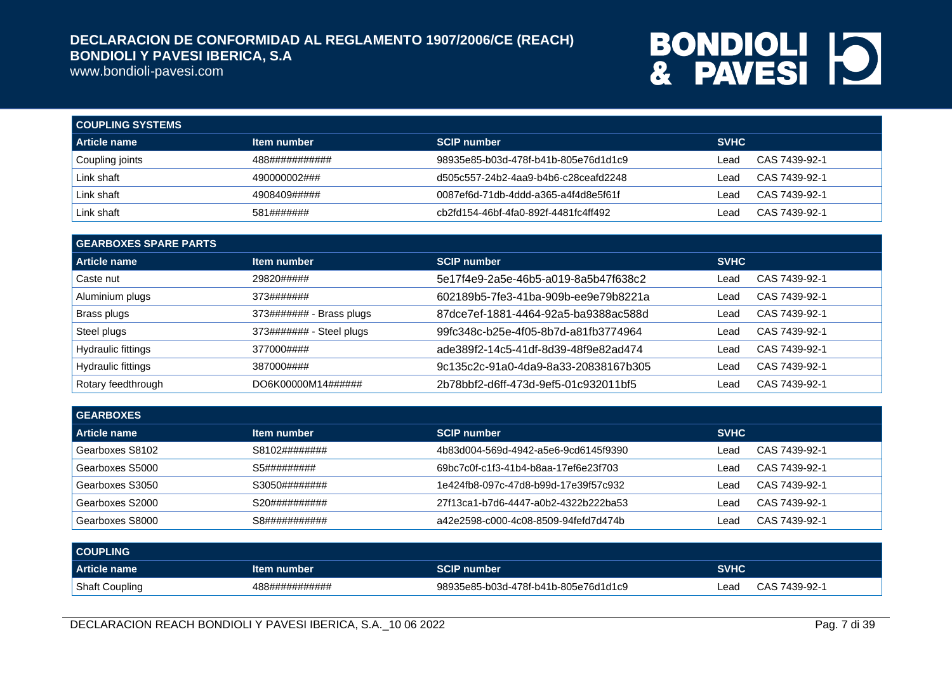www.bondioli-pavesi.com

| <b>COUPLING SYSTEMS</b> |                |                                      |             |               |
|-------------------------|----------------|--------------------------------------|-------------|---------------|
| l Article name          | Item number    | <b>SCIP number</b>                   | <b>SVHC</b> |               |
| Coupling joints         | 488########### | 98935e85-b03d-478f-b41b-805e76d1d1c9 | Lead        | CAS 7439-92-1 |
| Link shaft              | 490000002###   | d505c557-24b2-4aa9-b4b6-c28ceafd2248 | Lead        | CAS 7439-92-1 |
| Link shaft              | 4908409#####   | 0087ef6d-71db-4ddd-a365-a4f4d8e5f61f | ∟ead        | CAS 7439-92-1 |
| Link shaft              | 581#######     | cb2fd154-46bf-4fa0-892f-4481fc4ff492 | ∟ead        | CAS 7439-92-1 |

| <b>GEARBOXES SPARE PARTS</b> |                          |                                      |             |               |
|------------------------------|--------------------------|--------------------------------------|-------------|---------------|
| Article name                 | Item number              | <b>SCIP number</b>                   | <b>SVHC</b> |               |
| Caste nut                    | 29820#####               | 5e17f4e9-2a5e-46b5-a019-8a5b47f638c2 | Lead        | CAS 7439-92-1 |
| Aluminium plugs              | 373#######               | 602189b5-7fe3-41ba-909b-ee9e79b8221a | Lead        | CAS 7439-92-1 |
| Brass plugs                  | 373####### - Brass plugs | 87dce7ef-1881-4464-92a5-ba9388ac588d | Lead        | CAS 7439-92-1 |
| Steel plugs                  | 373####### - Steel plugs | 99fc348c-b25e-4f05-8b7d-a81fb3774964 | Lead        | CAS 7439-92-1 |
| Hydraulic fittings           | 377000####               | ade389f2-14c5-41df-8d39-48f9e82ad474 | Lead        | CAS 7439-92-1 |
| Hydraulic fittings           | 387000####               | 9c135c2c-91a0-4da9-8a33-20838167b305 | Lead        | CAS 7439-92-1 |
| Rotary feedthrough           | DO6K00000M14######       | 2b78bbf2-d6ff-473d-9ef5-01c932011bf5 | Lead        | CAS 7439-92-1 |

| <b>GEARBOXES</b> |               |                                      |                       |
|------------------|---------------|--------------------------------------|-----------------------|
| Article name     | Item number   | <b>SCIP number</b>                   | <b>SVHC</b>           |
| Gearboxes S8102  | S8102######## | 4b83d004-569d-4942-a5e6-9cd6145f9390 | CAS 7439-92-1<br>Lead |
| Gearboxes S5000  | S5#########   | 69bc7c0f-c1f3-41b4-b8aa-17ef6e23f703 | CAS 7439-92-1<br>Lead |
| Gearboxes S3050  | S3050######## | 1e424fb8-097c-47d8-b99d-17e39f57c932 | CAS 7439-92-1<br>Lead |
| Gearboxes S2000  | S20########## | 27f13ca1-b7d6-4447-a0b2-4322b222ba53 | CAS 7439-92-1<br>Lead |
| Gearboxes S8000  | S8########### | a42e2598-c000-4c08-8509-94fefd7d474b | CAS 7439-92-1<br>Leac |

| <b>COUPLING</b> |                |                                      |      |               |
|-----------------|----------------|--------------------------------------|------|---------------|
| Article name    | Item number    | <b>SCIP number</b>                   | SVHC |               |
| Shaft Coupling  | 488########### | 98935e85-b03d-478f-b41b-805e76d1d1c9 | _ead | CAS 7439-92-1 |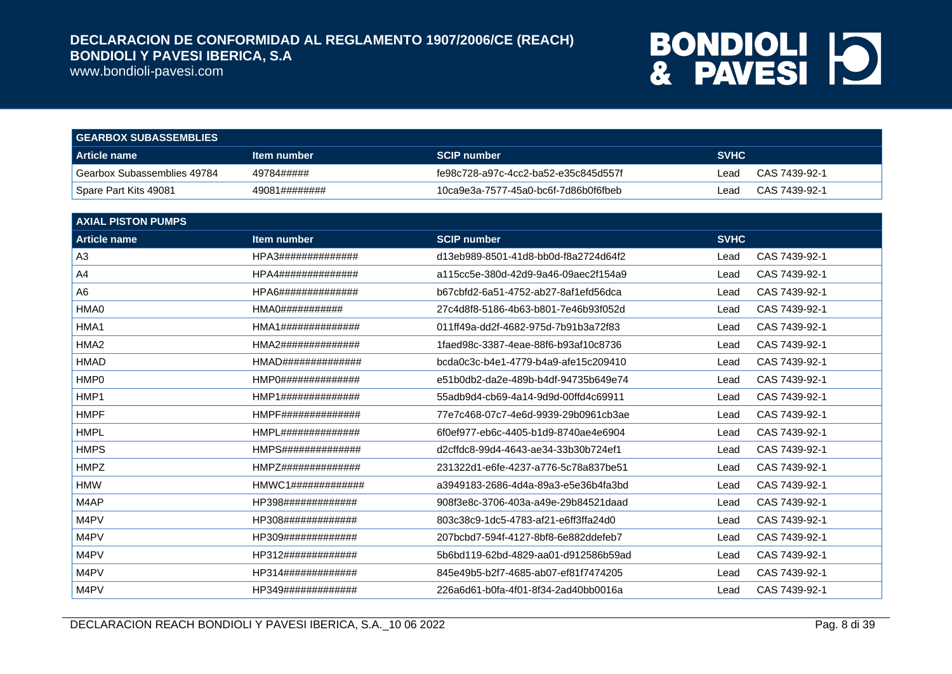www.bondioli-pavesi.com

| <b>GEARBOX SUBASSEMBLIES</b> |               |                                      |             |               |
|------------------------------|---------------|--------------------------------------|-------------|---------------|
| Article name                 | Item number   | <b>SCIP number</b>                   | <b>SVHC</b> |               |
| Gearbox Subassemblies 49784  | 49784#####    | fe98c728-a97c-4cc2-ba52-e35c845d557f | ∟ead        | CAS 7439-92-1 |
| Spare Part Kits 49081        | 49081######## | 10ca9e3a-7577-45a0-bc6f-7d86b0f6fbeb | Lead        | CAS 7439-92-1 |

| <b>AXIAL PISTON PUMPS</b> |                                      |                                      |             |               |
|---------------------------|--------------------------------------|--------------------------------------|-------------|---------------|
| <b>Article name</b>       | Item number                          | <b>SCIP number</b>                   | <b>SVHC</b> |               |
| A3                        | HPA3##############                   | d13eb989-8501-41d8-bb0d-f8a2724d64f2 | Lead        | CAS 7439-92-1 |
| A4                        | HPA4##############                   | a115cc5e-380d-42d9-9a46-09aec2f154a9 | Lead        | CAS 7439-92-1 |
| A6                        | HPA6##############                   | b67cbfd2-6a51-4752-ab27-8af1efd56dca | Lead        | CAS 7439-92-1 |
| HMA0                      | HMA0###########                      | 27c4d8f8-5186-4b63-b801-7e46b93f052d | Lead        | CAS 7439-92-1 |
| HMA1                      | HMA1##############                   | 011ff49a-dd2f-4682-975d-7b91b3a72f83 | Lead        | CAS 7439-92-1 |
| HMA <sub>2</sub>          | HMA2##############                   | 1faed98c-3387-4eae-88f6-b93af10c8736 | Lead        | CAS 7439-92-1 |
| <b>HMAD</b>               | HMAD##############                   | bcda0c3c-b4e1-4779-b4a9-afe15c209410 | Lead        | CAS 7439-92-1 |
| HMP <sub>0</sub>          | HMP0##############                   | e51b0db2-da2e-489b-b4df-94735b649e74 | Lead        | CAS 7439-92-1 |
| HMP1                      | HMP1##############                   | 55adb9d4-cb69-4a14-9d9d-00ffd4c69911 | Lead        | CAS 7439-92-1 |
| <b>HMPF</b>               | HMPF##############                   | 77e7c468-07c7-4e6d-9939-29b0961cb3ae | Lead        | CAS 7439-92-1 |
| <b>HMPL</b>               | HMPL##############                   | 6f0ef977-eb6c-4405-b1d9-8740ae4e6904 | Lead        | CAS 7439-92-1 |
| <b>HMPS</b>               | HMPS##############                   | d2cffdc8-99d4-4643-ae34-33b30b724ef1 | Lead        | CAS 7439-92-1 |
| <b>HMPZ</b>               | HMPZ##############                   | 231322d1-e6fe-4237-a776-5c78a837be51 | Lead        | CAS 7439-92-1 |
| <b>HMW</b>                | HMWC1# # # # # # # # # # # # # # # # | a3949183-2686-4d4a-89a3-e5e36b4fa3bd | Lead        | CAS 7439-92-1 |
| M4AP                      | HP398#############                   | 908f3e8c-3706-403a-a49e-29b84521daad | Lead        | CAS 7439-92-1 |
| M4PV                      | HP308#############                   | 803c38c9-1dc5-4783-af21-e6ff3ffa24d0 | Lead        | CAS 7439-92-1 |
| M4PV                      | HP309#############                   | 207bcbd7-594f-4127-8bf8-6e882ddefeb7 | Lead        | CAS 7439-92-1 |
| M4PV                      | HP312#############                   | 5b6bd119-62bd-4829-aa01-d912586b59ad | Lead        | CAS 7439-92-1 |
| M4PV                      | HP314#############                   | 845e49b5-b2f7-4685-ab07-ef81f7474205 | Lead        | CAS 7439-92-1 |
| M4PV                      | HP349#############                   | 226a6d61-b0fa-4f01-8f34-2ad40bb0016a | Lead        | CAS 7439-92-1 |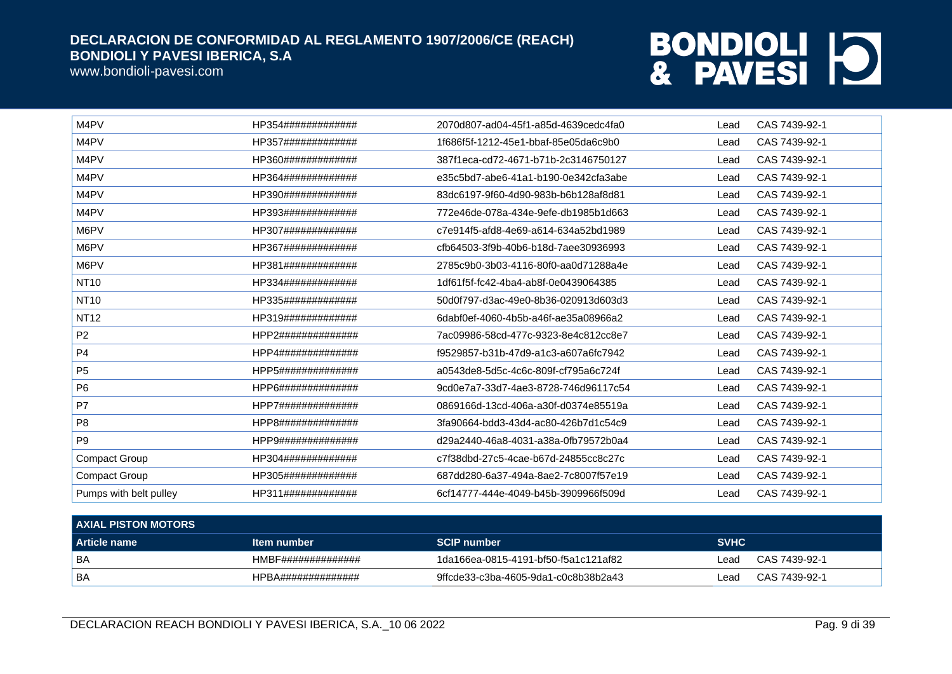www.bondioli-pavesi.com

| M4PV                   | HP354############# | 2070d807-ad04-45f1-a85d-4639cedc4fa0 | Lead | CAS 7439-92-1 |
|------------------------|--------------------|--------------------------------------|------|---------------|
| M4PV                   | HP357############# | 1f686f5f-1212-45e1-bbaf-85e05da6c9b0 | Lead | CAS 7439-92-1 |
| M4PV                   | HP360############# | 387f1eca-cd72-4671-b71b-2c3146750127 | Lead | CAS 7439-92-1 |
| M4PV                   | HP364############# | e35c5bd7-abe6-41a1-b190-0e342cfa3abe | Lead | CAS 7439-92-1 |
| M4PV                   | HP390############# | 83dc6197-9f60-4d90-983b-b6b128af8d81 | Lead | CAS 7439-92-1 |
| M4PV                   | HP393############# | 772e46de-078a-434e-9efe-db1985b1d663 | Lead | CAS 7439-92-1 |
| M6PV                   | HP307############# | c7e914f5-afd8-4e69-a614-634a52bd1989 | Lead | CAS 7439-92-1 |
| M6PV                   | HP367############# | cfb64503-3f9b-40b6-b18d-7aee30936993 | Lead | CAS 7439-92-1 |
| M6PV                   | HP381############# | 2785c9b0-3b03-4116-80f0-aa0d71288a4e | Lead | CAS 7439-92-1 |
| <b>NT10</b>            | HP334############# | 1df61f5f-fc42-4ba4-ab8f-0e0439064385 | Lead | CAS 7439-92-1 |
| <b>NT10</b>            | HP335############# | 50d0f797-d3ac-49e0-8b36-020913d603d3 | Lead | CAS 7439-92-1 |
| <b>NT12</b>            | HP319############# | 6dabf0ef-4060-4b5b-a46f-ae35a08966a2 | Lead | CAS 7439-92-1 |
| P <sub>2</sub>         | HPP2############## | 7ac09986-58cd-477c-9323-8e4c812cc8e7 | Lead | CAS 7439-92-1 |
| <b>P4</b>              | HPP4############## | f9529857-b31b-47d9-a1c3-a607a6fc7942 | Lead | CAS 7439-92-1 |
| P <sub>5</sub>         | HPP5############## | a0543de8-5d5c-4c6c-809f-cf795a6c724f | Lead | CAS 7439-92-1 |
| P <sub>6</sub>         | HPP6############## | 9cd0e7a7-33d7-4ae3-8728-746d96117c54 | Lead | CAS 7439-92-1 |
| P7                     | HPP7############## | 0869166d-13cd-406a-a30f-d0374e85519a | Lead | CAS 7439-92-1 |
| P <sub>8</sub>         | HPP8############## | 3fa90664-bdd3-43d4-ac80-426b7d1c54c9 | Lead | CAS 7439-92-1 |
| P <sub>9</sub>         | HPP9############## | d29a2440-46a8-4031-a38a-0fb79572b0a4 | Lead | CAS 7439-92-1 |
| <b>Compact Group</b>   | HP304############# | c7f38dbd-27c5-4cae-b67d-24855cc8c27c | Lead | CAS 7439-92-1 |
| Compact Group          | HP305############# | 687dd280-6a37-494a-8ae2-7c8007f57e19 | Lead | CAS 7439-92-1 |
| Pumps with belt pulley | HP311############# | 6cf14777-444e-4049-b45b-3909966f509d | Lead | CAS 7439-92-1 |

| <b>AXIAL PISTON MOTORS</b> |                    |                                      |             |               |
|----------------------------|--------------------|--------------------------------------|-------------|---------------|
| <b>Article name</b>        | Item number        | <b>SCIP number</b>                   | <b>SVHC</b> |               |
| ' BA                       | HMBF############## | 1da166ea-0815-4191-bf50-f5a1c121af82 | ∟ead        | CAS 7439-92-1 |
| BA                         | HPBA############## | 9ffcde33-c3ba-4605-9da1-c0c8b38b2a43 | ∟ead        | CAS 7439-92-1 |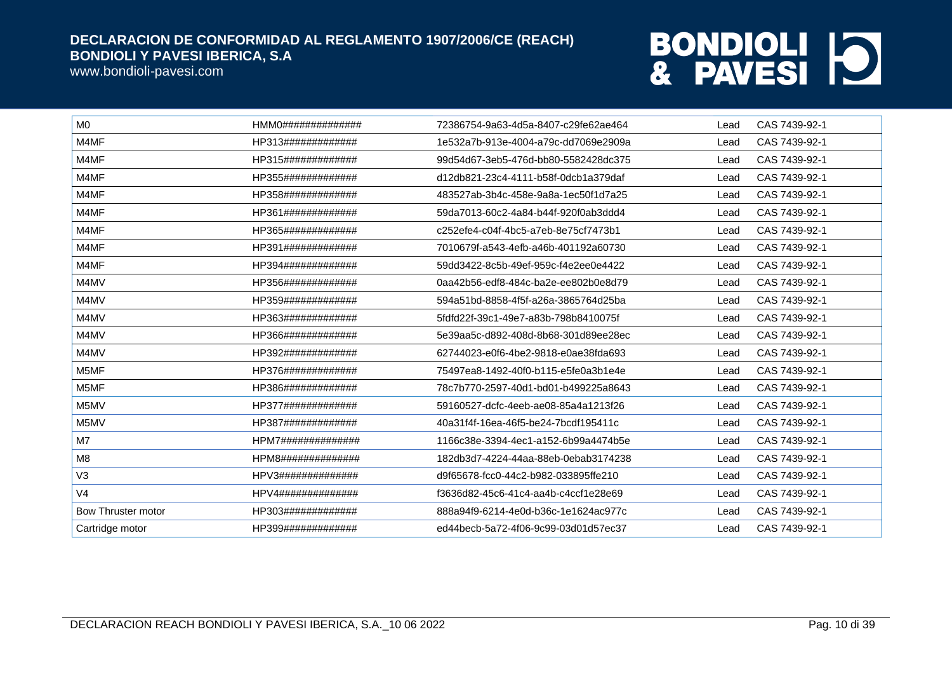www.bondioli-pavesi.com

| HMMO################ | 72386754-9a63-4d5a-8407-c29fe62ae464 | Lead | CAS 7439-92-1 |
|----------------------|--------------------------------------|------|---------------|
| HP313#############   | 1e532a7b-913e-4004-a79c-dd7069e2909a | Lead | CAS 7439-92-1 |
| HP315#############   | 99d54d67-3eb5-476d-bb80-5582428dc375 | Lead | CAS 7439-92-1 |
| HP355#############   | d12db821-23c4-4111-b58f-0dcb1a379daf | Lead | CAS 7439-92-1 |
| HP358#############   | 483527ab-3b4c-458e-9a8a-1ec50f1d7a25 | Lead | CAS 7439-92-1 |
| HP361#############   | 59da7013-60c2-4a84-b44f-920f0ab3ddd4 | Lead | CAS 7439-92-1 |
| HP365#############   | c252efe4-c04f-4bc5-a7eb-8e75cf7473b1 | Lead | CAS 7439-92-1 |
| HP391#############   | 7010679f-a543-4efb-a46b-401192a60730 | Lead | CAS 7439-92-1 |
| HP394#############   | 59dd3422-8c5b-49ef-959c-f4e2ee0e4422 | Lead | CAS 7439-92-1 |
| HP356#############   | 0aa42b56-edf8-484c-ba2e-ee802b0e8d79 | Lead | CAS 7439-92-1 |
| HP359#############   | 594a51bd-8858-4f5f-a26a-3865764d25ba | Lead | CAS 7439-92-1 |
| HP363#############   | 5fdfd22f-39c1-49e7-a83b-798b8410075f | Lead | CAS 7439-92-1 |
| HP366#############   | 5e39aa5c-d892-408d-8b68-301d89ee28ec | Lead | CAS 7439-92-1 |
| HP392#############   | 62744023-e0f6-4be2-9818-e0ae38fda693 | Lead | CAS 7439-92-1 |
| HP376#############   | 75497ea8-1492-40f0-b115-e5fe0a3b1e4e | Lead | CAS 7439-92-1 |
| HP386#############   | 78c7b770-2597-40d1-bd01-b499225a8643 | Lead | CAS 7439-92-1 |
| HP377#############   | 59160527-dcfc-4eeb-ae08-85a4a1213f26 | Lead | CAS 7439-92-1 |
| HP387#############   | 40a31f4f-16ea-46f5-be24-7bcdf195411c | Lead | CAS 7439-92-1 |
| HPM7##############   | 1166c38e-3394-4ec1-a152-6b99a4474b5e | Lead | CAS 7439-92-1 |
| HPM8##############   | 182db3d7-4224-44aa-88eb-0ebab3174238 | Lead | CAS 7439-92-1 |
| HPV3##############   | d9f65678-fcc0-44c2-b982-033895ffe210 | Lead | CAS 7439-92-1 |
| HPV4##############   | f3636d82-45c6-41c4-aa4b-c4ccf1e28e69 | Lead | CAS 7439-92-1 |
| HP303#############   | 888a94f9-6214-4e0d-b36c-1e1624ac977c | Lead | CAS 7439-92-1 |
| HP399#############   | ed44becb-5a72-4f06-9c99-03d01d57ec37 | Lead | CAS 7439-92-1 |
|                      |                                      |      |               |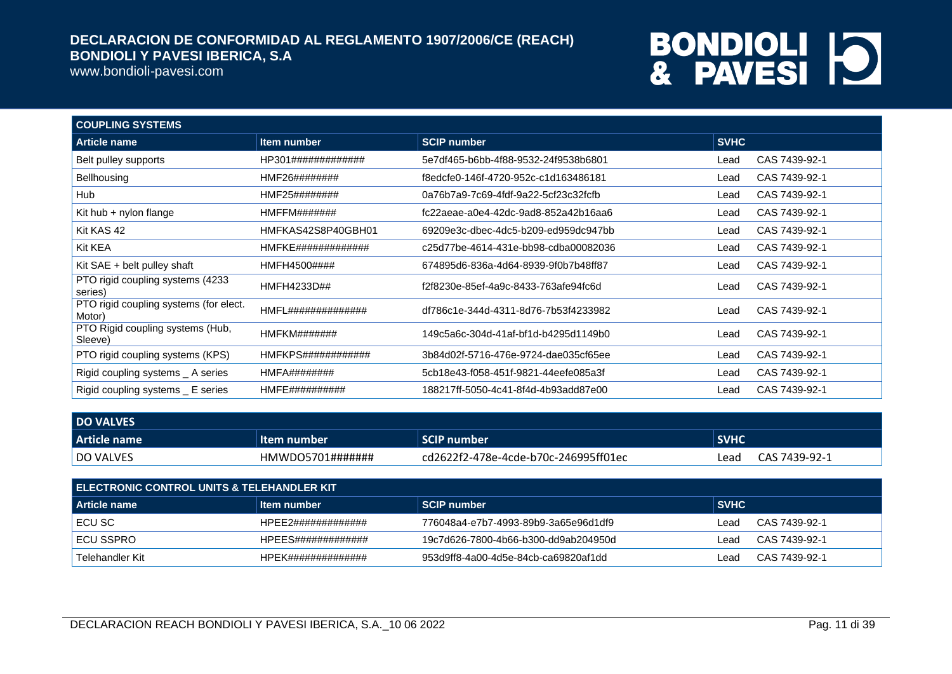www.bondioli-pavesi.com

| <b>COUPLING SYSTEMS</b>                          |                    |                                      |             |               |
|--------------------------------------------------|--------------------|--------------------------------------|-------------|---------------|
| Article name                                     | <b>Item number</b> | <b>SCIP number</b>                   | <b>SVHC</b> |               |
| Belt pulley supports                             | HP301############# | 5e7df465-b6bb-4f88-9532-24f9538b6801 | Lead        | CAS 7439-92-1 |
| <b>Bellhousing</b>                               | HMF26########      | f8edcfe0-146f-4720-952c-c1d163486181 | Lead        | CAS 7439-92-1 |
| Hub                                              | HMF25########      | 0a76b7a9-7c69-4fdf-9a22-5cf23c32fcfb | Lead        | CAS 7439-92-1 |
| Kit hub $+$ nylon flange                         | HMFFM#######       | fc22aeae-a0e4-42dc-9ad8-852a42b16aa6 | Lead        | CAS 7439-92-1 |
| Kit KAS 42                                       | HMFKAS42S8P40GBH01 | 69209e3c-dbec-4dc5-b209-ed959dc947bb | Lead        | CAS 7439-92-1 |
| Kit KEA                                          | HMFKE############# | c25d77be-4614-431e-bb98-cdba00082036 | Lead        | CAS 7439-92-1 |
| Kit $SAE + belt$ pulley shaft                    | HMFH4500####       | 674895d6-836a-4d64-8939-9f0b7b48ff87 | Lead        | CAS 7439-92-1 |
| PTO rigid coupling systems (4233<br>series)      | HMFH4233D##        | f2f8230e-85ef-4a9c-8433-763afe94fc6d | Lead        | CAS 7439-92-1 |
| PTO rigid coupling systems (for elect.<br>Motor) | HMFL############## | df786c1e-344d-4311-8d76-7b53f4233982 | Lead        | CAS 7439-92-1 |
| PTO Rigid coupling systems (Hub,<br>Sleeve)      | HMFKM#######       | 149c5a6c-304d-41af-bf1d-b4295d1149b0 | Lead        | CAS 7439-92-1 |
| PTO rigid coupling systems (KPS)                 | HMFKPS############ | 3b84d02f-5716-476e-9724-dae035cf65ee | Lead        | CAS 7439-92-1 |
| Rigid coupling systems _ A series                | HMFA########       | 5cb18e43-f058-451f-9821-44eefe085a3f | Lead        | CAS 7439-92-1 |
| Rigid coupling systems _ E series                | HMFE##########     | 188217ff-5050-4c41-8f4d-4b93add87e00 | Lead        | CAS 7439-92-1 |

| <b>DO VALVES</b> |                           |                                      |             |               |
|------------------|---------------------------|--------------------------------------|-------------|---------------|
| Article name     | 'Item number              | <b>SCIP number</b>                   | <b>SVHC</b> |               |
| <b>DO VALVES</b> | $HMWDO5701\#$ ########### | cd2622f2-478e-4cde-b70c-246995ff01ec | Lead        | CAS 7439-92-1 |

| I ELECTRONIC CONTROL UNITS & TELEHANDLER KIT |                    |                                       |             |               |  |
|----------------------------------------------|--------------------|---------------------------------------|-------------|---------------|--|
| Article name                                 | ∣ltem number       | SCIP number                           | <b>SVHC</b> |               |  |
| I ECU SC                                     | HPFF2############# | 776048a4-e7b7-4993-89b9-3a65e96d1df9  | Lead        | CAS 7439-92-1 |  |
| I ECU SSPRO                                  | HPFFS############# | .19c7d626-7800-4b66-b300-dd9ab204950d | Lead        | CAS 7439-92-1 |  |
| Telehandler Kit                              | HPFK############## | 953d9ff8-4a00-4d5e-84cb-ca69820af1dd  | Lead        | CAS 7439-92-1 |  |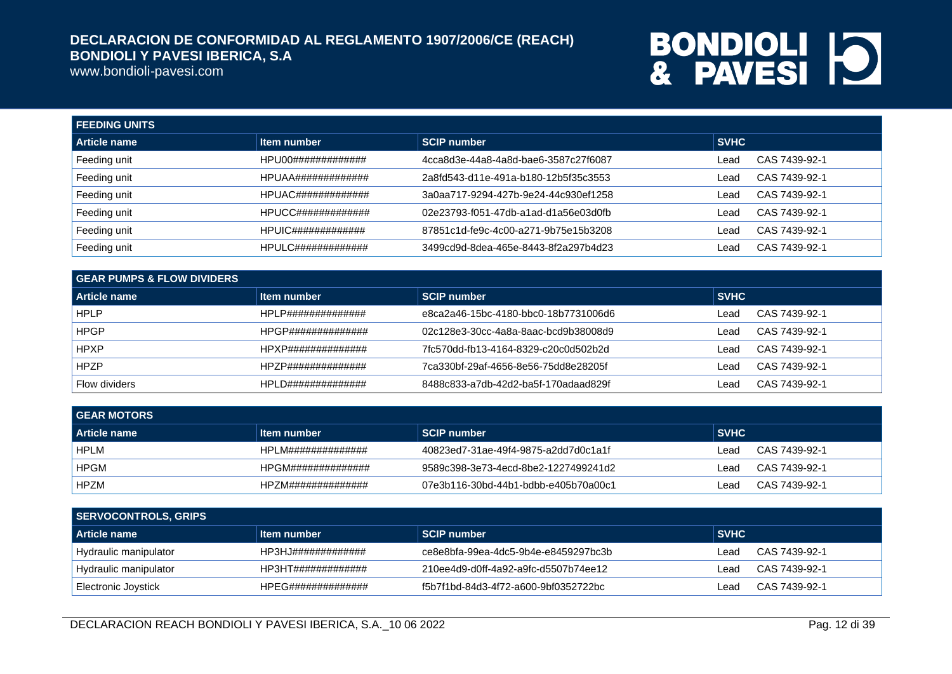www.bondioli-pavesi.com

| <b>FEEDING UNITS</b> |                             |                                      |             |               |
|----------------------|-----------------------------|--------------------------------------|-------------|---------------|
| Article name         | Item number                 | <b>SCIP number</b>                   | <b>SVHC</b> |               |
| Feeding unit         | HPU00#############          | 4cca8d3e-44a8-4a8d-bae6-3587c27f6087 | Lead        | CAS 7439-92-1 |
| Feeding unit         | HPUAA#############          | 2a8fd543-d11e-491a-b180-12b5f35c3553 | Lead        | CAS 7439-92-1 |
| Feeding unit         | $HPUAC\#H\#H\#H\#H\#H\#H\#$ | 3a0aa717-9294-427b-9e24-44c930ef1258 | Lead        | CAS 7439-92-1 |
| Feeding unit         | $HPUCC$ ##############      | 02e23793-f051-47db-a1ad-d1a56e03d0fb | Lead        | CAS 7439-92-1 |
| Feeding unit         |                             | 87851c1d-fe9c-4c00-a271-9b75e15b3208 | Lead        | CAS 7439-92-1 |
| Feeding unit         | HPULC#############          | 3499cd9d-8dea-465e-8443-8f2a297b4d23 | Lead        | CAS 7439-92-1 |

| l GEAR PUMPS & FLOW DIVIDERS |                     |                                      |             |               |  |
|------------------------------|---------------------|--------------------------------------|-------------|---------------|--|
| Article name                 | Item number         | <b>SCIP number</b>                   | <b>SVHC</b> |               |  |
| <b>HPLP</b>                  | HPLP##############  | e8ca2a46-15bc-4180-bbc0-18b7731006d6 | Lead        | CAS 7439-92-1 |  |
| <b>HPGP</b>                  | HPGP##############  | 02c128e3-30cc-4a8a-8aac-bcd9b38008d9 | Lead        | CAS 7439-92-1 |  |
| <b>HPXP</b>                  | HPXP##############  | 7fc570dd-fb13-4164-8329-c20c0d502b2d | Lead        | CAS 7439-92-1 |  |
| <b>HPZP</b>                  | HPZP##############  | 7ca330bf-29af-4656-8e56-75dd8e28205f | ∟ead        | CAS 7439-92-1 |  |
| <b>Flow dividers</b>         | HPL D############## | 8488c833-a7db-42d2-ba5f-170adaad829f | Lead        | CAS 7439-92-1 |  |

| <b>GEAR MOTORS</b>  |                    |                                      |             |               |
|---------------------|--------------------|--------------------------------------|-------------|---------------|
| <b>Article name</b> | Item number        | <b>SCIP number</b>                   | <b>SVHC</b> |               |
| <b>HPLM</b>         | HPLM############## | 40823ed7-31ae-49f4-9875-a2dd7d0c1a1f | ∟ead        | CAS 7439-92-1 |
| <b>HPGM</b>         | HPGM############## | 9589c398-3e73-4ecd-8be2-1227499241d2 | Lead        | CAS 7439-92-1 |
| <b>HPZM</b>         | HPZM############## | 07e3b116-30bd-44b1-bdbb-e405b70a00c1 | ∟ead        | CAS 7439-92-1 |

| SERVOCONTROLS, GRIPS    |                    |                                      |             |               |
|-------------------------|--------------------|--------------------------------------|-------------|---------------|
| <b>Article name</b>     | ∣ltem number       | SCIP number                          | <b>SVHC</b> |               |
| Hydraulic manipulator   | HP3HJ############# | ce8e8bfa-99ea-4dc5-9b4e-e8459297bc3b | Lead        | CAS 7439-92-1 |
| ' Hydraulic manipulator | HP3HT############# | 210ee4d9-d0ff-4a92-a9fc-d5507b74ee12 | Lead        | CAS 7439-92-1 |
| Electronic Joystick     | HPEG############## | f5b7f1bd-84d3-4f72-a600-9bf0352722bc | Lead        | CAS 7439-92-1 |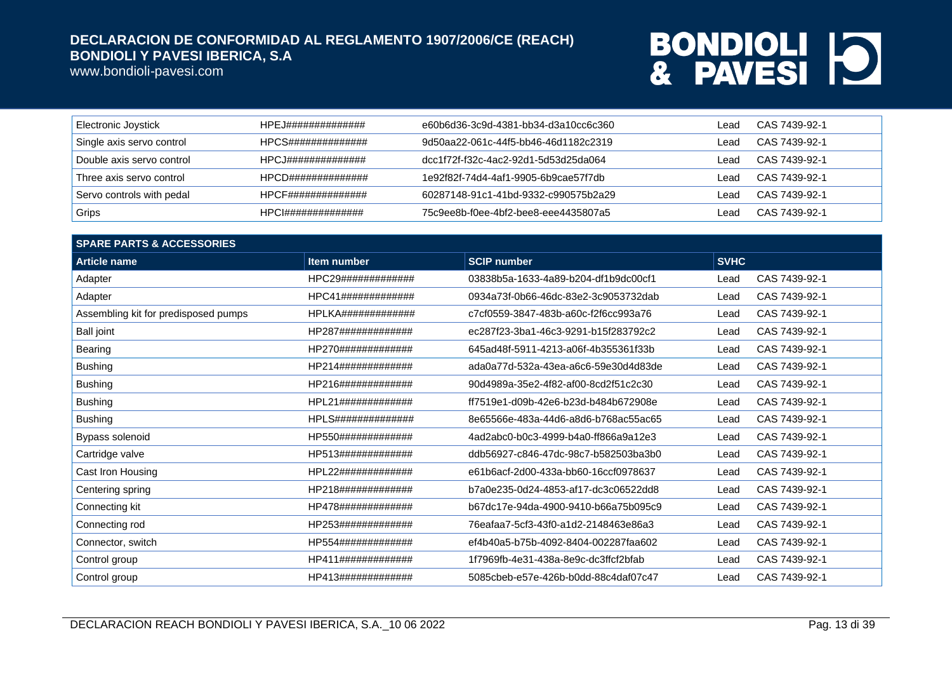www.bondioli-pavesi.com

| Electronic Joystick       | HPEJ############## | e60b6d36-3c9d-4381-bb34-d3a10cc6c360 | _ead | CAS 7439-92-1 |
|---------------------------|--------------------|--------------------------------------|------|---------------|
| Single axis servo control | HPCS############## | 9d50aa22-061c-44f5-bb46-46d1182c2319 | ead  | CAS 7439-92-1 |
| Double axis servo control | HPCJ############## | dcc1f72f-f32c-4ac2-92d1-5d53d25da064 | ead  | CAS 7439-92-1 |
| Three axis servo control  | HPCD############## | 1e92f82f-74d4-4af1-9905-6b9cae57f7db | ead  | CAS 7439-92-1 |
| Servo controls with pedal | HPCF############## | 60287148-91c1-41bd-9332-c990575b2a29 | ead  | CAS 7439-92-1 |
| Grips                     | HPCI############## | 75c9ee8b-f0ee-4bf2-bee8-eee4435807a5 | ead  | CAS 7439-92-1 |

| <b>SPARE PARTS &amp; ACCESSORIES</b> |                           |                                      |             |               |  |
|--------------------------------------|---------------------------|--------------------------------------|-------------|---------------|--|
| <b>Article name</b>                  | Item number               | <b>SCIP number</b>                   | <b>SVHC</b> |               |  |
| Adapter                              | HPC29#############        | 03838b5a-1633-4a89-b204-df1b9dc00cf1 | Lead        | CAS 7439-92-1 |  |
| Adapter                              | HPC41#############        | 0934a73f-0b66-46dc-83e2-3c9053732dab | Lead        | CAS 7439-92-1 |  |
| Assembling kit for predisposed pumps | HPLKA#############        | c7cf0559-3847-483b-a60c-f2f6cc993a76 | Lead        | CAS 7439-92-1 |  |
| <b>Ball joint</b>                    | HP287#############        | ec287f23-3ba1-46c3-9291-b15f283792c2 | Lead        | CAS 7439-92-1 |  |
| Bearing                              | HP270#############        | 645ad48f-5911-4213-a06f-4b355361f33b | Lead        | CAS 7439-92-1 |  |
| <b>Bushing</b>                       | HP214#############        | ada0a77d-532a-43ea-a6c6-59e30d4d83de | Lead        | CAS 7439-92-1 |  |
| <b>Bushing</b>                       | HP216#############        | 90d4989a-35e2-4f82-af00-8cd2f51c2c30 | Lead        | CAS 7439-92-1 |  |
| <b>Bushing</b>                       | HPL21#############        | ff7519e1-d09b-42e6-b23d-b484b672908e | Lead        | CAS 7439-92-1 |  |
| <b>Bushing</b>                       | <b>HPLS##############</b> | 8e65566e-483a-44d6-a8d6-b768ac55ac65 | Lead        | CAS 7439-92-1 |  |
| Bypass solenoid                      | HP550#############        | 4ad2abc0-b0c3-4999-b4a0-ff866a9a12e3 | Lead        | CAS 7439-92-1 |  |
| Cartridge valve                      | HP513#############        | ddb56927-c846-47dc-98c7-b582503ba3b0 | Lead        | CAS 7439-92-1 |  |
| Cast Iron Housing                    | HPL22#############        | e61b6acf-2d00-433a-bb60-16ccf0978637 | Lead        | CAS 7439-92-1 |  |
| Centering spring                     | HP218#############        | b7a0e235-0d24-4853-af17-dc3c06522dd8 | Lead        | CAS 7439-92-1 |  |
| Connecting kit                       | HP478#############        | b67dc17e-94da-4900-9410-b66a75b095c9 | Lead        | CAS 7439-92-1 |  |
| Connecting rod                       | HP253#############        | 76eafaa7-5cf3-43f0-a1d2-2148463e86a3 | Lead        | CAS 7439-92-1 |  |
| Connector, switch                    | HP554#############        | ef4b40a5-b75b-4092-8404-002287faa602 | Lead        | CAS 7439-92-1 |  |
| Control group                        | HP411#############        | 1f7969fb-4e31-438a-8e9c-dc3ffcf2bfab | Lead        | CAS 7439-92-1 |  |
| Control group                        | HP413#############        | 5085cbeb-e57e-426b-b0dd-88c4daf07c47 | Lead        | CAS 7439-92-1 |  |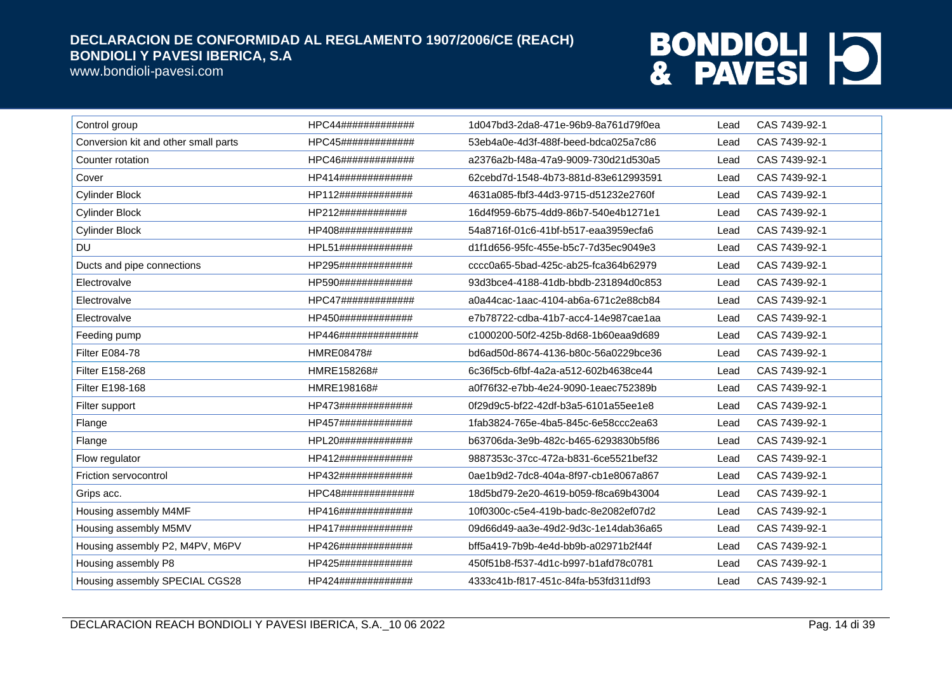www.bondioli-pavesi.com

| Control group                        | HPC44#############  | 1d047bd3-2da8-471e-96b9-8a761d79f0ea | Lead | CAS 7439-92-1 |
|--------------------------------------|---------------------|--------------------------------------|------|---------------|
| Conversion kit and other small parts | HPC45#############  | 53eb4a0e-4d3f-488f-beed-bdca025a7c86 | Lead | CAS 7439-92-1 |
| Counter rotation                     | HPC46#############  | a2376a2b-f48a-47a9-9009-730d21d530a5 | Lead | CAS 7439-92-1 |
| Cover                                | HP414#############  | 62cebd7d-1548-4b73-881d-83e612993591 | Lead | CAS 7439-92-1 |
| <b>Cylinder Block</b>                | HP112#############  | 4631a085-fbf3-44d3-9715-d51232e2760f | Lead | CAS 7439-92-1 |
| <b>Cylinder Block</b>                | HP212############   | 16d4f959-6b75-4dd9-86b7-540e4b1271e1 | Lead | CAS 7439-92-1 |
| <b>Cylinder Block</b>                | HP408#############  | 54a8716f-01c6-41bf-b517-eaa3959ecfa6 | Lead | CAS 7439-92-1 |
| <b>DU</b>                            | HPL51#############  | d1f1d656-95fc-455e-b5c7-7d35ec9049e3 | Lead | CAS 7439-92-1 |
| Ducts and pipe connections           | HP295#############  | cccc0a65-5bad-425c-ab25-fca364b62979 | Lead | CAS 7439-92-1 |
| Electrovalve                         | HP590#############  | 93d3bce4-4188-41db-bbdb-231894d0c853 | Lead | CAS 7439-92-1 |
| Electrovalve                         | HPC47#############  | a0a44cac-1aac-4104-ab6a-671c2e88cb84 | Lead | CAS 7439-92-1 |
| Electrovalve                         | HP450#############  | e7b78722-cdba-41b7-acc4-14e987cae1aa | Lead | CAS 7439-92-1 |
| Feeding pump                         | HP446############## | c1000200-50f2-425b-8d68-1b60eaa9d689 | Lead | CAS 7439-92-1 |
| <b>Filter E084-78</b>                | HMRE08478#          | bd6ad50d-8674-4136-b80c-56a0229bce36 | Lead | CAS 7439-92-1 |
| Filter E158-268                      | HMRE158268#         | 6c36f5cb-6fbf-4a2a-a512-602b4638ce44 | Lead | CAS 7439-92-1 |
| Filter E198-168                      | HMRE198168#         | a0f76f32-e7bb-4e24-9090-1eaec752389b | Lead | CAS 7439-92-1 |
| Filter support                       | HP473#############  | 0f29d9c5-bf22-42df-b3a5-6101a55ee1e8 | Lead | CAS 7439-92-1 |
| Flange                               | HP457#############  | 1fab3824-765e-4ba5-845c-6e58ccc2ea63 | Lead | CAS 7439-92-1 |
| Flange                               | HPL20#############  | b63706da-3e9b-482c-b465-6293830b5f86 | Lead | CAS 7439-92-1 |
| Flow regulator                       | HP412#############  | 9887353c-37cc-472a-b831-6ce5521bef32 | Lead | CAS 7439-92-1 |
| Friction servocontrol                | HP432#############  | 0ae1b9d2-7dc8-404a-8f97-cb1e8067a867 | Lead | CAS 7439-92-1 |
| Grips acc.                           | HPC48#############  | 18d5bd79-2e20-4619-b059-f8ca69b43004 | Lead | CAS 7439-92-1 |
| Housing assembly M4MF                | HP416#############  | 10f0300c-c5e4-419b-badc-8e2082ef07d2 | Lead | CAS 7439-92-1 |
| Housing assembly M5MV                | HP417#############  | 09d66d49-aa3e-49d2-9d3c-1e14dab36a65 | Lead | CAS 7439-92-1 |
| Housing assembly P2, M4PV, M6PV      | HP426#############  | bff5a419-7b9b-4e4d-bb9b-a02971b2f44f | Lead | CAS 7439-92-1 |
| Housing assembly P8                  | HP425#############  | 450f51b8-f537-4d1c-b997-b1afd78c0781 | Lead | CAS 7439-92-1 |
| Housing assembly SPECIAL CGS28       | HP424#############  | 4333c41b-f817-451c-84fa-b53fd311df93 | Lead | CAS 7439-92-1 |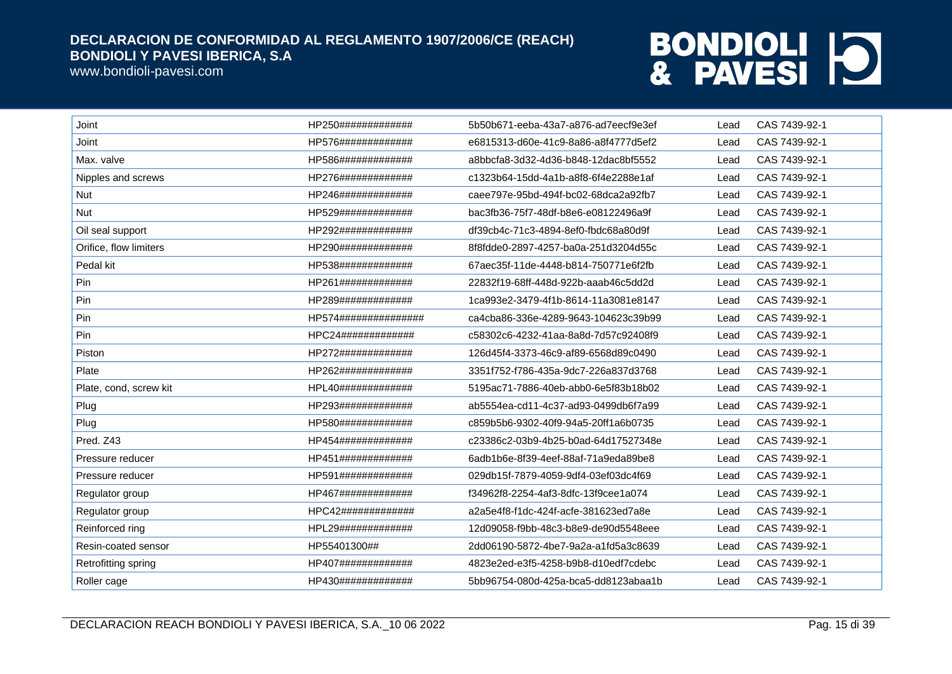www.bondioli-pavesi.com

| Joint                  | HP250#############   | 5b50b671-eeba-43a7-a876-ad7eecf9e3ef | Lead | CAS 7439-92-1 |
|------------------------|----------------------|--------------------------------------|------|---------------|
| Joint                  | HP576#############   | e6815313-d60e-41c9-8a86-a8f4777d5ef2 | Lead | CAS 7439-92-1 |
| Max. valve             | HP586#############   | a8bbcfa8-3d32-4d36-b848-12dac8bf5552 | Lead | CAS 7439-92-1 |
| Nipples and screws     | HP276#############   | c1323b64-15dd-4a1b-a8f8-6f4e2288e1af | Lead | CAS 7439-92-1 |
| Nut                    | HP246#############   | caee797e-95bd-494f-bc02-68dca2a92fb7 | Lead | CAS 7439-92-1 |
| <b>Nut</b>             | HP529#############   | bac3fb36-75f7-48df-b8e6-e08122496a9f | Lead | CAS 7439-92-1 |
| Oil seal support       | HP292#############   | df39cb4c-71c3-4894-8ef0-fbdc68a80d9f | Lead | CAS 7439-92-1 |
| Orifice, flow limiters | HP290#############   | 8f8fdde0-2897-4257-ba0a-251d3204d55c | Lead | CAS 7439-92-1 |
| Pedal kit              | HP538#############   | 67aec35f-11de-4448-b814-750771e6f2fb | Lead | CAS 7439-92-1 |
| Pin                    | HP261#############   | 22832f19-68ff-448d-922b-aaab46c5dd2d | Lead | CAS 7439-92-1 |
| Pin                    | HP289#############   | 1ca993e2-3479-4f1b-8614-11a3081e8147 | Lead | CAS 7439-92-1 |
| Pin                    | HP574############### | ca4cba86-336e-4289-9643-104623c39b99 | Lead | CAS 7439-92-1 |
| Pin                    | HPC24#############   | c58302c6-4232-41aa-8a8d-7d57c92408f9 | Lead | CAS 7439-92-1 |
| Piston                 | HP272#############   | 126d45f4-3373-46c9-af89-6568d89c0490 | Lead | CAS 7439-92-1 |
| Plate                  | HP262#############   | 3351f752-f786-435a-9dc7-226a837d3768 | Lead | CAS 7439-92-1 |
| Plate, cond, screw kit | HPL40#############   | 5195ac71-7886-40eb-abb0-6e5f83b18b02 | Lead | CAS 7439-92-1 |
| Plug                   | HP293#############   | ab5554ea-cd11-4c37-ad93-0499db6f7a99 | Lead | CAS 7439-92-1 |
| Plug                   | HP580#############   | c859b5b6-9302-40f9-94a5-20ff1a6b0735 | Lead | CAS 7439-92-1 |
| Pred. Z43              | HP454#############   | c23386c2-03b9-4b25-b0ad-64d17527348e | Lead | CAS 7439-92-1 |
| Pressure reducer       | HP451#############   | 6adb1b6e-8f39-4eef-88af-71a9eda89be8 | Lead | CAS 7439-92-1 |
| Pressure reducer       | HP591#############   | 029db15f-7879-4059-9df4-03ef03dc4f69 | Lead | CAS 7439-92-1 |
| Regulator group        | HP467#############   | f34962f8-2254-4af3-8dfc-13f9cee1a074 | Lead | CAS 7439-92-1 |
| Regulator group        | HPC42#############   | a2a5e4f8-f1dc-424f-acfe-381623ed7a8e | Lead | CAS 7439-92-1 |
| Reinforced ring        | HPL29#############   | 12d09058-f9bb-48c3-b8e9-de90d5548eee | Lead | CAS 7439-92-1 |
| Resin-coated sensor    | HP55401300##         | 2dd06190-5872-4be7-9a2a-a1fd5a3c8639 | Lead | CAS 7439-92-1 |
| Retrofitting spring    | HP407#############   | 4823e2ed-e3f5-4258-b9b8-d10edf7cdebc | Lead | CAS 7439-92-1 |
| Roller cage            | HP430#############   | 5bb96754-080d-425a-bca5-dd8123abaa1b | Lead | CAS 7439-92-1 |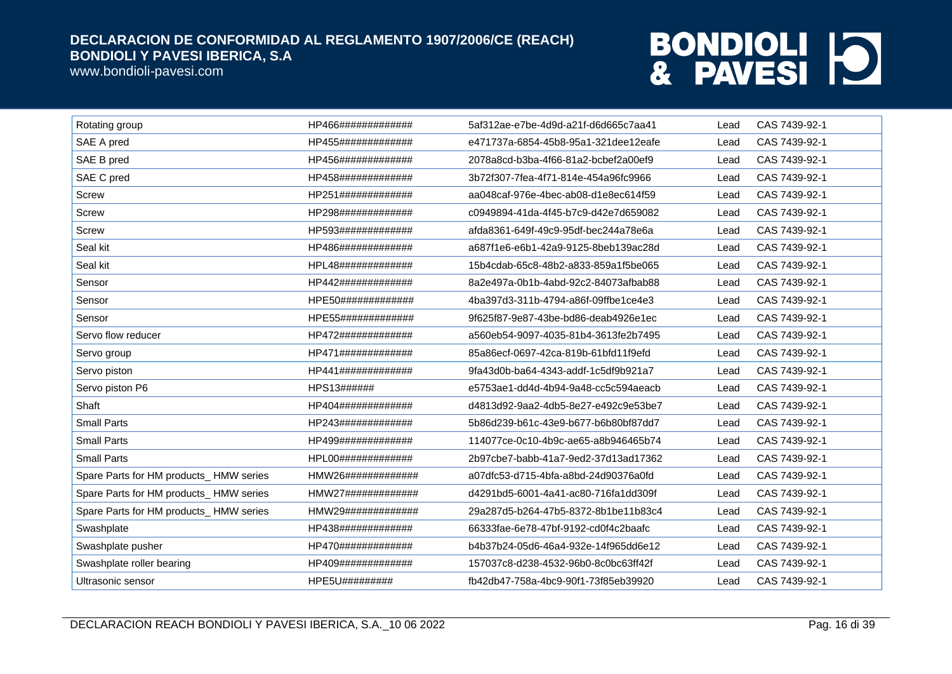www.bondioli-pavesi.com

| Rotating group                         | HP466############# | 5af312ae-e7be-4d9d-a21f-d6d665c7aa41 | Lead | CAS 7439-92-1 |
|----------------------------------------|--------------------|--------------------------------------|------|---------------|
| SAE A pred                             | HP455############# | e471737a-6854-45b8-95a1-321dee12eafe | Lead | CAS 7439-92-1 |
| SAE B pred                             | HP456############# | 2078a8cd-b3ba-4f66-81a2-bcbef2a00ef9 | Lead | CAS 7439-92-1 |
| SAE C pred                             | HP458############# | 3b72f307-7fea-4f71-814e-454a96fc9966 | Lead | CAS 7439-92-1 |
| <b>Screw</b>                           | HP251############# | aa048caf-976e-4bec-ab08-d1e8ec614f59 | Lead | CAS 7439-92-1 |
| <b>Screw</b>                           | HP298############# | c0949894-41da-4f45-b7c9-d42e7d659082 | Lead | CAS 7439-92-1 |
| <b>Screw</b>                           | HP593############# | afda8361-649f-49c9-95df-bec244a78e6a | Lead | CAS 7439-92-1 |
| Seal kit                               | HP486############# | a687f1e6-e6b1-42a9-9125-8beb139ac28d | Lead | CAS 7439-92-1 |
| Seal kit                               | HPL48############# | 15b4cdab-65c8-48b2-a833-859a1f5be065 | Lead | CAS 7439-92-1 |
| Sensor                                 | HP442############# | 8a2e497a-0b1b-4abd-92c2-84073afbab88 | Lead | CAS 7439-92-1 |
| Sensor                                 | HPE50############# | 4ba397d3-311b-4794-a86f-09ffbe1ce4e3 | Lead | CAS 7439-92-1 |
| Sensor                                 | HPE55############# | 9f625f87-9e87-43be-bd86-deab4926e1ec | Lead | CAS 7439-92-1 |
| Servo flow reducer                     | HP472############# | a560eb54-9097-4035-81b4-3613fe2b7495 | Lead | CAS 7439-92-1 |
| Servo group                            | HP471############# | 85a86ecf-0697-42ca-819b-61bfd11f9efd | Lead | CAS 7439-92-1 |
| Servo piston                           | HP441############# | 9fa43d0b-ba64-4343-addf-1c5df9b921a7 | Lead | CAS 7439-92-1 |
| Servo piston P6                        | HPS13######        | e5753ae1-dd4d-4b94-9a48-cc5c594aeacb | Lead | CAS 7439-92-1 |
| Shaft                                  | HP404############# | d4813d92-9aa2-4db5-8e27-e492c9e53be7 | Lead | CAS 7439-92-1 |
| <b>Small Parts</b>                     | HP243############# | 5b86d239-b61c-43e9-b677-b6b80bf87dd7 | Lead | CAS 7439-92-1 |
| <b>Small Parts</b>                     | HP499############# | 114077ce-0c10-4b9c-ae65-a8b946465b74 | Lead | CAS 7439-92-1 |
| <b>Small Parts</b>                     | HPL00############# | 2b97cbe7-babb-41a7-9ed2-37d13ad17362 | Lead | CAS 7439-92-1 |
| Spare Parts for HM products_HMW series | HMW26############# | a07dfc53-d715-4bfa-a8bd-24d90376a0fd | Lead | CAS 7439-92-1 |
| Spare Parts for HM products_HMW series | HMW27############# | d4291bd5-6001-4a41-ac80-716fa1dd309f | Lead | CAS 7439-92-1 |
| Spare Parts for HM products_HMW series | HMW29############# | 29a287d5-b264-47b5-8372-8b1be11b83c4 | Lead | CAS 7439-92-1 |
| Swashplate                             | HP438############# | 66333fae-6e78-47bf-9192-cd0f4c2baafc | Lead | CAS 7439-92-1 |
| Swashplate pusher                      | HP470############# | b4b37b24-05d6-46a4-932e-14f965dd6e12 | Lead | CAS 7439-92-1 |
| Swashplate roller bearing              | HP409############# | 157037c8-d238-4532-96b0-8c0bc63ff42f | Lead | CAS 7439-92-1 |
| Ultrasonic sensor                      | HPE5U#########     | fb42db47-758a-4bc9-90f1-73f85eb39920 | Lead | CAS 7439-92-1 |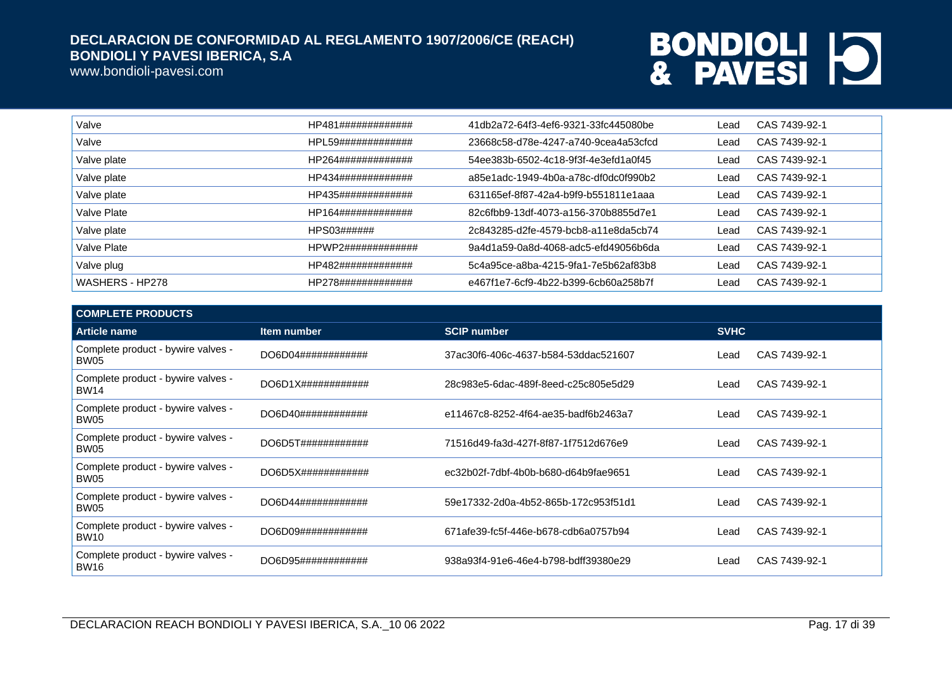www.bondioli-pavesi.com

| Valve           | HP481############# | 41db2a72-64f3-4ef6-9321-33fc445080be | Lead | CAS 7439-92-1 |
|-----------------|--------------------|--------------------------------------|------|---------------|
| Valve           | HPL59############# | 23668c58-d78e-4247-a740-9cea4a53cfcd | Lead | CAS 7439-92-1 |
| Valve plate     | HP264############# | 54ee383b-6502-4c18-9f3f-4e3efd1a0f45 | Lead | CAS 7439-92-1 |
| Valve plate     | HP434############# | a85e1adc-1949-4b0a-a78c-df0dc0f990b2 | Lead | CAS 7439-92-1 |
| Valve plate     | HP435############# | 631165ef-8f87-42a4-b9f9-b551811e1aaa | Lead | CAS 7439-92-1 |
| Valve Plate     | HP164############# | 82c6fbb9-13df-4073-a156-370b8855d7e1 | Lead | CAS 7439-92-1 |
| Valve plate     | HPS03######        | 2c843285-d2fe-4579-bcb8-a11e8da5cb74 | Lead | CAS 7439-92-1 |
| Valve Plate     | HPWP2############# | 9a4d1a59-0a8d-4068-adc5-efd49056b6da | Lead | CAS 7439-92-1 |
| Valve plug      | HP482############# | 5c4a95ce-a8ba-4215-9fa1-7e5b62af83b8 | ∟ead | CAS 7439-92-1 |
| WASHERS - HP278 | HP278############# | e467f1e7-6cf9-4b22-b399-6cb60a258b7f | Lead | CAS 7439-92-1 |

| <b>COMPLETE PRODUCTS</b>                          |                               |                                      |             |               |
|---------------------------------------------------|-------------------------------|--------------------------------------|-------------|---------------|
| <b>Article name</b>                               | Item number                   | <b>SCIP number</b>                   | <b>SVHC</b> |               |
| Complete product - bywire valves -<br>BW05        | DO6D04############            | 37ac30f6-406c-4637-b584-53ddac521607 | Lead        | CAS 7439-92-1 |
| Complete product - bywire valves -<br><b>BW14</b> | $DO6D1X\#4\#4\#4\#4\#4\#4\#4$ | 28c983e5-6dac-489f-8eed-c25c805e5d29 | Lead        | CAS 7439-92-1 |
| Complete product - bywire valves -<br>BW05        | DO6D40############            | e11467c8-8252-4f64-ae35-badf6b2463a7 | Lead        | CAS 7439-92-1 |
| Complete product - bywire valves -<br>BW05        | DO6D5T############            | 71516d49-fa3d-427f-8f87-1f7512d676e9 | Lead        | CAS 7439-92-1 |
| Complete product - bywire valves -<br>BW05        | DO6D5X#############           | ec32b02f-7dbf-4b0b-b680-d64b9fae9651 | Lead        | CAS 7439-92-1 |
| Complete product - bywire valves -<br>BW05        | DO6D44############            | 59e17332-2d0a-4b52-865b-172c953f51d1 | Lead        | CAS 7439-92-1 |
| Complete product - bywire valves -<br><b>BW10</b> | DO6D09#############           | 671afe39-fc5f-446e-b678-cdb6a0757b94 | Lead        | CAS 7439-92-1 |
| Complete product - bywire valves -<br><b>BW16</b> | DO6D95############            | 938a93f4-91e6-46e4-b798-bdff39380e29 | Lead        | CAS 7439-92-1 |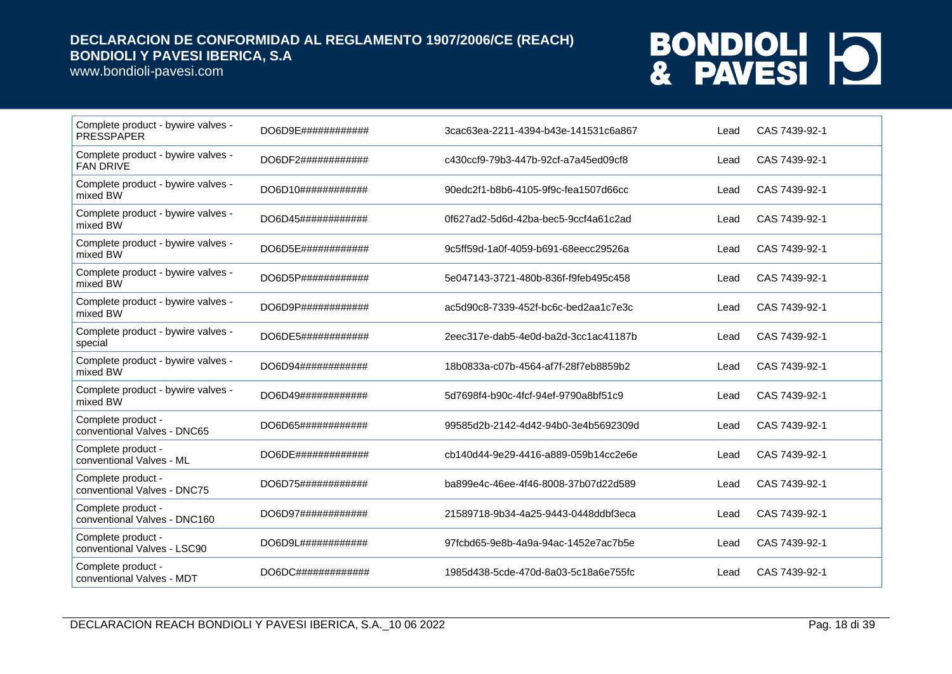www.bondioli-pavesi.com

| Complete product - bywire valves -<br><b>PRESSPAPER</b> | DO6D9E#############    | 3cac63ea-2211-4394-b43e-141531c6a867 | Lead | CAS 7439-92-1 |
|---------------------------------------------------------|------------------------|--------------------------------------|------|---------------|
| Complete product - bywire valves -<br><b>FAN DRIVE</b>  | DO6DF2############     | c430ccf9-79b3-447b-92cf-a7a45ed09cf8 | Lead | CAS 7439-92-1 |
| Complete product - bywire valves -<br>mixed BW          | DO6D10############     | 90edc2f1-b8b6-4105-9f9c-fea1507d66cc | Lead | CAS 7439-92-1 |
| Complete product - bywire valves -<br>mixed BW          | DO6D45############     | 0f627ad2-5d6d-42ba-bec5-9ccf4a61c2ad | Lead | CAS 7439-92-1 |
| Complete product - bywire valves -<br>mixed BW          | DO6D5E############     | 9c5ff59d-1a0f-4059-b691-68eecc29526a | Lead | CAS 7439-92-1 |
| Complete product - bywire valves -<br>mixed BW          | DO6D5P############     | 5e047143-3721-480b-836f-f9feb495c458 | Lead | CAS 7439-92-1 |
| Complete product - bywire valves -<br>mixed BW          | DO6D9P#############    | ac5d90c8-7339-452f-bc6c-bed2aa1c7e3c | Lead | CAS 7439-92-1 |
| Complete product - bywire valves -<br>special           | DO6DE5############     | 2eec317e-dab5-4e0d-ba2d-3cc1ac41187b | Lead | CAS 7439-92-1 |
| Complete product - bywire valves -<br>mixed BW          | DO6D94############     | 18b0833a-c07b-4564-af7f-28f7eb8859b2 | Lead | CAS 7439-92-1 |
| Complete product - bywire valves -<br>mixed BW          | DO6D49############     | 5d7698f4-b90c-4fcf-94ef-9790a8bf51c9 | Lead | CAS 7439-92-1 |
| Complete product -<br>conventional Valves - DNC65       | DO6D65############     | 99585d2b-2142-4d42-94b0-3e4b5692309d | Lead | CAS 7439-92-1 |
| Complete product -<br>conventional Valves - ML          | $DO6DE$ ############## | cb140d44-9e29-4416-a889-059b14cc2e6e | Lead | CAS 7439-92-1 |
| Complete product -<br>conventional Valves - DNC75       | DO6D75############     | ba899e4c-46ee-4f46-8008-37b07d22d589 | Lead | CAS 7439-92-1 |
| Complete product -<br>conventional Valves - DNC160      | DO6D97############     | 21589718-9b34-4a25-9443-0448ddbf3eca | Lead | CAS 7439-92-1 |
| Complete product -<br>conventional Valves - LSC90       | DO6D9L#############    | 97fcbd65-9e8b-4a9a-94ac-1452e7ac7b5e | Lead | CAS 7439-92-1 |
| Complete product -<br>conventional Valves - MDT         | DO6DC#############     | 1985d438-5cde-470d-8a03-5c18a6e755fc | Lead | CAS 7439-92-1 |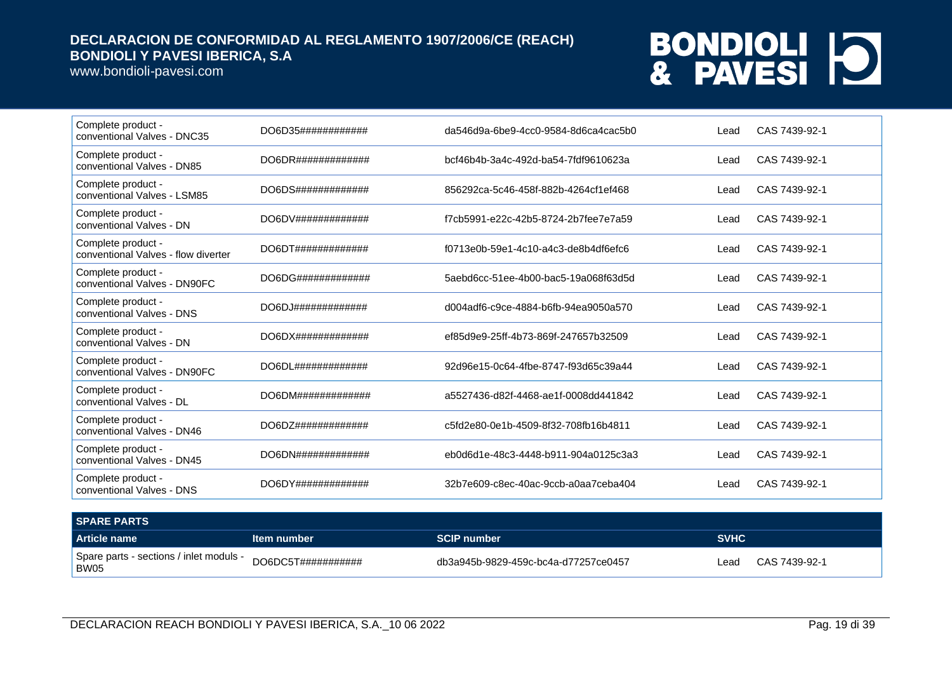www.bondioli-pavesi.com

| Complete product -<br>conventional Valves - DNC35         | DO6D35############               | da546d9a-6be9-4cc0-9584-8d6ca4cac5b0 | Lead | CAS 7439-92-1 |
|-----------------------------------------------------------|----------------------------------|--------------------------------------|------|---------------|
| Complete product -<br>conventional Valves - DN85          | DO6DR# # # # # # # # # # # # # # | bcf46b4b-3a4c-492d-ba54-7fdf9610623a | Lead | CAS 7439-92-1 |
| Complete product -<br>conventional Valves - LSM85         | DO6DS#############               | 856292ca-5c46-458f-882b-4264cf1ef468 | Lead | CAS 7439-92-1 |
| Complete product -<br>conventional Valves - DN            |                                  | f7cb5991-e22c-42b5-8724-2b7fee7e7a59 | Lead | CAS 7439-92-1 |
| Complete product -<br>conventional Valves - flow diverter |                                  | f0713e0b-59e1-4c10-a4c3-de8b4df6efc6 | Lead | CAS 7439-92-1 |
| Complete product -<br>conventional Valves - DN90FC        | DO6DG#############               | 5aebd6cc-51ee-4b00-bac5-19a068f63d5d | Lead | CAS 7439-92-1 |
| Complete product -<br>conventional Valves - DNS           | DO6DJ# # # # # # # # # # # # # # | d004adf6-c9ce-4884-b6fb-94ea9050a570 | Lead | CAS 7439-92-1 |
| Complete product -<br>conventional Valves - DN            |                                  | ef85d9e9-25ff-4b73-869f-247657b32509 | Lead | CAS 7439-92-1 |
| Complete product -<br>conventional Valves - DN90FC        | $DO6DL$ ##############           | 92d96e15-0c64-4fbe-8747-f93d65c39a44 | Lead | CAS 7439-92-1 |
| Complete product -<br>conventional Valves - DL            | DO6DM#############               | a5527436-d82f-4468-ae1f-0008dd441842 | Lead | CAS 7439-92-1 |
| Complete product -<br>conventional Valves - DN46          |                                  | c5fd2e80-0e1b-4509-8f32-708fb16b4811 | Lead | CAS 7439-92-1 |
| Complete product -<br>conventional Valves - DN45          | DO6DN#############               | eb0d6d1e-48c3-4448-b911-904a0125c3a3 | Lead | CAS 7439-92-1 |
| Complete product -<br>conventional Valves - DNS           | DO6DY##############              | 32b7e609-c8ec-40ac-9ccb-a0aa7ceba404 | Lead | CAS 7439-92-1 |
|                                                           |                                  |                                      |      |               |

| <b>SPARE PARTS</b>                              |                                  |                                      |                       |
|-------------------------------------------------|----------------------------------|--------------------------------------|-----------------------|
| Article name                                    | Item number                      | <b>SCIP number</b>                   | <b>SVHC</b>           |
| Spare parts - sections / inlet moduls -<br>BW05 | DO6DC5T# # # # # # # # # # # # # | db3a945b-9829-459c-bc4a-d77257ce0457 | CAS 7439-92-1<br>∟ead |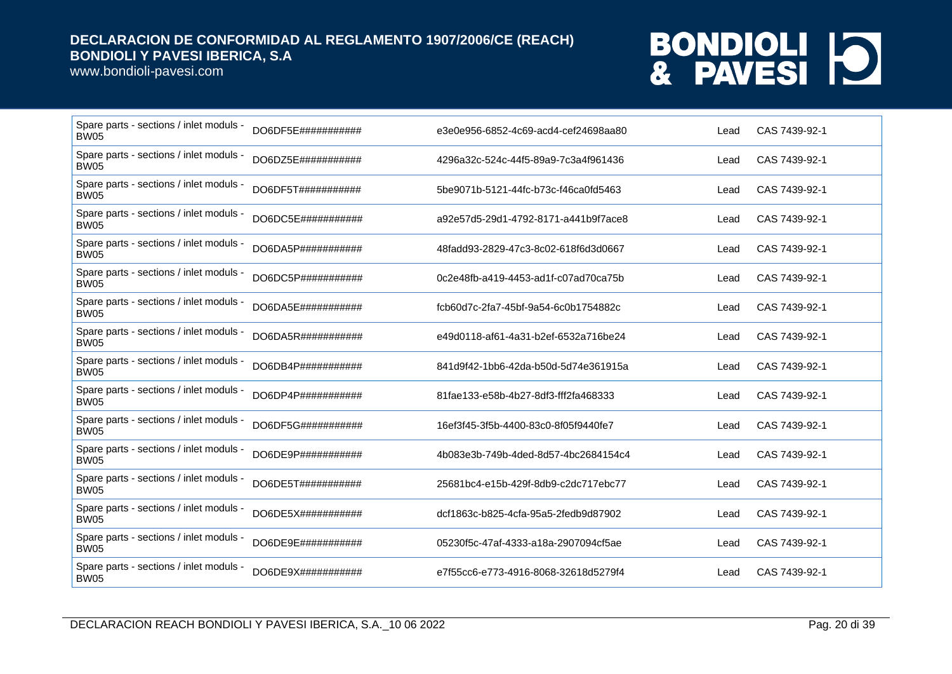www.bondioli-pavesi.com

| Spare parts - sections / inlet moduls -<br><b>BW05</b> | DO6DF5E###########  | e3e0e956-6852-4c69-acd4-cef24698aa80 | Lead | CAS 7439-92-1 |
|--------------------------------------------------------|---------------------|--------------------------------------|------|---------------|
| Spare parts - sections / inlet moduls -<br><b>BW05</b> | DO6DZ5E###########  | 4296a32c-524c-44f5-89a9-7c3a4f961436 | Lead | CAS 7439-92-1 |
| Spare parts - sections / inlet moduls -<br><b>BW05</b> | DO6DF5T###########  | 5be9071b-5121-44fc-b73c-f46ca0fd5463 | Lead | CAS 7439-92-1 |
| Spare parts - sections / inlet moduls -<br><b>BW05</b> | DO6DC5E###########  | a92e57d5-29d1-4792-8171-a441b9f7ace8 | Lead | CAS 7439-92-1 |
| Spare parts - sections / inlet moduls -<br><b>BW05</b> | DO6DA5P###########  | 48fadd93-2829-47c3-8c02-618f6d3d0667 | Lead | CAS 7439-92-1 |
| Spare parts - sections / inlet moduls -<br><b>BW05</b> | DO6DC5P###########  | 0c2e48fb-a419-4453-ad1f-c07ad70ca75b | Lead | CAS 7439-92-1 |
| Spare parts - sections / inlet moduls -<br><b>BW05</b> | DO6DA5E###########  | fcb60d7c-2fa7-45bf-9a54-6c0b1754882c | Lead | CAS 7439-92-1 |
| Spare parts - sections / inlet moduls -<br><b>BW05</b> | DO6DA5R###########  | e49d0118-af61-4a31-b2ef-6532a716be24 | Lead | CAS 7439-92-1 |
| Spare parts - sections / inlet moduls -<br><b>BW05</b> | DO6DB4P###########  | 841d9f42-1bb6-42da-b50d-5d74e361915a | Lead | CAS 7439-92-1 |
| Spare parts - sections / inlet moduls -<br><b>BW05</b> | DO6DP4P###########  | 81fae133-e58b-4b27-8df3-fff2fa468333 | Lead | CAS 7439-92-1 |
| Spare parts - sections / inlet moduls -<br><b>BW05</b> | DO6DF5G###########  | 16ef3f45-3f5b-4400-83c0-8f05f9440fe7 | Lead | CAS 7439-92-1 |
| Spare parts - sections / inlet moduls -<br><b>BW05</b> | DO6DE9P###########  | 4b083e3b-749b-4ded-8d57-4bc2684154c4 | Lead | CAS 7439-92-1 |
| Spare parts - sections / inlet moduls -<br><b>BW05</b> | DO6DE5T###########  | 25681bc4-e15b-429f-8db9-c2dc717ebc77 | Lead | CAS 7439-92-1 |
| Spare parts - sections / inlet moduls -<br><b>BW05</b> | DO6DE5X############ | dcf1863c-b825-4cfa-95a5-2fedb9d87902 | Lead | CAS 7439-92-1 |
| Spare parts - sections / inlet moduls -<br><b>BW05</b> | DO6DE9E###########  | 05230f5c-47af-4333-a18a-2907094cf5ae | Lead | CAS 7439-92-1 |
| Spare parts - sections / inlet moduls -<br><b>BW05</b> | DO6DE9X############ | e7f55cc6-e773-4916-8068-32618d5279f4 | Lead | CAS 7439-92-1 |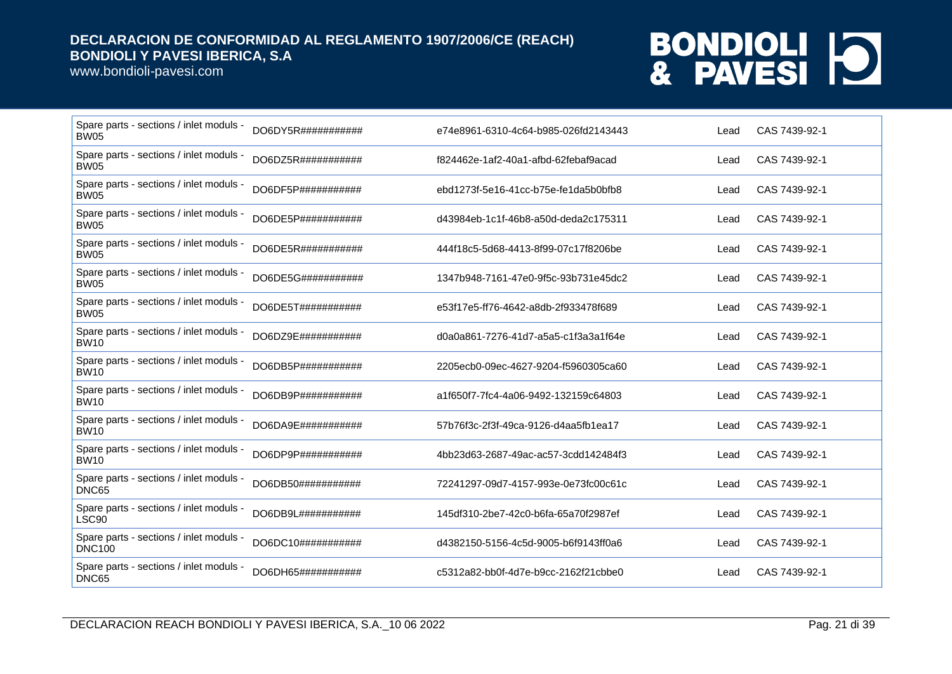www.bondioli-pavesi.com

| Spare parts - sections / inlet moduls -<br><b>BW05</b>   | DO6DY5R###########  | e74e8961-6310-4c64-b985-026fd2143443 | Lead | CAS 7439-92-1 |
|----------------------------------------------------------|---------------------|--------------------------------------|------|---------------|
| Spare parts - sections / inlet moduls -<br><b>BW05</b>   | DO6DZ5R###########  | f824462e-1af2-40a1-afbd-62febaf9acad | Lead | CAS 7439-92-1 |
| Spare parts - sections / inlet moduls -<br><b>BW05</b>   | DO6DF5P###########  | ebd1273f-5e16-41cc-b75e-fe1da5b0bfb8 | Lead | CAS 7439-92-1 |
| Spare parts - sections / inlet moduls -<br><b>BW05</b>   | DO6DE5P###########  | d43984eb-1c1f-46b8-a50d-deda2c175311 | Lead | CAS 7439-92-1 |
| Spare parts - sections / inlet moduls -<br><b>BW05</b>   | DO6DE5R###########  | 444f18c5-5d68-4413-8f99-07c17f8206be | Lead | CAS 7439-92-1 |
| Spare parts - sections / inlet moduls -<br><b>BW05</b>   | DO6DE5G###########  | 1347b948-7161-47e0-9f5c-93b731e45dc2 | Lead | CAS 7439-92-1 |
| Spare parts - sections / inlet moduls -<br><b>BW05</b>   | DO6DE5T###########  | e53f17e5-ff76-4642-a8db-2f933478f689 | Lead | CAS 7439-92-1 |
| Spare parts - sections / inlet moduls -<br><b>BW10</b>   | DO6DZ9E###########  | d0a0a861-7276-41d7-a5a5-c1f3a3a1f64e | Lead | CAS 7439-92-1 |
| Spare parts - sections / inlet moduls -<br><b>BW10</b>   | DO6DB5P###########  | 2205ecb0-09ec-4627-9204-f5960305ca60 | Lead | CAS 7439-92-1 |
| Spare parts - sections / inlet moduls -<br><b>BW10</b>   | DO6DB9P###########  | a1f650f7-7fc4-4a06-9492-132159c64803 | Lead | CAS 7439-92-1 |
| Spare parts - sections / inlet moduls -<br><b>BW10</b>   | DO6DA9E###########  | 57b76f3c-2f3f-49ca-9126-d4aa5fb1ea17 | Lead | CAS 7439-92-1 |
| Spare parts - sections / inlet moduls -<br><b>BW10</b>   | DO6DP9P###########  | 4bb23d63-2687-49ac-ac57-3cdd142484f3 | Lead | CAS 7439-92-1 |
| Spare parts - sections / inlet moduls -<br>DNC65         | DO6DB50############ | 72241297-09d7-4157-993e-0e73fc00c61c | Lead | CAS 7439-92-1 |
| Spare parts - sections / inlet moduls -<br>LSC90         | DO6DB9L###########  | 145df310-2be7-42c0-b6fa-65a70f2987ef | Lead | CAS 7439-92-1 |
| Spare parts - sections / inlet moduls -<br><b>DNC100</b> | DO6DC10###########  | d4382150-5156-4c5d-9005-b6f9143ff0a6 | Lead | CAS 7439-92-1 |
| Spare parts - sections / inlet moduls -<br>DNC65         | DO6DH65###########  | c5312a82-bb0f-4d7e-b9cc-2162f21cbbe0 | Lead | CAS 7439-92-1 |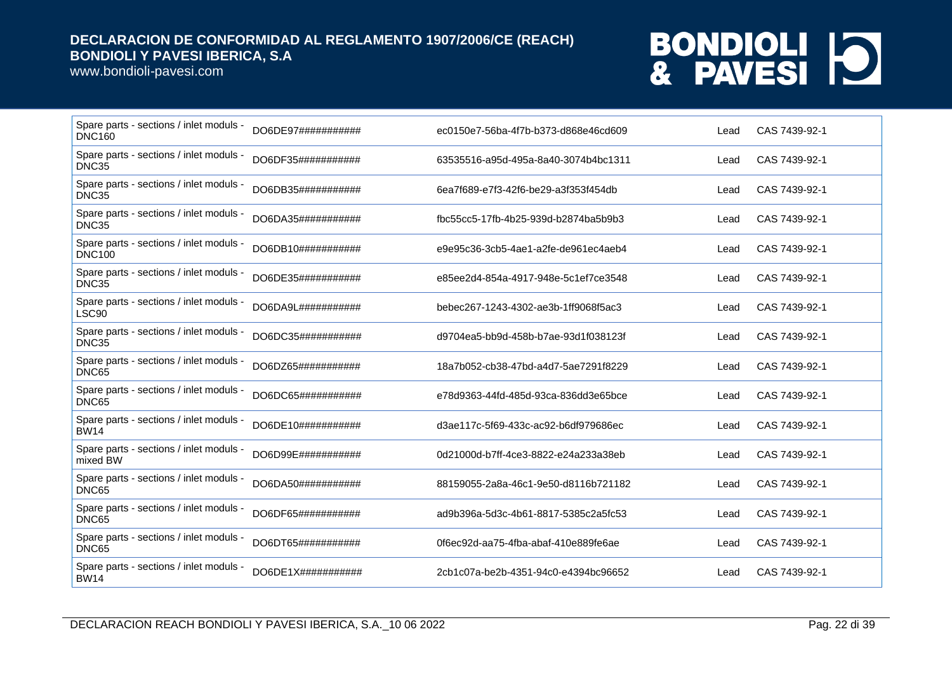www.bondioli-pavesi.com

| Spare parts - sections / inlet moduls -<br><b>DNC160</b> | DO6DE97###########  | ec0150e7-56ba-4f7b-b373-d868e46cd609 | Lead | CAS 7439-92-1 |
|----------------------------------------------------------|---------------------|--------------------------------------|------|---------------|
| Spare parts - sections / inlet moduls -<br>DNC35         | DO6DF35###########  | 63535516-a95d-495a-8a40-3074b4bc1311 | Lead | CAS 7439-92-1 |
| Spare parts - sections / inlet moduls -<br>DNC35         | DO6DB35############ | 6ea7f689-e7f3-42f6-be29-a3f353f454db | Lead | CAS 7439-92-1 |
| Spare parts - sections / inlet moduls -<br>DNC35         | DO6DA35###########  | fbc55cc5-17fb-4b25-939d-b2874ba5b9b3 | Lead | CAS 7439-92-1 |
| Spare parts - sections / inlet moduls -<br><b>DNC100</b> | DO6DB10###########  | e9e95c36-3cb5-4ae1-a2fe-de961ec4aeb4 | Lead | CAS 7439-92-1 |
| Spare parts - sections / inlet moduls -<br>DNC35         | DO6DE35###########  | e85ee2d4-854a-4917-948e-5c1ef7ce3548 | Lead | CAS 7439-92-1 |
| Spare parts - sections / inlet moduls -<br>LSC90         | DO6DA9L###########  | bebec267-1243-4302-ae3b-1ff9068f5ac3 | Lead | CAS 7439-92-1 |
| Spare parts - sections / inlet moduls -<br>DNC35         | DO6DC35############ | d9704ea5-bb9d-458b-b7ae-93d1f038123f | Lead | CAS 7439-92-1 |
| Spare parts - sections / inlet moduls -<br>DNC65         | DO6DZ65###########  | 18a7b052-cb38-47bd-a4d7-5ae7291f8229 | Lead | CAS 7439-92-1 |
| Spare parts - sections / inlet moduls -<br>DNC65         | DO6DC65###########  | e78d9363-44fd-485d-93ca-836dd3e65bce | Lead | CAS 7439-92-1 |
| Spare parts - sections / inlet moduls -<br><b>BW14</b>   | DO6DE10############ | d3ae117c-5f69-433c-ac92-b6df979686ec | Lead | CAS 7439-92-1 |
| Spare parts - sections / inlet moduls -<br>mixed BW      | DO6D99E###########  | 0d21000d-b7ff-4ce3-8822-e24a233a38eb | Lead | CAS 7439-92-1 |
| Spare parts - sections / inlet moduls -<br>DNC65         | DO6DA50###########  | 88159055-2a8a-46c1-9e50-d8116b721182 | Lead | CAS 7439-92-1 |
| Spare parts - sections / inlet moduls -<br>DNC65         | DO6DF65###########  | ad9b396a-5d3c-4b61-8817-5385c2a5fc53 | Lead | CAS 7439-92-1 |
| Spare parts - sections / inlet moduls -<br>DNC65         | DO6DT65###########  | 0f6ec92d-aa75-4fba-abaf-410e889fe6ae | Lead | CAS 7439-92-1 |
| Spare parts - sections / inlet moduls -<br><b>BW14</b>   | DO6DE1X###########  | 2cb1c07a-be2b-4351-94c0-e4394bc96652 | Lead | CAS 7439-92-1 |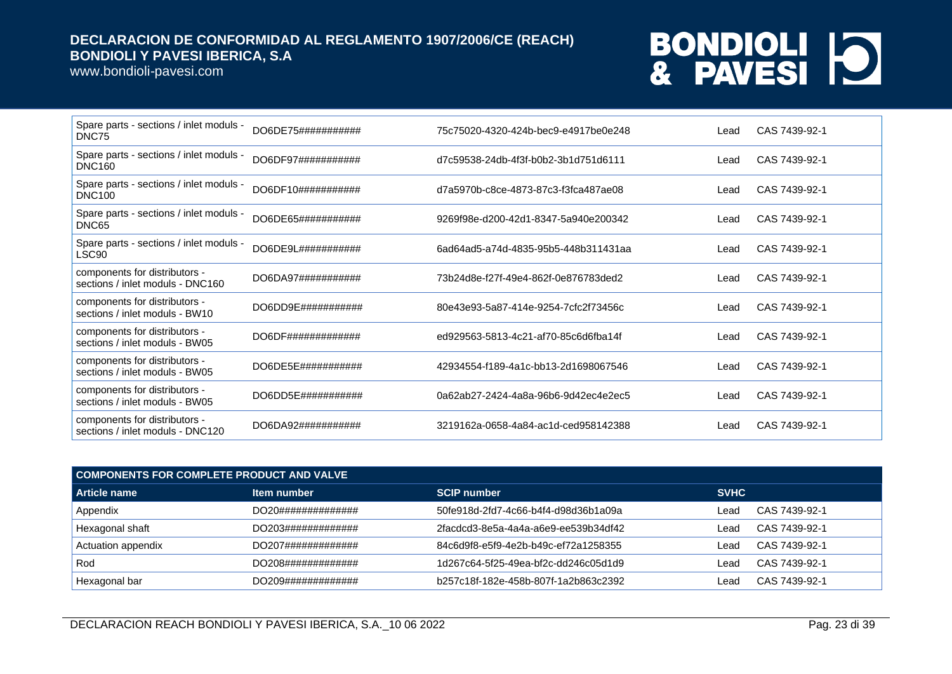www.bondioli-pavesi.com

| Spare parts - sections / inlet moduls -<br>DNC75                  | DO6DE75########### | 75c75020-4320-424b-bec9-e4917be0e248 | Lead | CAS 7439-92-1 |
|-------------------------------------------------------------------|--------------------|--------------------------------------|------|---------------|
| Spare parts - sections / inlet moduls -<br><b>DNC160</b>          | DO6DF97########### | d7c59538-24db-4f3f-b0b2-3b1d751d6111 | Lead | CAS 7439-92-1 |
| Spare parts - sections / inlet moduls -<br><b>DNC100</b>          | DO6DF10########### | d7a5970b-c8ce-4873-87c3-f3fca487ae08 | Lead | CAS 7439-92-1 |
| Spare parts - sections / inlet moduls -<br>DNC65                  | DO6DE65########### | 9269f98e-d200-42d1-8347-5a940e200342 | Lead | CAS 7439-92-1 |
| Spare parts - sections / inlet moduls -<br>LSC90                  | DO6DE9L########### | 6ad64ad5-a74d-4835-95b5-448b311431aa | Lead | CAS 7439-92-1 |
| components for distributors -<br>sections / inlet moduls - DNC160 | DO6DA97########### | 73b24d8e-f27f-49e4-862f-0e876783ded2 | Lead | CAS 7439-92-1 |
| components for distributors -<br>sections / inlet moduls - BW10   | DO6DD9E########### | 80e43e93-5a87-414e-9254-7cfc2f73456c | Lead | CAS 7439-92-1 |
| components for distributors -<br>sections / inlet moduls - BW05   | DO6DF############# | ed929563-5813-4c21-af70-85c6d6fba14f | Lead | CAS 7439-92-1 |
| components for distributors -<br>sections / inlet moduls - BW05   | DO6DE5E########### | 42934554-f189-4a1c-bb13-2d1698067546 | Lead | CAS 7439-92-1 |
| components for distributors -<br>sections / inlet moduls - BW05   | DO6DD5E########### | 0a62ab27-2424-4a8a-96b6-9d42ec4e2ec5 | Lead | CAS 7439-92-1 |
| components for distributors -<br>sections / inlet moduls - DNC120 | DO6DA92########### | 3219162a-0658-4a84-ac1d-ced958142388 | Lead | CAS 7439-92-1 |

| COMPONENTS FOR COMPLETE PRODUCT AND VALVE |                    |                                      |             |               |  |
|-------------------------------------------|--------------------|--------------------------------------|-------------|---------------|--|
| Article name                              | Item number        | <b>SCIP number</b>                   | <b>SVHC</b> |               |  |
| Appendix                                  | DO20############## | 50fe918d-2fd7-4c66-b4f4-d98d36b1a09a | Lead        | CAS 7439-92-1 |  |
| Hexagonal shaft                           | DO203############# | 2facdcd3-8e5a-4a4a-a6e9-ee539b34df42 | Lead        | CAS 7439-92-1 |  |
| Actuation appendix                        | DO207############# | 84c6d9f8-e5f9-4e2b-b49c-ef72a1258355 | ∟ead        | CAS 7439-92-1 |  |
| Rod                                       | DO208############# | 1d267c64-5f25-49ea-bf2c-dd246c05d1d9 | Lead        | CAS 7439-92-1 |  |
| Hexagonal bar                             | DO209############# | b257c18f-182e-458b-807f-1a2b863c2392 | Lead        | CAS 7439-92-1 |  |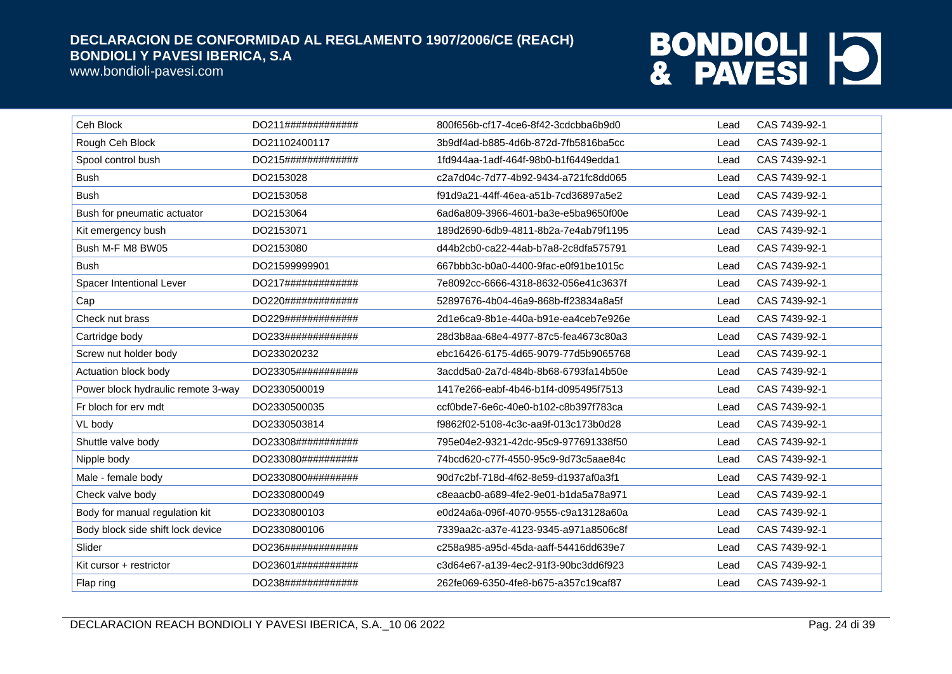www.bondioli-pavesi.com

| Ceh Block                          | DO211#############  | 800f656b-cf17-4ce6-8f42-3cdcbba6b9d0 | Lead | CAS 7439-92-1 |
|------------------------------------|---------------------|--------------------------------------|------|---------------|
| Rough Ceh Block                    | DO21102400117       | 3b9df4ad-b885-4d6b-872d-7fb5816ba5cc | Lead | CAS 7439-92-1 |
| Spool control bush                 | DO215#############  | 1fd944aa-1adf-464f-98b0-b1f6449edda1 | Lead | CAS 7439-92-1 |
| <b>Bush</b>                        | DO2153028           | c2a7d04c-7d77-4b92-9434-a721fc8dd065 | Lead | CAS 7439-92-1 |
| <b>Bush</b>                        | DO2153058           | f91d9a21-44ff-46ea-a51b-7cd36897a5e2 | Lead | CAS 7439-92-1 |
| Bush for pneumatic actuator        | DO2153064           | 6ad6a809-3966-4601-ba3e-e5ba9650f00e | Lead | CAS 7439-92-1 |
| Kit emergency bush                 | DO2153071           | 189d2690-6db9-4811-8b2a-7e4ab79f1195 | Lead | CAS 7439-92-1 |
| Bush M-F M8 BW05                   | DO2153080           | d44b2cb0-ca22-44ab-b7a8-2c8dfa575791 | Lead | CAS 7439-92-1 |
| <b>Bush</b>                        | DO21599999901       | 667bbb3c-b0a0-4400-9fac-e0f91be1015c | Lead | CAS 7439-92-1 |
| Spacer Intentional Lever           | DO217#############  | 7e8092cc-6666-4318-8632-056e41c3637f | Lead | CAS 7439-92-1 |
| Cap                                | DO220#############  | 52897676-4b04-46a9-868b-ff23834a8a5f | Lead | CAS 7439-92-1 |
| Check nut brass                    | DO229#############  | 2d1e6ca9-8b1e-440a-b91e-ea4ceb7e926e | Lead | CAS 7439-92-1 |
| Cartridge body                     | DO233#############  | 28d3b8aa-68e4-4977-87c5-fea4673c80a3 | Lead | CAS 7439-92-1 |
| Screw nut holder body              | DO233020232         | ebc16426-6175-4d65-9079-77d5b9065768 | Lead | CAS 7439-92-1 |
| Actuation block body               | DO23305###########  | 3acdd5a0-2a7d-484b-8b68-6793fa14b50e | Lead | CAS 7439-92-1 |
| Power block hydraulic remote 3-way | DO2330500019        | 1417e266-eabf-4b46-b1f4-d095495f7513 | Lead | CAS 7439-92-1 |
| Fr bloch for erv mdt               | DO2330500035        | ccf0bde7-6e6c-40e0-b102-c8b397f783ca | Lead | CAS 7439-92-1 |
| VL body                            | DO2330503814        | f9862f02-5108-4c3c-aa9f-013c173b0d28 | Lead | CAS 7439-92-1 |
| Shuttle valve body                 | DO23308############ | 795e04e2-9321-42dc-95c9-977691338f50 | Lead | CAS 7439-92-1 |
| Nipple body                        | DO233080##########  | 74bcd620-c77f-4550-95c9-9d73c5aae84c | Lead | CAS 7439-92-1 |
| Male - female body                 | DO2330800#########  | 90d7c2bf-718d-4f62-8e59-d1937af0a3f1 | Lead | CAS 7439-92-1 |
| Check valve body                   | DO2330800049        | c8eaacb0-a689-4fe2-9e01-b1da5a78a971 | Lead | CAS 7439-92-1 |
| Body for manual regulation kit     | DO2330800103        | e0d24a6a-096f-4070-9555-c9a13128a60a | Lead | CAS 7439-92-1 |
| Body block side shift lock device  | DO2330800106        | 7339aa2c-a37e-4123-9345-a971a8506c8f | Lead | CAS 7439-92-1 |
| Slider                             | DO236#############  | c258a985-a95d-45da-aaff-54416dd639e7 | Lead | CAS 7439-92-1 |
| Kit cursor + restrictor            | DO23601###########  | c3d64e67-a139-4ec2-91f3-90bc3dd6f923 | Lead | CAS 7439-92-1 |
| Flap ring                          | DO238#############  | 262fe069-6350-4fe8-b675-a357c19caf87 | Lead | CAS 7439-92-1 |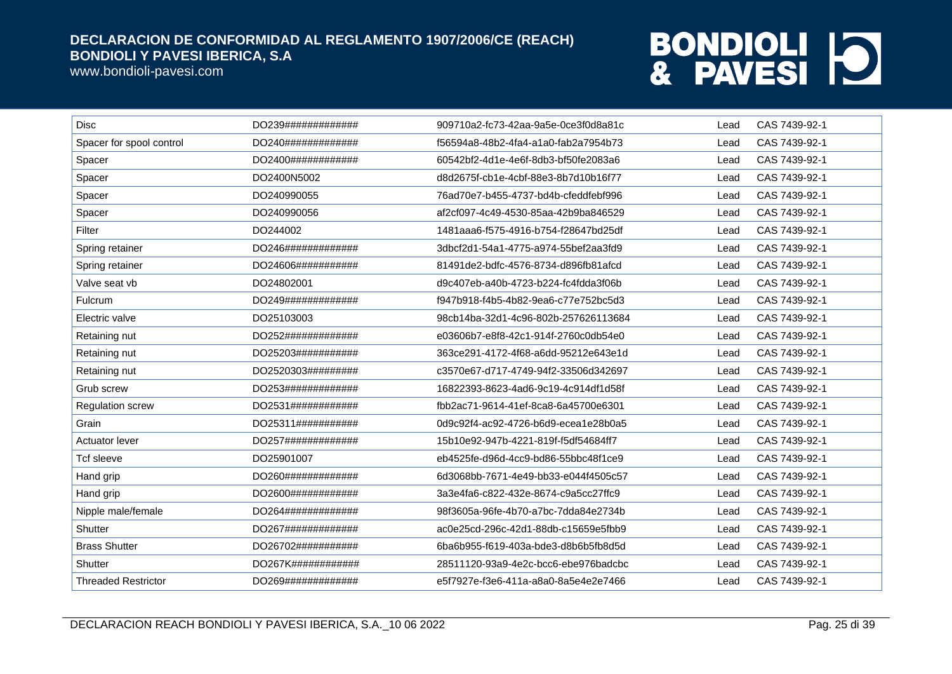www.bondioli-pavesi.com

| <b>Disc</b>                | DO239############# | 909710a2-fc73-42aa-9a5e-0ce3f0d8a81c | Lead | CAS 7439-92-1 |
|----------------------------|--------------------|--------------------------------------|------|---------------|
| Spacer for spool control   | DO240############# | f56594a8-48b2-4fa4-a1a0-fab2a7954b73 | Lead | CAS 7439-92-1 |
| Spacer                     | DO2400############ | 60542bf2-4d1e-4e6f-8db3-bf50fe2083a6 | Lead | CAS 7439-92-1 |
| Spacer                     | DO2400N5002        | d8d2675f-cb1e-4cbf-88e3-8b7d10b16f77 | Lead | CAS 7439-92-1 |
| Spacer                     | DO240990055        | 76ad70e7-b455-4737-bd4b-cfeddfebf996 | Lead | CAS 7439-92-1 |
| Spacer                     | DO240990056        | af2cf097-4c49-4530-85aa-42b9ba846529 | Lead | CAS 7439-92-1 |
| Filter                     | DO244002           | 1481aaa6-f575-4916-b754-f28647bd25df | Lead | CAS 7439-92-1 |
| Spring retainer            | DO246############# | 3dbcf2d1-54a1-4775-a974-55bef2aa3fd9 | Lead | CAS 7439-92-1 |
| Spring retainer            | DO24606########### | 81491de2-bdfc-4576-8734-d896fb81afcd | Lead | CAS 7439-92-1 |
| Valve seat vb              | DO24802001         | d9c407eb-a40b-4723-b224-fc4fdda3f06b | Lead | CAS 7439-92-1 |
| Fulcrum                    | DO249############# | f947b918-f4b5-4b82-9ea6-c77e752bc5d3 | Lead | CAS 7439-92-1 |
| Electric valve             | DO25103003         | 98cb14ba-32d1-4c96-802b-257626113684 | Lead | CAS 7439-92-1 |
| Retaining nut              | DO252############# | e03606b7-e8f8-42c1-914f-2760c0db54e0 | Lead | CAS 7439-92-1 |
| Retaining nut              | DO25203########### | 363ce291-4172-4f68-a6dd-95212e643e1d | Lead | CAS 7439-92-1 |
| Retaining nut              | DO2520303######### | c3570e67-d717-4749-94f2-33506d342697 | Lead | CAS 7439-92-1 |
| Grub screw                 | DO253############# | 16822393-8623-4ad6-9c19-4c914df1d58f | Lead | CAS 7439-92-1 |
| Regulation screw           | DO2531############ | fbb2ac71-9614-41ef-8ca8-6a45700e6301 | Lead | CAS 7439-92-1 |
| Grain                      | DO25311########### | 0d9c92f4-ac92-4726-b6d9-ecea1e28b0a5 | Lead | CAS 7439-92-1 |
| Actuator lever             | DO257############# | 15b10e92-947b-4221-819f-f5df54684ff7 | Lead | CAS 7439-92-1 |
| Tcf sleeve                 | DO25901007         | eb4525fe-d96d-4cc9-bd86-55bbc48f1ce9 | Lead | CAS 7439-92-1 |
| Hand grip                  | DO260############# | 6d3068bb-7671-4e49-bb33-e044f4505c57 | Lead | CAS 7439-92-1 |
| Hand grip                  | DO2600############ | 3a3e4fa6-c822-432e-8674-c9a5cc27ffc9 | Lead | CAS 7439-92-1 |
| Nipple male/female         | DO264############# | 98f3605a-96fe-4b70-a7bc-7dda84e2734b | Lead | CAS 7439-92-1 |
| Shutter                    | DO267############# | ac0e25cd-296c-42d1-88db-c15659e5fbb9 | Lead | CAS 7439-92-1 |
| <b>Brass Shutter</b>       | DO26702########### | 6ba6b955-f619-403a-bde3-d8b6b5fb8d5d | Lead | CAS 7439-92-1 |
| Shutter                    | DO267K############ | 28511120-93a9-4e2c-bcc6-ebe976badcbc | Lead | CAS 7439-92-1 |
| <b>Threaded Restrictor</b> | DO269############# | e5f7927e-f3e6-411a-a8a0-8a5e4e2e7466 | Lead | CAS 7439-92-1 |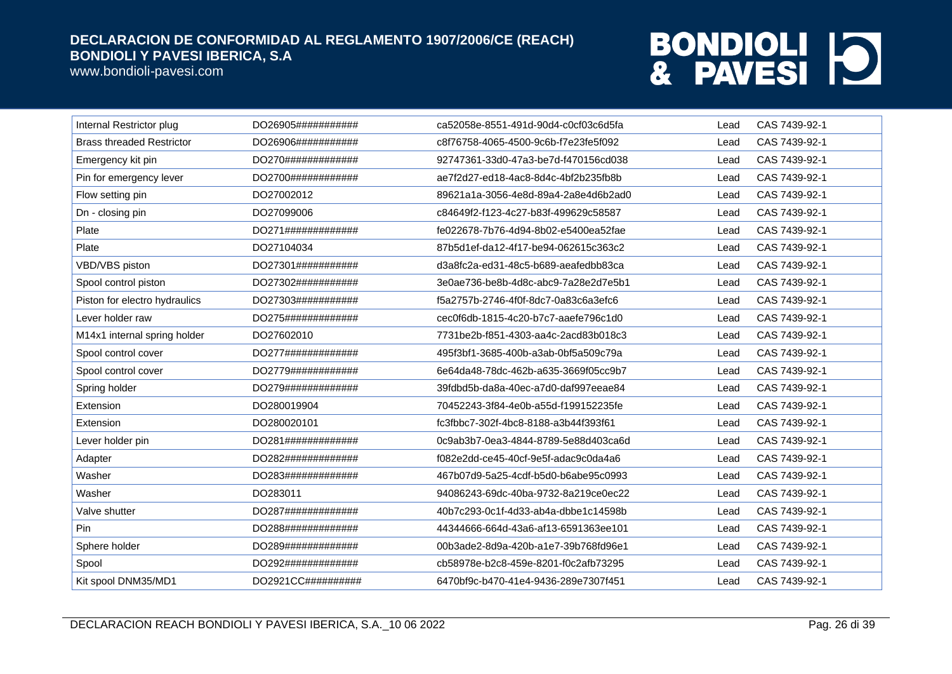www.bondioli-pavesi.com

| Internal Restrictor plug         | DO26905########### | ca52058e-8551-491d-90d4-c0cf03c6d5fa | Lead | CAS 7439-92-1 |
|----------------------------------|--------------------|--------------------------------------|------|---------------|
| <b>Brass threaded Restrictor</b> | DO26906########### | c8f76758-4065-4500-9c6b-f7e23fe5f092 | Lead | CAS 7439-92-1 |
| Emergency kit pin                | DO270############# | 92747361-33d0-47a3-be7d-f470156cd038 | Lead | CAS 7439-92-1 |
| Pin for emergency lever          | DO2700############ | ae7f2d27-ed18-4ac8-8d4c-4bf2b235fb8b | Lead | CAS 7439-92-1 |
| Flow setting pin                 | DO27002012         | 89621a1a-3056-4e8d-89a4-2a8e4d6b2ad0 | Lead | CAS 7439-92-1 |
| Dn - closing pin                 | DO27099006         | c84649f2-f123-4c27-b83f-499629c58587 | Lead | CAS 7439-92-1 |
| Plate                            | DO271############# | fe022678-7b76-4d94-8b02-e5400ea52fae | Lead | CAS 7439-92-1 |
| Plate                            | DO27104034         | 87b5d1ef-da12-4f17-be94-062615c363c2 | Lead | CAS 7439-92-1 |
| VBD/VBS piston                   | DO27301########### | d3a8fc2a-ed31-48c5-b689-aeafedbb83ca | Lead | CAS 7439-92-1 |
| Spool control piston             | DO27302########### | 3e0ae736-be8b-4d8c-abc9-7a28e2d7e5b1 | Lead | CAS 7439-92-1 |
| Piston for electro hydraulics    | DO27303########### | f5a2757b-2746-4f0f-8dc7-0a83c6a3efc6 | Lead | CAS 7439-92-1 |
| Lever holder raw                 | DO275############# | cec0f6db-1815-4c20-b7c7-aaefe796c1d0 | Lead | CAS 7439-92-1 |
| M14x1 internal spring holder     | DO27602010         | 7731be2b-f851-4303-aa4c-2acd83b018c3 | Lead | CAS 7439-92-1 |
| Spool control cover              | DO277############# | 495f3bf1-3685-400b-a3ab-0bf5a509c79a | Lead | CAS 7439-92-1 |
| Spool control cover              | DO2779############ | 6e64da48-78dc-462b-a635-3669f05cc9b7 | Lead | CAS 7439-92-1 |
| Spring holder                    | DO279############# | 39fdbd5b-da8a-40ec-a7d0-daf997eeae84 | Lead | CAS 7439-92-1 |
| Extension                        | DO280019904        | 70452243-3f84-4e0b-a55d-f199152235fe | Lead | CAS 7439-92-1 |
| Extension                        | DO280020101        | fc3fbbc7-302f-4bc8-8188-a3b44f393f61 | Lead | CAS 7439-92-1 |
| Lever holder pin                 | DO281############# | 0c9ab3b7-0ea3-4844-8789-5e88d403ca6d | Lead | CAS 7439-92-1 |
| Adapter                          | DO282############# | f082e2dd-ce45-40cf-9e5f-adac9c0da4a6 | Lead | CAS 7439-92-1 |
| Washer                           | DO283############# | 467b07d9-5a25-4cdf-b5d0-b6abe95c0993 | Lead | CAS 7439-92-1 |
| Washer                           | DO283011           | 94086243-69dc-40ba-9732-8a219ce0ec22 | Lead | CAS 7439-92-1 |
| Valve shutter                    | DO287############# | 40b7c293-0c1f-4d33-ab4a-dbbe1c14598b | Lead | CAS 7439-92-1 |
| Pin                              | DO288############# | 44344666-664d-43a6-af13-6591363ee101 | Lead | CAS 7439-92-1 |
| Sphere holder                    | DO289############# | 00b3ade2-8d9a-420b-a1e7-39b768fd96e1 | Lead | CAS 7439-92-1 |
| Spool                            | DO292############# | cb58978e-b2c8-459e-8201-f0c2afb73295 | Lead | CAS 7439-92-1 |
| Kit spool DNM35/MD1              | DO2921CC########## | 6470bf9c-b470-41e4-9436-289e7307f451 | Lead | CAS 7439-92-1 |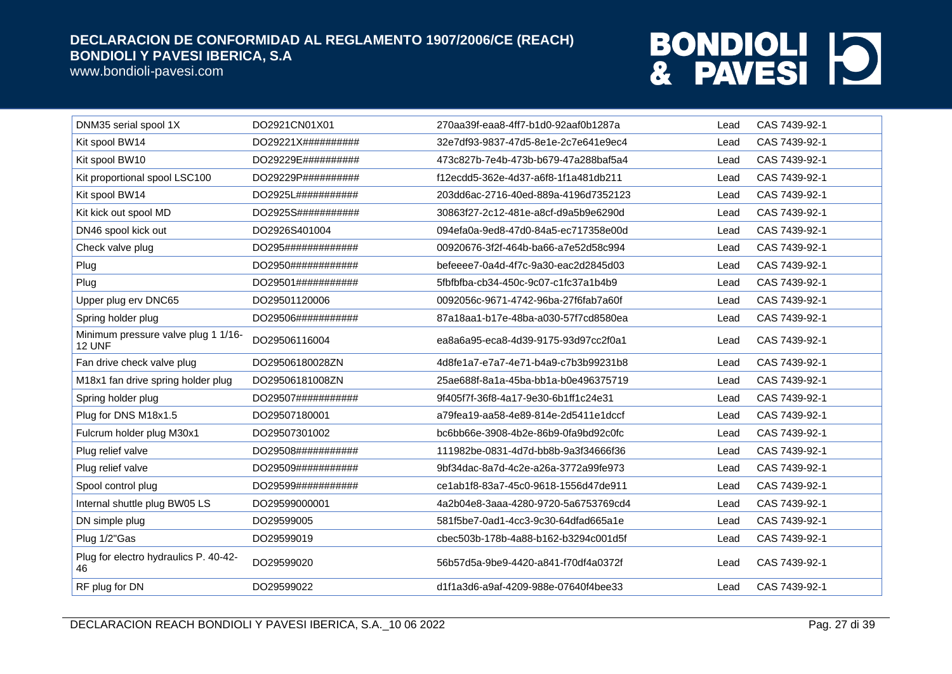www.bondioli-pavesi.com

| DO2921CN01X01       | 270aa39f-eaa8-4ff7-b1d0-92aaf0b1287a | Lead | CAS 7439-92-1 |
|---------------------|--------------------------------------|------|---------------|
|                     |                                      |      |               |
| DO29221X##########  | 32e7df93-9837-47d5-8e1e-2c7e641e9ec4 | Lead | CAS 7439-92-1 |
| DO29229E##########  | 473c827b-7e4b-473b-b679-47a288baf5a4 | Lead | CAS 7439-92-1 |
| DO29229P##########  | f12ecdd5-362e-4d37-a6f8-1f1a481db211 | Lead | CAS 7439-92-1 |
| DO2925L###########  | 203dd6ac-2716-40ed-889a-4196d7352123 | Lead | CAS 7439-92-1 |
| DO2925S###########  | 30863f27-2c12-481e-a8cf-d9a5b9e6290d | Lead | CAS 7439-92-1 |
| DO2926S401004       | 094efa0a-9ed8-47d0-84a5-ec717358e00d | Lead | CAS 7439-92-1 |
| DO295#############  | 00920676-3f2f-464b-ba66-a7e52d58c994 | Lead | CAS 7439-92-1 |
| DO2950############  | befeeee7-0a4d-4f7c-9a30-eac2d2845d03 | Lead | CAS 7439-92-1 |
| DO29501###########  | 5fbfbfba-cb34-450c-9c07-c1fc37a1b4b9 | Lead | CAS 7439-92-1 |
| DO29501120006       | 0092056c-9671-4742-96ba-27f6fab7a60f | Lead | CAS 7439-92-1 |
| DO29506############ | 87a18aa1-b17e-48ba-a030-57f7cd8580ea | Lead | CAS 7439-92-1 |
| DO29506116004       | ea8a6a95-eca8-4d39-9175-93d97cc2f0a1 | Lead | CAS 7439-92-1 |
| DO29506180028ZN     | 4d8fe1a7-e7a7-4e71-b4a9-c7b3b99231b8 | Lead | CAS 7439-92-1 |
| DO29506181008ZN     | 25ae688f-8a1a-45ba-bb1a-b0e496375719 | Lead | CAS 7439-92-1 |
| DO29507###########  | 9f405f7f-36f8-4a17-9e30-6b1ff1c24e31 | Lead | CAS 7439-92-1 |
| DO29507180001       | a79fea19-aa58-4e89-814e-2d5411e1dccf | Lead | CAS 7439-92-1 |
| DO29507301002       | bc6bb66e-3908-4b2e-86b9-0fa9bd92c0fc | Lead | CAS 7439-92-1 |
| DO29508###########  | 111982be-0831-4d7d-bb8b-9a3f34666f36 | Lead | CAS 7439-92-1 |
| DO29509###########  | 9bf34dac-8a7d-4c2e-a26a-3772a99fe973 | Lead | CAS 7439-92-1 |
| DO29599###########  | ce1ab1f8-83a7-45c0-9618-1556d47de911 | Lead | CAS 7439-92-1 |
| DO29599000001       | 4a2b04e8-3aaa-4280-9720-5a6753769cd4 | Lead | CAS 7439-92-1 |
| DO29599005          | 581f5be7-0ad1-4cc3-9c30-64dfad665a1e | Lead | CAS 7439-92-1 |
| DO29599019          | cbec503b-178b-4a88-b162-b3294c001d5f | Lead | CAS 7439-92-1 |
| DO29599020          | 56b57d5a-9be9-4420-a841-f70df4a0372f | Lead | CAS 7439-92-1 |
| DO29599022          | d1f1a3d6-a9af-4209-988e-07640f4bee33 | Lead | CAS 7439-92-1 |
|                     |                                      |      |               |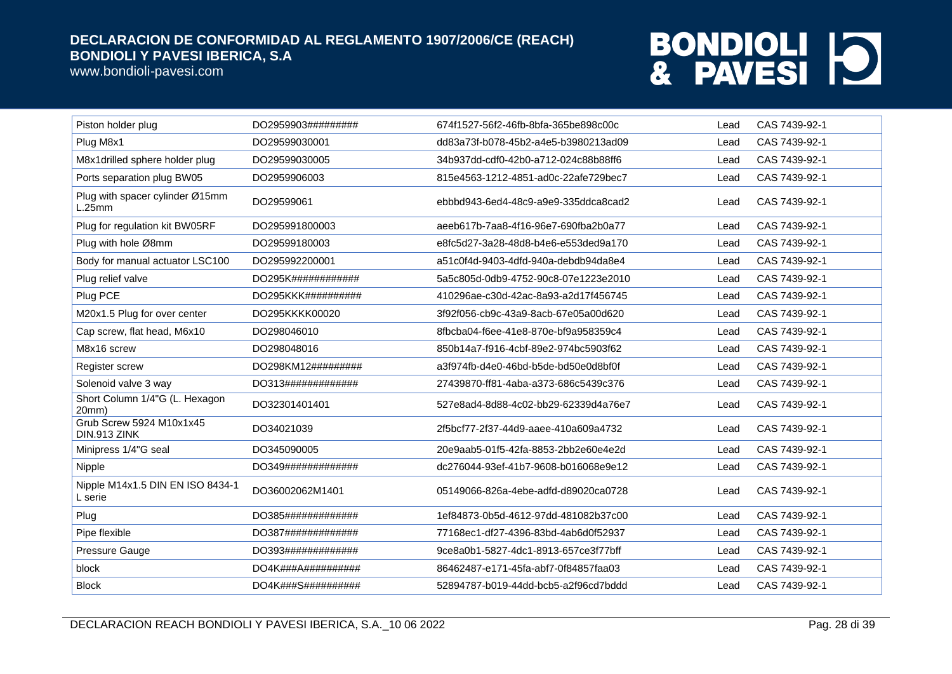www.bondioli-pavesi.com

| Piston holder plug                          | DO2959903######### | 674f1527-56f2-46fb-8bfa-365be898c00c | Lead | CAS 7439-92-1 |
|---------------------------------------------|--------------------|--------------------------------------|------|---------------|
| Plug M8x1                                   | DO29599030001      | dd83a73f-b078-45b2-a4e5-b3980213ad09 | Lead | CAS 7439-92-1 |
| M8x1drilled sphere holder plug              | DO29599030005      | 34b937dd-cdf0-42b0-a712-024c88b88ff6 | Lead | CAS 7439-92-1 |
| Ports separation plug BW05                  | DO2959906003       | 815e4563-1212-4851-ad0c-22afe729bec7 | Lead | CAS 7439-92-1 |
| Plug with spacer cylinder Ø15mm<br>L.25mm   | DO29599061         | ebbbd943-6ed4-48c9-a9e9-335ddca8cad2 | Lead | CAS 7439-92-1 |
| Plug for regulation kit BW05RF              | DO295991800003     | aeeb617b-7aa8-4f16-96e7-690fba2b0a77 | Lead | CAS 7439-92-1 |
| Plug with hole Ø8mm                         | DO29599180003      | e8fc5d27-3a28-48d8-b4e6-e553ded9a170 | Lead | CAS 7439-92-1 |
| Body for manual actuator LSC100             | DO295992200001     | a51c0f4d-9403-4dfd-940a-debdb94da8e4 | Lead | CAS 7439-92-1 |
| Plug relief valve                           | DO295K############ | 5a5c805d-0db9-4752-90c8-07e1223e2010 | Lead | CAS 7439-92-1 |
| Plug PCE                                    | DO295KKK########## | 410296ae-c30d-42ac-8a93-a2d17f456745 | Lead | CAS 7439-92-1 |
| M20x1.5 Plug for over center                | DO295KKKK00020     | 3f92f056-cb9c-43a9-8acb-67e05a00d620 | Lead | CAS 7439-92-1 |
| Cap screw, flat head, M6x10                 | DO298046010        | 8fbcba04-f6ee-41e8-870e-bf9a958359c4 | Lead | CAS 7439-92-1 |
| M8x16 screw                                 | DO298048016        | 850b14a7-f916-4cbf-89e2-974bc5903f62 | Lead | CAS 7439-92-1 |
| Register screw                              | DO298KM12######### | a3f974fb-d4e0-46bd-b5de-bd50e0d8bf0f | Lead | CAS 7439-92-1 |
| Solenoid valve 3 way                        | DO313############# | 27439870-ff81-4aba-a373-686c5439c376 | Lead | CAS 7439-92-1 |
| Short Column 1/4"G (L. Hexagon<br>20mm)     | DO32301401401      | 527e8ad4-8d88-4c02-bb29-62339d4a76e7 | Lead | CAS 7439-92-1 |
| Grub Screw 5924 M10x1x45<br>DIN.913 ZINK    | DO34021039         | 2f5bcf77-2f37-44d9-aaee-410a609a4732 | Lead | CAS 7439-92-1 |
| Minipress 1/4"G seal                        | DO345090005        | 20e9aab5-01f5-42fa-8853-2bb2e60e4e2d | Lead | CAS 7439-92-1 |
| Nipple                                      | DO349############# | dc276044-93ef-41b7-9608-b016068e9e12 | Lead | CAS 7439-92-1 |
| Nipple M14x1.5 DIN EN ISO 8434-1<br>L serie | DO36002062M1401    | 05149066-826a-4ebe-adfd-d89020ca0728 | Lead | CAS 7439-92-1 |
| Plug                                        | DO385############# | 1ef84873-0b5d-4612-97dd-481082b37c00 | Lead | CAS 7439-92-1 |
| Pipe flexible                               | DO387############# | 77168ec1-df27-4396-83bd-4ab6d0f52937 | Lead | CAS 7439-92-1 |
| Pressure Gauge                              | DO393############# | 9ce8a0b1-5827-4dc1-8913-657ce3f77bff | Lead | CAS 7439-92-1 |
| block                                       | DO4K###A########## | 86462487-e171-45fa-abf7-0f84857faa03 | Lead | CAS 7439-92-1 |
| <b>Block</b>                                | DO4K###S########## | 52894787-b019-44dd-bcb5-a2f96cd7bddd | Lead | CAS 7439-92-1 |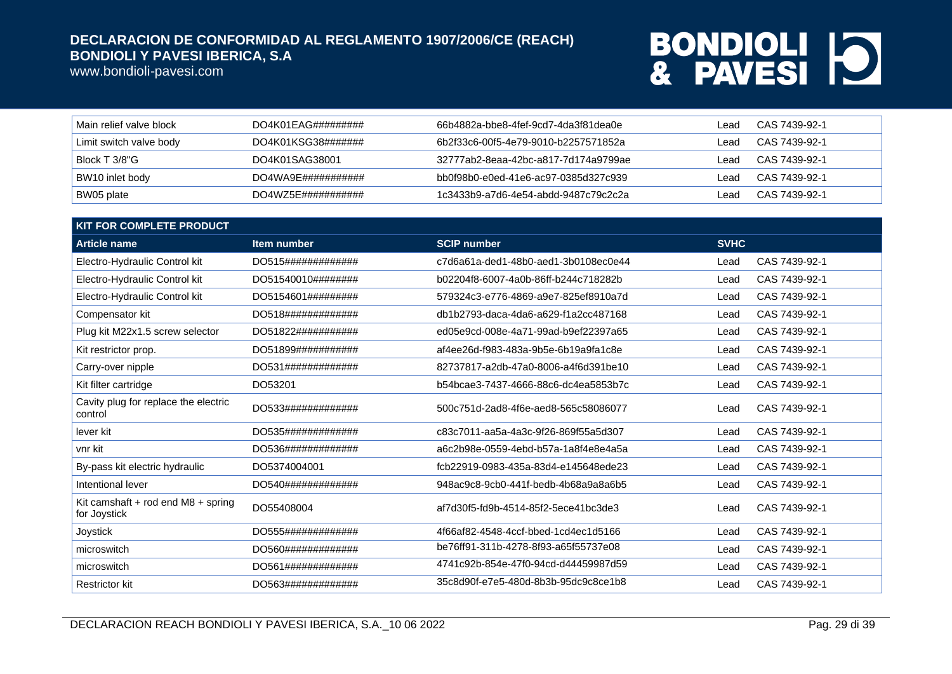www.bondioli-pavesi.com

| Main relief valve block | $DO4K01EAG\#4\#4\#4\#4\#4$ | 66b4882a-bbe8-4fef-9cd7-4da3f81dea0e | _ead | CAS 7439-92-1 |
|-------------------------|----------------------------|--------------------------------------|------|---------------|
| Limit switch valve body | DO4K01KSG38#######         | 6b2f33c6-00f5-4e79-9010-b2257571852a | ead  | CAS 7439-92-1 |
| Block T 3/8"G           | DO4K01SAG38001             | 32777ab2-8eaa-42bc-a817-7d174a9799ae | Lead | CAS 7439-92-1 |
| BW10 inlet body         | DO4WA9F#4#4#4#4#4#4        | bb0f98b0-e0ed-41e6-ac97-0385d327c939 | ead  | CAS 7439-92-1 |
| BW05 plate              | DO4WZ5E###########         | 1c3433b9-a7d6-4e54-abdd-9487c79c2c2a | ead  | CAS 7439-92-1 |

| <b>KIT FOR COMPLETE PRODUCT</b>                    |                    |                                      |             |               |
|----------------------------------------------------|--------------------|--------------------------------------|-------------|---------------|
| <b>Article name</b>                                | Item number        | <b>SCIP number</b>                   | <b>SVHC</b> |               |
| Electro-Hydraulic Control kit                      | DO515############# | c7d6a61a-ded1-48b0-aed1-3b0108ec0e44 | Lead        | CAS 7439-92-1 |
| Electro-Hydraulic Control kit                      | DO51540010######## | b02204f8-6007-4a0b-86ff-b244c718282b | Lead        | CAS 7439-92-1 |
| Electro-Hydraulic Control kit                      | DO5154601######### | 579324c3-e776-4869-a9e7-825ef8910a7d | Lead        | CAS 7439-92-1 |
| Compensator kit                                    | DO518############# | db1b2793-daca-4da6-a629-f1a2cc487168 | Lead        | CAS 7439-92-1 |
| Plug kit M22x1.5 screw selector                    | DO51822########### | ed05e9cd-008e-4a71-99ad-b9ef22397a65 | Lead        | CAS 7439-92-1 |
| Kit restrictor prop.                               | DO51899########### | af4ee26d-f983-483a-9b5e-6b19a9fa1c8e | Lead        | CAS 7439-92-1 |
| Carry-over nipple                                  | DO531############# | 82737817-a2db-47a0-8006-a4f6d391be10 | Lead        | CAS 7439-92-1 |
| Kit filter cartridge                               | DO53201            | b54bcae3-7437-4666-88c6-dc4ea5853b7c | Lead        | CAS 7439-92-1 |
| Cavity plug for replace the electric<br>control    | DO533############# | 500c751d-2ad8-4f6e-aed8-565c58086077 | Lead        | CAS 7439-92-1 |
| lever kit                                          | DO535############# | c83c7011-aa5a-4a3c-9f26-869f55a5d307 | Lead        | CAS 7439-92-1 |
| vnr kit                                            | DO536############# | a6c2b98e-0559-4ebd-b57a-1a8f4e8e4a5a | Lead        | CAS 7439-92-1 |
| By-pass kit electric hydraulic                     | DO5374004001       | fcb22919-0983-435a-83d4-e145648ede23 | Lead        | CAS 7439-92-1 |
| Intentional lever                                  | DO540############# | 948ac9c8-9cb0-441f-bedb-4b68a9a8a6b5 | Lead        | CAS 7439-92-1 |
| Kit camshaft + rod end M8 + spring<br>for Joystick | DO55408004         | af7d30f5-fd9b-4514-85f2-5ece41bc3de3 | Lead        | CAS 7439-92-1 |
| Joystick                                           | DO555############# | 4f66af82-4548-4ccf-bbed-1cd4ec1d5166 | Lead        | CAS 7439-92-1 |
| microswitch                                        | DO560############# | be76ff91-311b-4278-8f93-a65f55737e08 | Lead        | CAS 7439-92-1 |
| microswitch                                        | DO561############# | 4741c92b-854e-47f0-94cd-d44459987d59 | Lead        | CAS 7439-92-1 |
| <b>Restrictor kit</b>                              | DO563############# | 35c8d90f-e7e5-480d-8b3b-95dc9c8ce1b8 | Lead        | CAS 7439-92-1 |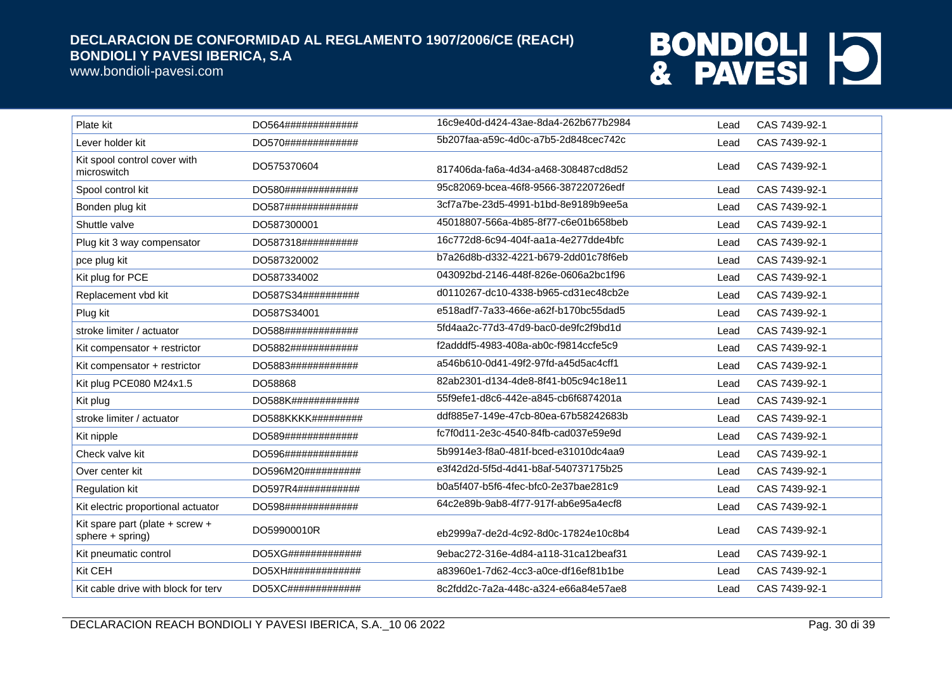www.bondioli-pavesi.com

| Plate kit                                           | DO564#############  | 16c9e40d-d424-43ae-8da4-262b677b2984 | Lead | CAS 7439-92-1 |
|-----------------------------------------------------|---------------------|--------------------------------------|------|---------------|
| Lever holder kit                                    | DO570#############  | 5b207faa-a59c-4d0c-a7b5-2d848cec742c | Lead | CAS 7439-92-1 |
| Kit spool control cover with<br>microswitch         | DO575370604         | 817406da-fa6a-4d34-a468-308487cd8d52 | Lead | CAS 7439-92-1 |
| Spool control kit                                   | DO580############## | 95c82069-bcea-46f8-9566-387220726edf | Lead | CAS 7439-92-1 |
| Bonden plug kit                                     | DO587#############  | 3cf7a7be-23d5-4991-b1bd-8e9189b9ee5a | Lead | CAS 7439-92-1 |
| Shuttle valve                                       | DO587300001         | 45018807-566a-4b85-8f77-c6e01b658beb | Lead | CAS 7439-92-1 |
| Plug kit 3 way compensator                          | DO587318##########  | 16c772d8-6c94-404f-aa1a-4e277dde4bfc | Lead | CAS 7439-92-1 |
| pce plug kit                                        | DO587320002         | b7a26d8b-d332-4221-b679-2dd01c78f6eb | Lead | CAS 7439-92-1 |
| Kit plug for PCE                                    | DO587334002         | 043092bd-2146-448f-826e-0606a2bc1f96 | Lead | CAS 7439-92-1 |
| Replacement vbd kit                                 | DO587S34##########  | d0110267-dc10-4338-b965-cd31ec48cb2e | Lead | CAS 7439-92-1 |
| Plug kit                                            | DO587S34001         | e518adf7-7a33-466e-a62f-b170bc55dad5 | Lead | CAS 7439-92-1 |
| stroke limiter / actuator                           | DO588#############  | 5fd4aa2c-77d3-47d9-bac0-de9fc2f9bd1d | Lead | CAS 7439-92-1 |
| Kit compensator + restrictor                        | DO5882############  | f2adddf5-4983-408a-ab0c-f9814ccfe5c9 | Lead | CAS 7439-92-1 |
| Kit compensator + restrictor                        | DO5883############  | a546b610-0d41-49f2-97fd-a45d5ac4cff1 | Lead | CAS 7439-92-1 |
| Kit plug PCE080 M24x1.5                             | DO58868             | 82ab2301-d134-4de8-8f41-b05c94c18e11 | Lead | CAS 7439-92-1 |
| Kit plug                                            | DO588K############  | 55f9efe1-d8c6-442e-a845-cb6f6874201a | Lead | CAS 7439-92-1 |
| stroke limiter / actuator                           | DO588KKKK#########  | ddf885e7-149e-47cb-80ea-67b58242683b | Lead | CAS 7439-92-1 |
| Kit nipple                                          | DO589#############  | fc7f0d11-2e3c-4540-84fb-cad037e59e9d | Lead | CAS 7439-92-1 |
| Check valve kit                                     | DO596#############  | 5b9914e3-f8a0-481f-bced-e31010dc4aa9 | Lead | CAS 7439-92-1 |
| Over center kit                                     | DO596M20##########  | e3f42d2d-5f5d-4d41-b8af-540737175b25 | Lead | CAS 7439-92-1 |
| <b>Regulation kit</b>                               | DO597R4###########  | b0a5f407-b5f6-4fec-bfc0-2e37bae281c9 | Lead | CAS 7439-92-1 |
| Kit electric proportional actuator                  | DO598#############  | 64c2e89b-9ab8-4f77-917f-ab6e95a4ecf8 | Lead | CAS 7439-92-1 |
| Kit spare part (plate + screw +<br>sphere + spring) | DO59900010R         | eb2999a7-de2d-4c92-8d0c-17824e10c8b4 | Lead | CAS 7439-92-1 |
| Kit pneumatic control                               | DO5XG#############  | 9ebac272-316e-4d84-a118-31ca12beaf31 | Lead | CAS 7439-92-1 |
| Kit CEH                                             | DO5XH#############  | a83960e1-7d62-4cc3-a0ce-df16ef81b1be | Lead | CAS 7439-92-1 |
| Kit cable drive with block for terv                 | DO5XC#############  | 8c2fdd2c-7a2a-448c-a324-e66a84e57ae8 | Lead | CAS 7439-92-1 |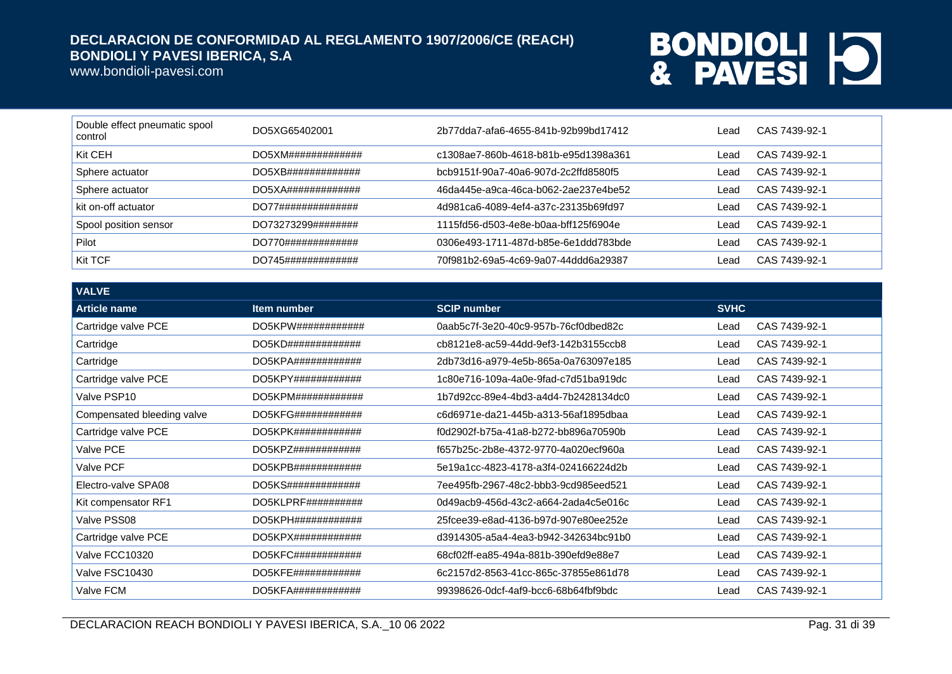www.bondioli-pavesi.com

| Double effect pneumatic spool<br>control | DO5XG65402001               | 2b77dda7-afa6-4655-841b-92b99bd17412 | Lead | CAS 7439-92-1 |
|------------------------------------------|-----------------------------|--------------------------------------|------|---------------|
| Kit CEH                                  | DO5XM#############          | c1308ae7-860b-4618-b81b-e95d1398a361 | Lead | CAS 7439-92-1 |
| Sphere actuator                          | $DO5XB$ ################### | bcb9151f-90a7-40a6-907d-2c2ffd8580f5 | Lead | CAS 7439-92-1 |
| Sphere actuator                          | DO5XA#############          | 46da445e-a9ca-46ca-b062-2ae237e4be52 | Lead | CAS 7439-92-1 |
| kit on-off actuator                      | DO77##############          | 4d981ca6-4089-4ef4-a37c-23135b69fd97 | Lead | CAS 7439-92-1 |
| Spool position sensor                    | DO73273299########          | 1115fd56-d503-4e8e-b0aa-bff125f6904e | Lead | CAS 7439-92-1 |
| Pilot                                    | DO770#############          | 0306e493-1711-487d-b85e-6e1ddd783bde | Lead | CAS 7439-92-1 |
| Kit TCF                                  | DO745#############          | 70f981b2-69a5-4c69-9a07-44ddd6a29387 | Lead | CAS 7439-92-1 |

| <b>VALVE</b>               |                                 |                                      |             |               |
|----------------------------|---------------------------------|--------------------------------------|-------------|---------------|
| <b>Article name</b>        | Item number                     | <b>SCIP number</b>                   | <b>SVHC</b> |               |
| Cartridge valve PCE        | DO5KPW# # # # # # # # # # # #   | 0aab5c7f-3e20-40c9-957b-76cf0dbed82c | Lead        | CAS 7439-92-1 |
| Cartridge                  | DO5KD#############              | cb8121e8-ac59-44dd-9ef3-142b3155ccb8 | Lead        | CAS 7439-92-1 |
| Cartridge                  | $DO5KPA$ #############          | 2db73d16-a979-4e5b-865a-0a763097e185 | Lead        | CAS 7439-92-1 |
| Cartridge valve PCE        | DO5KPY# # # # # # # # # # # # # | 1c80e716-109a-4a0e-9fad-c7d51ba919dc | Lead        | CAS 7439-92-1 |
| Valve PSP10                | DO5KPM############              | 1b7d92cc-89e4-4bd3-a4d4-7b2428134dc0 | Lead        | CAS 7439-92-1 |
| Compensated bleeding valve | DO5KFG############              | c6d6971e-da21-445b-a313-56af1895dbaa | Lead        | CAS 7439-92-1 |
| Cartridge valve PCE        | DO5KPK#444444444444444          | f0d2902f-b75a-41a8-b272-bb896a70590b | Lead        | CAS 7439-92-1 |
| Valve PCE                  | DO5KPZ############              | f657b25c-2b8e-4372-9770-4a020ecf960a | Lead        | CAS 7439-92-1 |
| Valve PCF                  | DO5KPB############              | 5e19a1cc-4823-4178-a3f4-024166224d2b | Lead        | CAS 7439-92-1 |
| Electro-valve SPA08        | DO5KS#############              | 7ee495fb-2967-48c2-bbb3-9cd985eed521 | Lead        | CAS 7439-92-1 |
| Kit compensator RF1        | DO5KLPRF# # # # # # # # # #     | 0d49acb9-456d-43c2-a664-2ada4c5e016c | Lead        | CAS 7439-92-1 |
| Valve PSS08                | DO5KPH# # # # # # # # # # # # # | 25fcee39-e8ad-4136-b97d-907e80ee252e | Lead        | CAS 7439-92-1 |
| Cartridge valve PCE        | $DO5KPX$ #####################  | d3914305-a5a4-4ea3-b942-342634bc91b0 | Lead        | CAS 7439-92-1 |
| Valve FCC10320             | $DO5KFC\#4\#4\#4\#4\#4\#4\#4$   | 68cf02ff-ea85-494a-881b-390efd9e88e7 | Lead        | CAS 7439-92-1 |
| Valve FSC10430             | $DO5KFE$ #############          | 6c2157d2-8563-41cc-865c-37855e861d78 | Lead        | CAS 7439-92-1 |
| Valve FCM                  | $DO5KFA$ #############          | 99398626-0dcf-4af9-bcc6-68b64fbf9bdc | Lead        | CAS 7439-92-1 |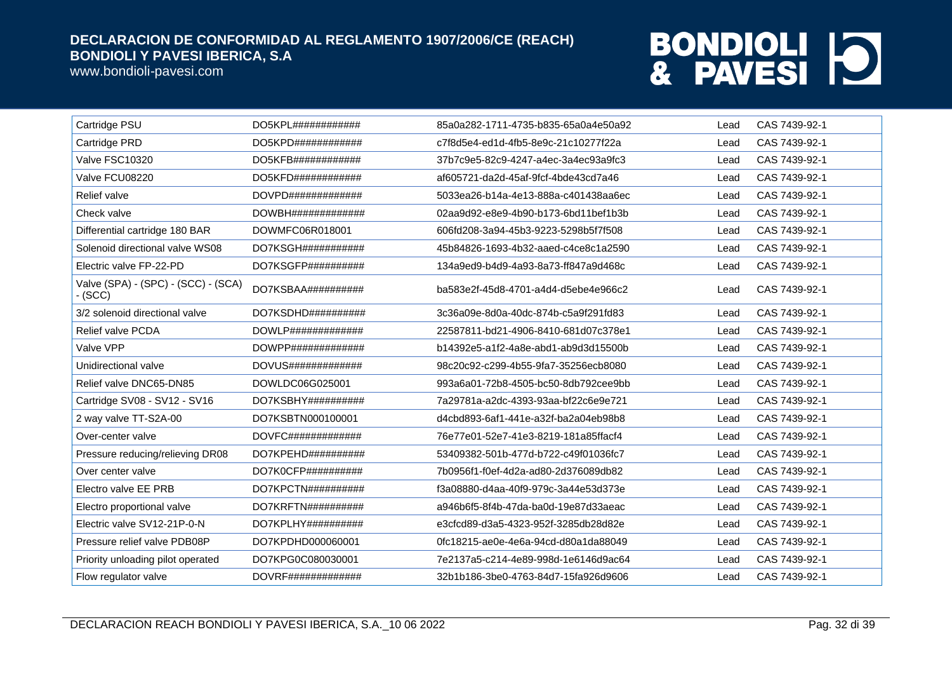www.bondioli-pavesi.com

| Cartridge PSU                                    | DO5KPL############              | 85a0a282-1711-4735-b835-65a0a4e50a92 | Lead | CAS 7439-92-1 |
|--------------------------------------------------|---------------------------------|--------------------------------------|------|---------------|
| Cartridge PRD                                    | $DO5KPD$ #############          | c7f8d5e4-ed1d-4fb5-8e9c-21c10277f22a | Lead | CAS 7439-92-1 |
| Valve FSC10320                                   | $DO5KFB$ ############           | 37b7c9e5-82c9-4247-a4ec-3a4ec93a9fc3 | Lead | CAS 7439-92-1 |
| Valve FCU08220                                   | $DO5KFD$ #############          | af605721-da2d-45af-9fcf-4bde43cd7a46 | Lead | CAS 7439-92-1 |
| Relief valve                                     | DOVPD##############             | 5033ea26-b14a-4e13-888a-c401438aa6ec | Lead | CAS 7439-92-1 |
| Check valve                                      | DOWBH##############             | 02aa9d92-e8e9-4b90-b173-6bd11bef1b3b | Lead | CAS 7439-92-1 |
| Differential cartridge 180 BAR                   | DOWMFC06R018001                 | 606fd208-3a94-45b3-9223-5298b5f7f508 | Lead | CAS 7439-92-1 |
| Solenoid directional valve WS08                  | DO7KSGH###########              | 45b84826-1693-4b32-aaed-c4ce8c1a2590 | Lead | CAS 7439-92-1 |
| Electric valve FP-22-PD                          | DO7KSGFP##########              | 134a9ed9-b4d9-4a93-8a73-ff847a9d468c | Lead | CAS 7439-92-1 |
| Valve (SPA) - (SPC) - (SCC) - (SCA)<br>$-$ (SCC) | DO7KSBAA##########              | ba583e2f-45d8-4701-a4d4-d5ebe4e966c2 | Lead | CAS 7439-92-1 |
| 3/2 solenoid directional valve                   | DO7KSDHD##########              | 3c36a09e-8d0a-40dc-874b-c5a9f291fd83 | Lead | CAS 7439-92-1 |
| Relief valve PCDA                                | $DOWLP$ ##############          | 22587811-bd21-4906-8410-681d07c378e1 | Lead | CAS 7439-92-1 |
| Valve VPP                                        |                                 | b14392e5-a1f2-4a8e-abd1-ab9d3d15500b | Lead | CAS 7439-92-1 |
| Unidirectional valve                             | DOVUS#############              | 98c20c92-c299-4b55-9fa7-35256ecb8080 | Lead | CAS 7439-92-1 |
| Relief valve DNC65-DN85                          | DOWLDC06G025001                 | 993a6a01-72b8-4505-bc50-8db792cee9bb | Lead | CAS 7439-92-1 |
| Cartridge SV08 - SV12 - SV16                     | DO7KSBHY##########              | 7a29781a-a2dc-4393-93aa-bf22c6e9e721 | Lead | CAS 7439-92-1 |
| 2 way valve TT-S2A-00                            | DO7KSBTN000100001               | d4cbd893-6af1-441e-a32f-ba2a04eb98b8 | Lead | CAS 7439-92-1 |
| Over-center valve                                | $DOVFC\#4\#4\#4\#4\#4\#4\#4\#4$ | 76e77e01-52e7-41e3-8219-181a85ffacf4 | Lead | CAS 7439-92-1 |
| Pressure reducing/relieving DR08                 | $DO7KPEHD$ ##########           | 53409382-501b-477d-b722-c49f01036fc7 | Lead | CAS 7439-92-1 |
| Over center valve                                | $DO7K0CFP$ ###########          | 7b0956f1-f0ef-4d2a-ad80-2d376089db82 | Lead | CAS 7439-92-1 |
| Electro valve EE PRB                             | DO7KPCTN##########              | f3a08880-d4aa-40f9-979c-3a44e53d373e | Lead | CAS 7439-92-1 |
| Electro proportional valve                       | DO7KRFTN##########              | a946b6f5-8f4b-47da-ba0d-19e87d33aeac | Lead | CAS 7439-92-1 |
| Electric valve SV12-21P-0-N                      | DO7KPLHY##########              | e3cfcd89-d3a5-4323-952f-3285db28d82e | Lead | CAS 7439-92-1 |
| Pressure relief valve PDB08P                     | DO7KPDHD000060001               | 0fc18215-ae0e-4e6a-94cd-d80a1da88049 | Lead | CAS 7439-92-1 |
| Priority unloading pilot operated                | DO7KPG0C080030001               | 7e2137a5-c214-4e89-998d-1e6146d9ac64 | Lead | CAS 7439-92-1 |
| Flow regulator valve                             | DOVRF##############             | 32b1b186-3be0-4763-84d7-15fa926d9606 | Lead | CAS 7439-92-1 |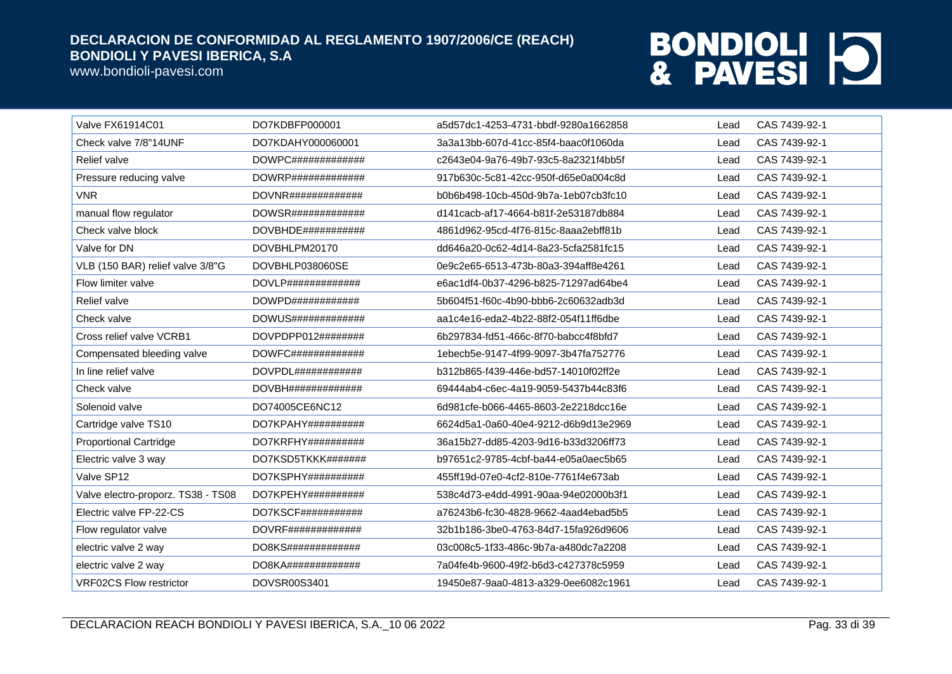www.bondioli-pavesi.com

| <b>Valve FX61914C01</b>            | DO7KDBFP000001                    | a5d57dc1-4253-4731-bbdf-9280a1662858 | Lead | CAS 7439-92-1 |
|------------------------------------|-----------------------------------|--------------------------------------|------|---------------|
| Check valve 7/8"14UNF              | DO7KDAHY000060001                 | 3a3a13bb-607d-41cc-85f4-baac0f1060da | Lead | CAS 7439-92-1 |
| <b>Relief valve</b>                | DOWPC#############                | c2643e04-9a76-49b7-93c5-8a2321f4bb5f | Lead | CAS 7439-92-1 |
| Pressure reducing valve            | $DOWRP$ #############             | 917b630c-5c81-42cc-950f-d65e0a004c8d | Lead | CAS 7439-92-1 |
| <b>VNR</b>                         | $DOVNR$ #############             | b0b6b498-10cb-450d-9b7a-1eb07cb3fc10 | Lead | CAS 7439-92-1 |
| manual flow regulator              | DOWSR#############                | d141cacb-af17-4664-b81f-2e53187db884 | Lead | CAS 7439-92-1 |
| Check valve block                  | $DOVBHDE$ ############            | 4861d962-95cd-4f76-815c-8aaa2ebff81b | Lead | CAS 7439-92-1 |
| Valve for DN                       | DOVBHLPM20170                     | dd646a20-0c62-4d14-8a23-5cfa2581fc15 | Lead | CAS 7439-92-1 |
| VLB (150 BAR) relief valve 3/8"G   | DOVBHLP038060SE                   | 0e9c2e65-6513-473b-80a3-394aff8e4261 | Lead | CAS 7439-92-1 |
| Flow limiter valve                 | $DOVLP$ #############             | e6ac1df4-0b37-4296-b825-71297ad64be4 | Lead | CAS 7439-92-1 |
| <b>Relief valve</b>                | $DOWPD\#4\#4\#4\#4\#4\#4\#4$      | 5b604f51-f60c-4b90-bbb6-2c60632adb3d | Lead | CAS 7439-92-1 |
| Check valve                        | DOWUS#############                | aa1c4e16-eda2-4b22-88f2-054f11ff6dbe | Lead | CAS 7439-92-1 |
| Cross relief valve VCRB1           | DOVPDPP012########                | 6b297834-fd51-466c-8f70-babcc4f8bfd7 | Lead | CAS 7439-92-1 |
| Compensated bleeding valve         | $DOWFC\#4\#4\#4\#4\#4\#4\#4$      | 1ebecb5e-9147-4f99-9097-3b47fa752776 | Lead | CAS 7439-92-1 |
| In line relief valve               | DOVPDL# # # # # # # # # # # # # # | b312b865-f439-446e-bd57-14010f02ff2e | Lead | CAS 7439-92-1 |
| Check valve                        | DOVBH#H#H#H#H#H#H#H               | 69444ab4-c6ec-4a19-9059-5437b44c83f6 | Lead | CAS 7439-92-1 |
| Solenoid valve                     | DO74005CE6NC12                    | 6d981cfe-b066-4465-8603-2e2218dcc16e | Lead | CAS 7439-92-1 |
| Cartridge valve TS10               | DO7KPAHY##########                | 6624d5a1-0a60-40e4-9212-d6b9d13e2969 | Lead | CAS 7439-92-1 |
| <b>Proportional Cartridge</b>      | DO7KRFHY##########                | 36a15b27-dd85-4203-9d16-b33d3206ff73 | Lead | CAS 7439-92-1 |
| Electric valve 3 way               | DO7KSD5TKKK#######                | b97651c2-9785-4cbf-ba44-e05a0aec5b65 | Lead | CAS 7439-92-1 |
| Valve SP12                         | DO7KSPHY##########                | 455ff19d-07e0-4cf2-810e-7761f4e673ab | Lead | CAS 7439-92-1 |
| Valve electro-proporz. TS38 - TS08 | DO7KPEHY##########                | 538c4d73-e4dd-4991-90aa-94e02000b3f1 | Lead | CAS 7439-92-1 |
| Electric valve FP-22-CS            | DO7KSCF###########                | a76243b6-fc30-4828-9662-4aad4ebad5b5 | Lead | CAS 7439-92-1 |
| Flow regulator valve               | DOVRF##############               | 32b1b186-3be0-4763-84d7-15fa926d9606 | Lead | CAS 7439-92-1 |
| electric valve 2 way               | DO8KS#############                | 03c008c5-1f33-486c-9b7a-a480dc7a2208 | Lead | CAS 7439-92-1 |
| electric valve 2 way               | DO8KA#############                | 7a04fe4b-9600-49f2-b6d3-c427378c5959 | Lead | CAS 7439-92-1 |
| <b>VRF02CS Flow restrictor</b>     | DOVSR00S3401                      | 19450e87-9aa0-4813-a329-0ee6082c1961 | Lead | CAS 7439-92-1 |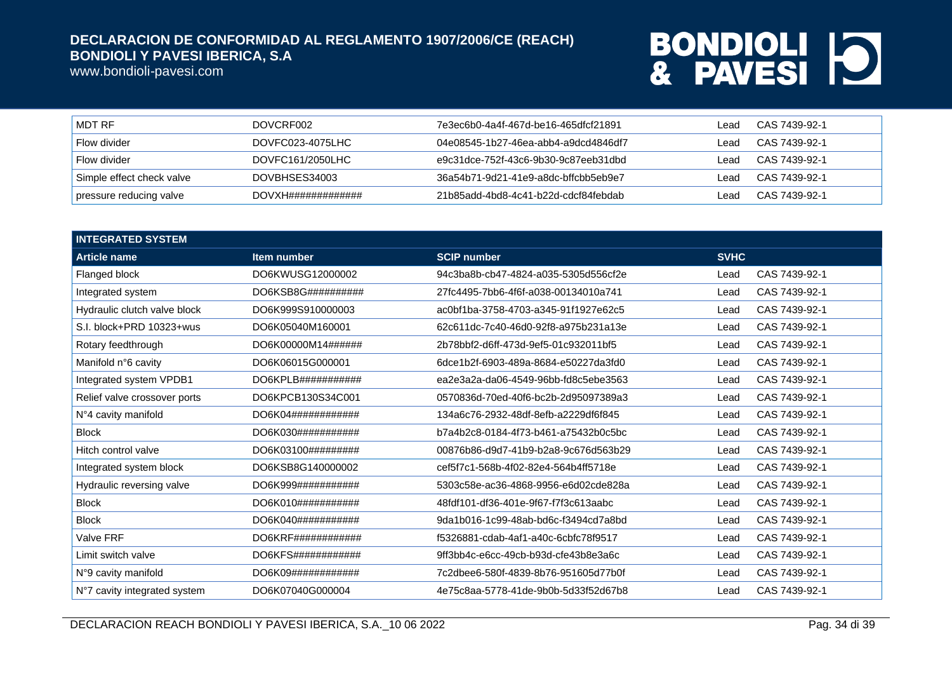www.bondioli-pavesi.com

| MDT RF                    | DOVCRF002                      | 7e3ec6b0-4a4f-467d-be16-465dfcf21891 | _ead  | CAS 7439-92-1 |
|---------------------------|--------------------------------|--------------------------------------|-------|---------------|
| Flow divider              | DOVFC023-4075LHC               | 04e08545-1b27-46ea-abb4-a9dcd4846df7 | l ead | CAS 7439-92-1 |
| Flow divider              | DOVFC161/2050LHC               | e9c31dce-752f-43c6-9b30-9c87eeb31dbd | ead   | CAS 7439-92-1 |
| Simple effect check valve | DOVBHSES34003                  | 36a54b71-9d21-41e9-a8dc-bffcbb5eb9e7 | ead   | CAS 7439-92-1 |
| pressure reducing valve   | $DOVXH\#4\#4\#4\#4\#4\#4\#4\#$ | 21b85add-4bd8-4c41-b22d-cdcf84febdab | ead   | CAS 7439-92-1 |

| <b>INTEGRATED SYSTEM</b>     |                              |                                      |             |               |
|------------------------------|------------------------------|--------------------------------------|-------------|---------------|
| <b>Article name</b>          | Item number                  | <b>SCIP number</b>                   | <b>SVHC</b> |               |
| Flanged block                | DO6KWUSG12000002             | 94c3ba8b-cb47-4824-a035-5305d556cf2e | Lead        | CAS 7439-92-1 |
| Integrated system            | DO6KSB8G##########           | 27fc4495-7bb6-4f6f-a038-00134010a741 | Lead        | CAS 7439-92-1 |
| Hydraulic clutch valve block | DO6K999S910000003            | ac0bf1ba-3758-4703-a345-91f1927e62c5 | Lead        | CAS 7439-92-1 |
| S.I. block+PRD 10323+wus     | DO6K05040M160001             | 62c611dc-7c40-46d0-92f8-a975b231a13e | Lead        | CAS 7439-92-1 |
| Rotary feedthrough           | DO6K00000M14######           | 2b78bbf2-d6ff-473d-9ef5-01c932011bf5 | Lead        | CAS 7439-92-1 |
| Manifold n°6 cavity          | DO6K06015G000001             | 6dce1b2f-6903-489a-8684-e50227da3fd0 | Lead        | CAS 7439-92-1 |
| Integrated system VPDB1      | DO6KPLB###########           | ea2e3a2a-da06-4549-96bb-fd8c5ebe3563 | Lead        | CAS 7439-92-1 |
| Relief valve crossover ports | DO6KPCB130S34C001            | 0570836d-70ed-40f6-bc2b-2d95097389a3 | Lead        | CAS 7439-92-1 |
| N°4 cavity manifold          | DO6K04############           | 134a6c76-2932-48df-8efb-a2229df6f845 | Lead        | CAS 7439-92-1 |
| <b>Block</b>                 | DO6K030############          | b7a4b2c8-0184-4f73-b461-a75432b0c5bc | Lead        | CAS 7439-92-1 |
| Hitch control valve          | DO6K03100#########           | 00876b86-d9d7-41b9-b2a8-9c676d563b29 | Lead        | CAS 7439-92-1 |
| Integrated system block      | DO6KSB8G140000002            | cef5f7c1-568b-4f02-82e4-564b4ff5718e | Lead        | CAS 7439-92-1 |
| Hydraulic reversing valve    | DO6K999###########           | 5303c58e-ac36-4868-9956-e6d02cde828a | Lead        | CAS 7439-92-1 |
| <b>Block</b>                 | DO6K010############          | 48fdf101-df36-401e-9f67-f7f3c613aabc | Lead        | CAS 7439-92-1 |
| <b>Block</b>                 | DO6K040###########           | 9da1b016-1c99-48ab-bd6c-f3494cd7a8bd | Lead        | CAS 7439-92-1 |
| <b>Valve FRF</b>             | $DO6KRF\#4\#4\#4\#4\#4\#4\#$ | f5326881-cdab-4af1-a40c-6cbfc78f9517 | Lead        | CAS 7439-92-1 |
| Limit switch valve           | DO6KFS############           | 9ff3bb4c-e6cc-49cb-b93d-cfe43b8e3a6c | Lead        | CAS 7439-92-1 |
| N°9 cavity manifold          | DO6K09############           | 7c2dbee6-580f-4839-8b76-951605d77b0f | Lead        | CAS 7439-92-1 |
| N°7 cavity integrated system | DO6K07040G000004             | 4e75c8aa-5778-41de-9b0b-5d33f52d67b8 | Lead        | CAS 7439-92-1 |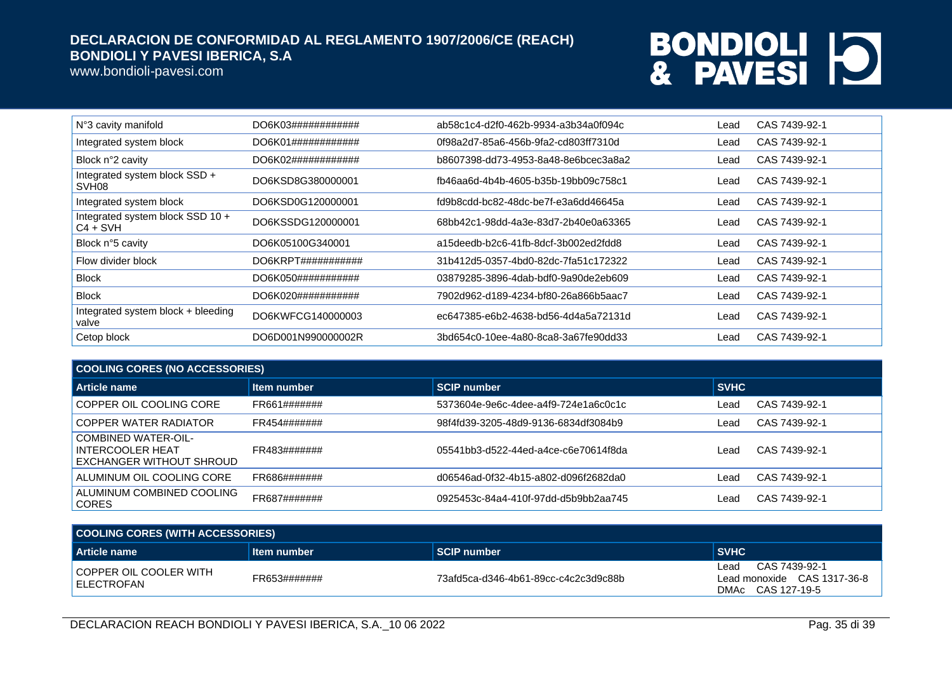www.bondioli-pavesi.com

| N°3 cavity manifold                                | DO6K03############             | ab58c1c4-d2f0-462b-9934-a3b34a0f094c | Lead | CAS 7439-92-1 |
|----------------------------------------------------|--------------------------------|--------------------------------------|------|---------------|
| Integrated system block                            | DO6K01############             | 0f98a2d7-85a6-456b-9fa2-cd803ff7310d | Lead | CAS 7439-92-1 |
| Block n°2 cavity                                   | DO6K02############             | b8607398-dd73-4953-8a48-8e6bcec3a8a2 | Lead | CAS 7439-92-1 |
| Integrated system block SSD +<br>SVH <sub>08</sub> | DO6KSD8G380000001              | fb46aa6d-4b4b-4605-b35b-19bb09c758c1 | Lead | CAS 7439-92-1 |
| Integrated system block                            | DO6KSD0G120000001              | fd9b8cdd-bc82-48dc-be7f-e3a6dd46645a | Lead | CAS 7439-92-1 |
| Integrated system block SSD 10 +<br>$C4 + SVH$     | DO6KSSDG120000001              | 68bb42c1-98dd-4a3e-83d7-2b40e0a63365 | Lead | CAS 7439-92-1 |
| Block n°5 cavity                                   | DO6K05100G340001               | a15deedb-b2c6-41fb-8dcf-3b002ed2fdd8 | Lead | CAS 7439-92-1 |
| Flow divider block                                 | DO6KRPT# # # # # # # # # # # # | 31b412d5-0357-4bd0-82dc-7fa51c172322 | Lead | CAS 7439-92-1 |
| <b>Block</b>                                       | DO6K050###########             | 03879285-3896-4dab-bdf0-9a90de2eb609 | Lead | CAS 7439-92-1 |
| <b>Block</b>                                       | DO6K020###########             | 7902d962-d189-4234-bf80-26a866b5aac7 | Lead | CAS 7439-92-1 |
| Integrated system block + bleeding<br>valve        | DO6KWFCG140000003              | ec647385-e6b2-4638-bd56-4d4a5a72131d | Lead | CAS 7439-92-1 |
| Cetop block                                        | DO6D001N990000002R             | 3bd654c0-10ee-4a80-8ca8-3a67fe90dd33 | Lead | CAS 7439-92-1 |

| <b>COOLING CORES (NO ACCESSORIES)</b>                                      |              |                                      |             |               |  |
|----------------------------------------------------------------------------|--------------|--------------------------------------|-------------|---------------|--|
| Article name                                                               | Item number  | <b>SCIP number</b>                   | <b>SVHC</b> |               |  |
| COPPER OIL COOLING CORE                                                    | FR661####### | 5373604e-9e6c-4dee-a4f9-724e1a6c0c1c | Lead        | CAS 7439-92-1 |  |
| COPPER WATER RADIATOR                                                      | FR454####### | 98f4fd39-3205-48d9-9136-6834df3084b9 | Lead        | CAS 7439-92-1 |  |
| <b>COMBINED WATER-OIL-</b><br>INTERCOOLER HEAT<br>EXCHANGER WITHOUT SHROUD | FR483####### | 05541bb3-d522-44ed-a4ce-c6e70614f8da | Lead        | CAS 7439-92-1 |  |
| ALUMINUM OIL COOLING CORE                                                  | FR686####### | d06546ad-0f32-4b15-a802-d096f2682da0 | Lead        | CAS 7439-92-1 |  |
| ALUMINUM COMBINED COOLING<br><b>CORES</b>                                  | FR687####### | 0925453c-84a4-410f-97dd-d5b9bb2aa745 | Leac        | CAS 7439-92-1 |  |

| <b>COOLING CORES (WITH ACCESSORIES)</b> |              |                                      |                                                                           |  |
|-----------------------------------------|--------------|--------------------------------------|---------------------------------------------------------------------------|--|
| <b>Article name</b>                     | Item number  | <b>SCIP number</b>                   | <b>SVHC</b>                                                               |  |
| COPPER OIL COOLER WITH<br>I ELECTROFAN  | FR653####### | 73afd5ca-d346-4b61-89cc-c4c2c3d9c88b | CAS 7439-92-1<br>Lead<br>Lead monoxide CAS 1317-36-8<br>DMAc CAS 127-19-5 |  |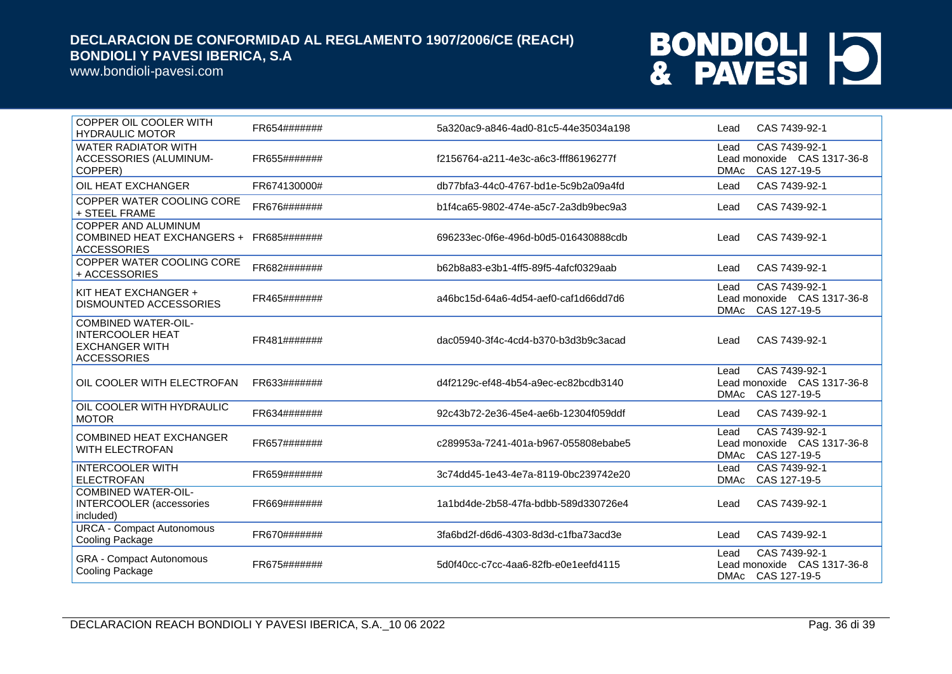www.bondioli-pavesi.com

| COPPER OIL COOLER WITH<br><b>HYDRAULIC MOTOR</b>                                                     | FR654####### | 5a320ac9-a846-4ad0-81c5-44e35034a198 | CAS 7439-92-1<br>Lead                                                               |
|------------------------------------------------------------------------------------------------------|--------------|--------------------------------------|-------------------------------------------------------------------------------------|
| <b>WATER RADIATOR WITH</b><br>ACCESSORIES (ALUMINUM-<br>COPPER)                                      | FR655####### | f2156764-a211-4e3c-a6c3-fff86196277f | CAS 7439-92-1<br>Lead<br>Lead monoxide CAS 1317-36-8<br>CAS 127-19-5<br><b>DMAc</b> |
| OIL HEAT EXCHANGER                                                                                   | FR674130000# | db77bfa3-44c0-4767-bd1e-5c9b2a09a4fd | CAS 7439-92-1<br>Lead                                                               |
| COPPER WATER COOLING CORE<br>+ STEEL FRAME                                                           | FR676####### | b1f4ca65-9802-474e-a5c7-2a3db9bec9a3 | CAS 7439-92-1<br>Lead                                                               |
| <b>COPPER AND ALUMINUM</b><br>COMBINED HEAT EXCHANGERS +<br><b>ACCESSORIES</b>                       | FR685####### | 696233ec-0f6e-496d-b0d5-016430888cdb | CAS 7439-92-1<br>Lead                                                               |
| COPPER WATER COOLING CORE<br>+ ACCESSORIES                                                           | FR682####### | b62b8a83-e3b1-4ff5-89f5-4afcf0329aab | CAS 7439-92-1<br>Lead                                                               |
| KIT HEAT EXCHANGER +<br>DISMOUNTED ACCESSORIES                                                       | FR465####### | a46bc15d-64a6-4d54-aef0-caf1d66dd7d6 | CAS 7439-92-1<br>Lead<br>Lead monoxide CAS 1317-36-8<br>DMAc CAS 127-19-5           |
| <b>COMBINED WATER-OIL-</b><br><b>INTERCOOLER HEAT</b><br><b>EXCHANGER WITH</b><br><b>ACCESSORIES</b> | FR481####### | dac05940-3f4c-4cd4-b370-b3d3b9c3acad | CAS 7439-92-1<br>Lead                                                               |
| OIL COOLER WITH ELECTROFAN                                                                           | FR633####### | d4f2129c-ef48-4b54-a9ec-ec82bcdb3140 | CAS 7439-92-1<br>Lead<br>Lead monoxide CAS 1317-36-8<br><b>DMAc</b><br>CAS 127-19-5 |
| OIL COOLER WITH HYDRAULIC<br><b>MOTOR</b>                                                            | FR634####### | 92c43b72-2e36-45e4-ae6b-12304f059ddf | CAS 7439-92-1<br>Lead                                                               |
| <b>COMBINED HEAT EXCHANGER</b><br><b>WITH ELECTROFAN</b>                                             | FR657####### | c289953a-7241-401a-b967-055808ebabe5 | CAS 7439-92-1<br>Lead<br>Lead monoxide CAS 1317-36-8<br>CAS 127-19-5<br><b>DMAc</b> |
| <b>INTERCOOLER WITH</b><br><b>ELECTROFAN</b>                                                         | FR659####### | 3c74dd45-1e43-4e7a-8119-0bc239742e20 | CAS 7439-92-1<br>Lead<br><b>DMAc</b><br>CAS 127-19-5                                |
| <b>COMBINED WATER-OIL-</b><br><b>INTERCOOLER</b> (accessories<br>included)                           | FR669####### | 1a1bd4de-2b58-47fa-bdbb-589d330726e4 | CAS 7439-92-1<br>Lead                                                               |
| <b>URCA - Compact Autonomous</b><br>Cooling Package                                                  | FR670####### | 3fa6bd2f-d6d6-4303-8d3d-c1fba73acd3e | CAS 7439-92-1<br>Lead                                                               |
| <b>GRA - Compact Autonomous</b><br>Cooling Package                                                   | FR675####### | 5d0f40cc-c7cc-4aa6-82fb-e0e1eefd4115 | CAS 7439-92-1<br>Lead<br>Lead monoxide CAS 1317-36-8<br>CAS 127-19-5<br>DMAc        |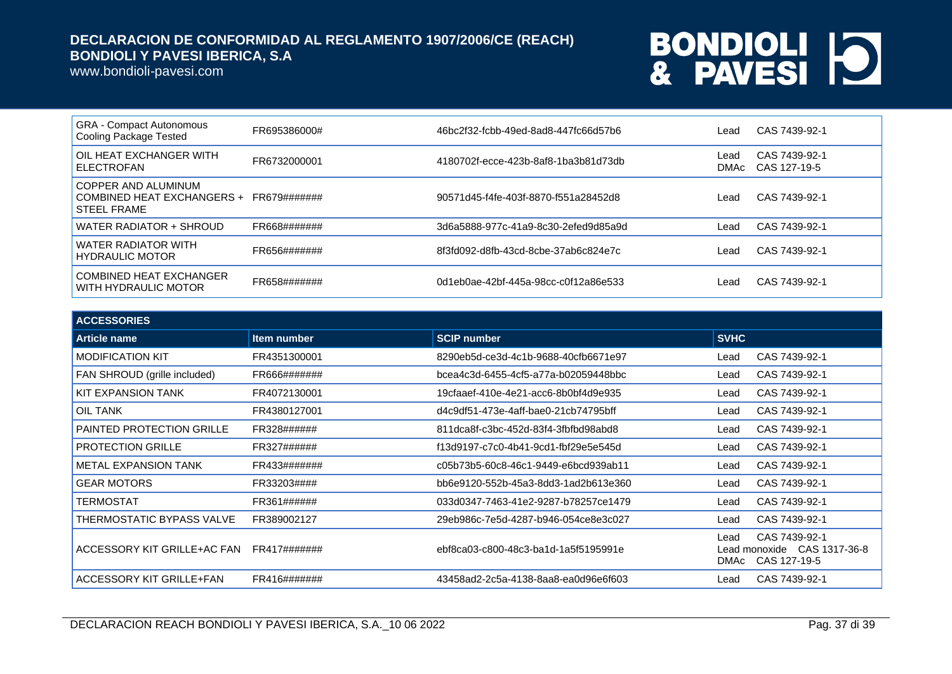www.bondioli-pavesi.com

| <b>GRA - Compact Autonomous</b><br>Cooling Package Tested               | FR695386000# | 46bc2f32-fcbb-49ed-8ad8-447fc66d57b6 | Lead         | CAS 7439-92-1                 |
|-------------------------------------------------------------------------|--------------|--------------------------------------|--------------|-------------------------------|
| OIL HEAT EXCHANGER WITH<br><b>ELECTROFAN</b>                            | FR6732000001 | 4180702f-ecce-423b-8af8-1ba3b81d73db | Lead<br>DMAc | CAS 7439-92-1<br>CAS 127-19-5 |
| COPPER AND ALUMINUM<br>COMBINED HEAT EXCHANGERS +<br><b>STEEL FRAME</b> | FR679####### | 90571d45-f4fe-403f-8870-f551a28452d8 | Lead         | CAS 7439-92-1                 |
| WATER RADIATOR + SHROUD                                                 | FR668####### | 3d6a5888-977c-41a9-8c30-2efed9d85a9d | Lead         | CAS 7439-92-1                 |
| <b>WATER RADIATOR WITH</b><br>HYDRAULIC MOTOR                           | FR656####### | 8f3fd092-d8fb-43cd-8cbe-37ab6c824e7c | Lead         | CAS 7439-92-1                 |
| COMBINED HEAT EXCHANGER<br>WITH HYDRAULIC MOTOR                         | FR658####### | 0d1eb0ae-42bf-445a-98cc-c0f12a86e533 | Lead         | CAS 7439-92-1                 |

| <b>ACCESSORIES</b>               |                    |                                      |              |                                                               |
|----------------------------------|--------------------|--------------------------------------|--------------|---------------------------------------------------------------|
| Article name                     | <b>Item number</b> | <b>SCIP number</b>                   | <b>SVHC</b>  |                                                               |
| <b>MODIFICATION KIT</b>          | FR4351300001       | 8290eb5d-ce3d-4c1b-9688-40cfb6671e97 | Lead         | CAS 7439-92-1                                                 |
| FAN SHROUD (grille included)     | FR666#######       | bcea4c3d-6455-4cf5-a77a-b02059448bbc | Lead         | CAS 7439-92-1                                                 |
| KIT EXPANSION TANK               | FR4072130001       | 19cfaaef-410e-4e21-acc6-8b0bf4d9e935 | Lead         | CAS 7439-92-1                                                 |
| OIL TANK                         | FR4380127001       | d4c9df51-473e-4aff-bae0-21cb74795bff | Lead         | CAS 7439-92-1                                                 |
| <b>PAINTED PROTECTION GRILLE</b> | FR328######        | 811dca8f-c3bc-452d-83f4-3fbfbd98abd8 | Lead         | CAS 7439-92-1                                                 |
| <b>PROTECTION GRILLE</b>         | FR327######        | f13d9197-c7c0-4b41-9cd1-fbf29e5e545d | Lead         | CAS 7439-92-1                                                 |
| <b>METAL EXPANSION TANK</b>      | FR433#######       | c05b73b5-60c8-46c1-9449-e6bcd939ab11 | Lead         | CAS 7439-92-1                                                 |
| <b>GEAR MOTORS</b>               | FR33203####        | bb6e9120-552b-45a3-8dd3-1ad2b613e360 | Lead         | CAS 7439-92-1                                                 |
| TERMOSTAT                        | FR361######        | 033d0347-7463-41e2-9287-b78257ce1479 | Lead         | CAS 7439-92-1                                                 |
| THERMOSTATIC BYPASS VALVE        | FR389002127        | 29eb986c-7e5d-4287-b946-054ce8e3c027 | Lead         | CAS 7439-92-1                                                 |
| ACCESSORY KIT GRILLE+AC FAN      | FR417#######       | ebf8ca03-c800-48c3-ba1d-1a5f5195991e | Lead<br>DMAc | CAS 7439-92-1<br>Lead monoxide  CAS 1317-36-8<br>CAS 127-19-5 |
| ACCESSORY KIT GRILLE+FAN         | FR416#######       | 43458ad2-2c5a-4138-8aa8-ea0d96e6f603 | Lead         | CAS 7439-92-1                                                 |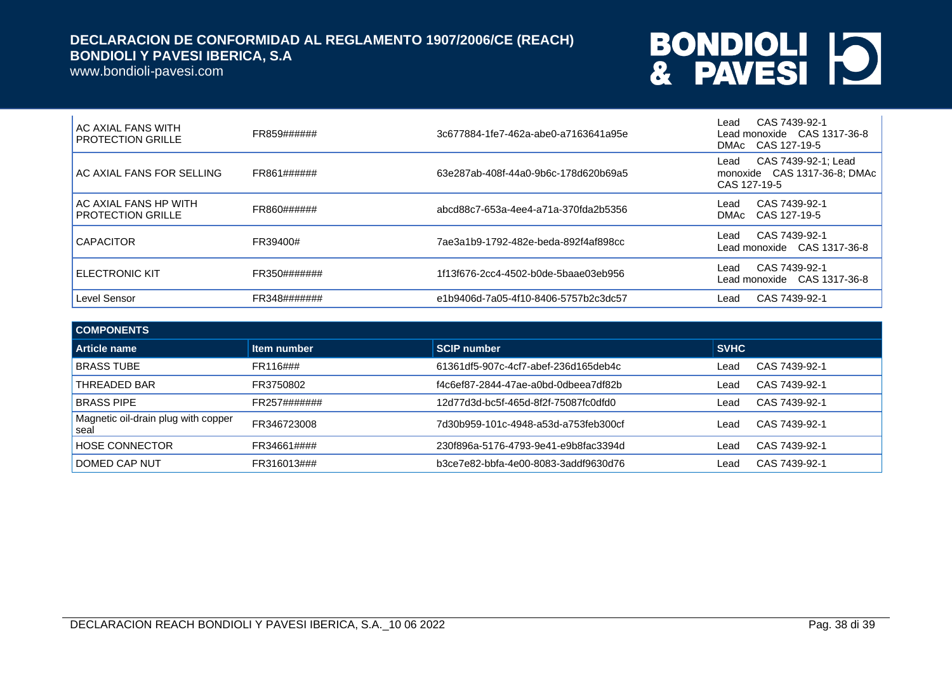www.bondioli-pavesi.com

| <b>AC AXIAL FANS WITH</b><br><b>PROTECTION GRILLE</b> | FR859######  | 3c677884-1fe7-462a-abe0-a7163641a95e | CAS 7439-92-1<br>Lead<br>Lead monoxide CAS 1317-36-8<br>DMAc CAS 127-19-5   |
|-------------------------------------------------------|--------------|--------------------------------------|-----------------------------------------------------------------------------|
| AC AXIAL FANS FOR SELLING                             | FR861######  | 63e287ab-408f-44a0-9b6c-178d620b69a5 | CAS 7439-92-1; Lead<br>Lead<br>monoxide CAS 1317-36-8; DMAc<br>CAS 127-19-5 |
| AC AXIAL FANS HP WITH<br><b>PROTECTION GRILLE</b>     | FR860######  | abcd88c7-653a-4ee4-a71a-370fda2b5356 | CAS 7439-92-1<br>Lead<br>DMAC CAS 127-19-5                                  |
| <b>CAPACITOR</b>                                      | FR39400#     | 7ae3a1b9-1792-482e-beda-892f4af898cc | CAS 7439-92-1<br>Lead<br>Lead monoxide  CAS 1317-36-8                       |
| <b>ELECTRONIC KIT</b>                                 | FR350####### | 1f13f676-2cc4-4502-b0de-5baae03eb956 | CAS 7439-92-1<br>Lead<br>Lead monoxide CAS 1317-36-8                        |
| Level Sensor                                          | FR348####### | e1b9406d-7a05-4f10-8406-5757b2c3dc57 | CAS 7439-92-1<br>Lead                                                       |

| <b>COMPONENTS</b>                           |                    |                                      |             |               |
|---------------------------------------------|--------------------|--------------------------------------|-------------|---------------|
| Article name                                | <b>Item number</b> | SCIP number                          | <b>SVHC</b> |               |
| <b>BRASS TUBE</b>                           | FR116###           | 61361df5-907c-4cf7-abef-236d165deb4c | Lead        | CAS 7439-92-1 |
| THREADED BAR                                | FR3750802          | f4c6ef87-2844-47ae-a0bd-0dbeea7df82b | ∟ead        | CAS 7439-92-1 |
| <b>BRASS PIPE</b>                           | FR257#######       | 12d77d3d-bc5f-465d-8f2f-75087fc0dfd0 | Lead        | CAS 7439-92-1 |
| Magnetic oil-drain plug with copper<br>seal | FR346723008        | 7d30b959-101c-4948-a53d-a753feb300cf | _ead        | CAS 7439-92-1 |
| <b>HOSE CONNECTOR</b>                       | FR34661####        | 230f896a-5176-4793-9e41-e9b8fac3394d | Lead        | CAS 7439-92-1 |
| DOMED CAP NUT                               | FR316013###        | b3ce7e82-bbfa-4e00-8083-3addf9630d76 | ∟ead        | CAS 7439-92-1 |